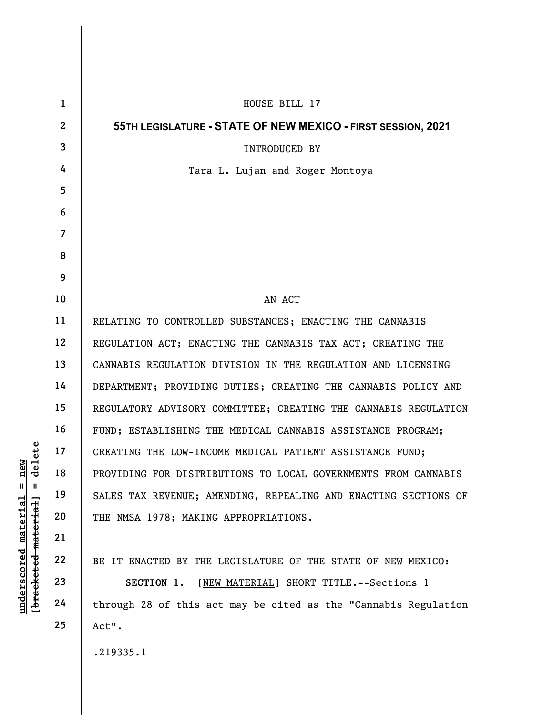|                                   | $\mathbf{1}$            | HOUSE BILL 17                                                   |
|-----------------------------------|-------------------------|-----------------------------------------------------------------|
|                                   | $\mathbf{2}$            | 55TH LEGISLATURE - STATE OF NEW MEXICO - FIRST SESSION, 2021    |
|                                   | 3                       | <b>INTRODUCED BY</b>                                            |
|                                   | 4                       | Tara L. Lujan and Roger Montoya                                 |
|                                   | 5                       |                                                                 |
|                                   | 6                       |                                                                 |
|                                   | $\overline{\mathbf{7}}$ |                                                                 |
|                                   | 8                       |                                                                 |
|                                   | 9                       |                                                                 |
|                                   | 10                      | AN ACT                                                          |
|                                   | 11                      | RELATING TO CONTROLLED SUBSTANCES; ENACTING THE CANNABIS        |
|                                   | 12                      | REGULATION ACT; ENACTING THE CANNABIS TAX ACT; CREATING THE     |
|                                   | 13                      | CANNABIS REGULATION DIVISION IN THE REGULATION AND LICENSING    |
|                                   | 14                      | DEPARTMENT; PROVIDING DUTIES; CREATING THE CANNABIS POLICY AND  |
|                                   | 15                      | REGULATORY ADVISORY COMMITTEE; CREATING THE CANNABIS REGULATION |
|                                   | 16                      | FUND; ESTABLISHING THE MEDICAL CANNABIS ASSISTANCE PROGRAM;     |
| delete                            | 17                      | CREATING THE LOW-INCOME MEDICAL PATIENT ASSISTANCE FUND;        |
| new                               | 18                      | PROVIDING FOR DISTRIBUTIONS TO LOCAL GOVERNMENTS FROM CANNABIS  |
| $\mathsf{I}$<br>$\mathbf{I}$      | 19                      | SALES TAX REVENUE; AMENDING, REPEALING AND ENACTING SECTIONS OF |
| <u>material</u>                   | 20                      | THE NMSA 1978; MAKING APPROPRIATIONS.                           |
|                                   | 21                      |                                                                 |
|                                   | 22                      | BE IT ENACTED BY THE LEGISLATURE OF THE STATE OF NEW MEXICO:    |
| [ <del>bracketed material</del> ] | 23                      | [NEW MATERIAL] SHORT TITLE. -- Sections 1<br>SECTION 1.         |
| <u>underscored</u>                | 24                      | through 28 of this act may be cited as the "Cannabis Regulation |
|                                   | 25                      | Act".                                                           |
|                                   |                         | .219335.1                                                       |

 $\mathbf{I}$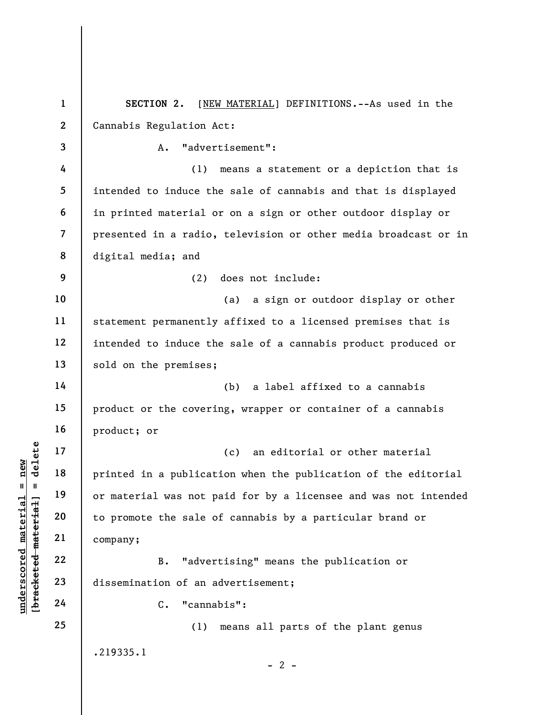underscored material = new [bracketed material] = delete 1 2 3 4 5 6 7 8 9 10 11 12 13 14 15 16 17 18 19 20 21 22 23 24 25 SECTION 2. [NEW MATERIAL] DEFINITIONS.--As used in the Cannabis Regulation Act: A. "advertisement": (1) means a statement or a depiction that is intended to induce the sale of cannabis and that is displayed in printed material or on a sign or other outdoor display or presented in a radio, television or other media broadcast or in digital media; and (2) does not include: (a) a sign or outdoor display or other statement permanently affixed to a licensed premises that is intended to induce the sale of a cannabis product produced or sold on the premises; (b) a label affixed to a cannabis product or the covering, wrapper or container of a cannabis product; or (c) an editorial or other material printed in a publication when the publication of the editorial or material was not paid for by a licensee and was not intended to promote the sale of cannabis by a particular brand or company; B. "advertising" means the publication or dissemination of an advertisement; C. "cannabis": (1) means all parts of the plant genus .219335.1  $- 2 -$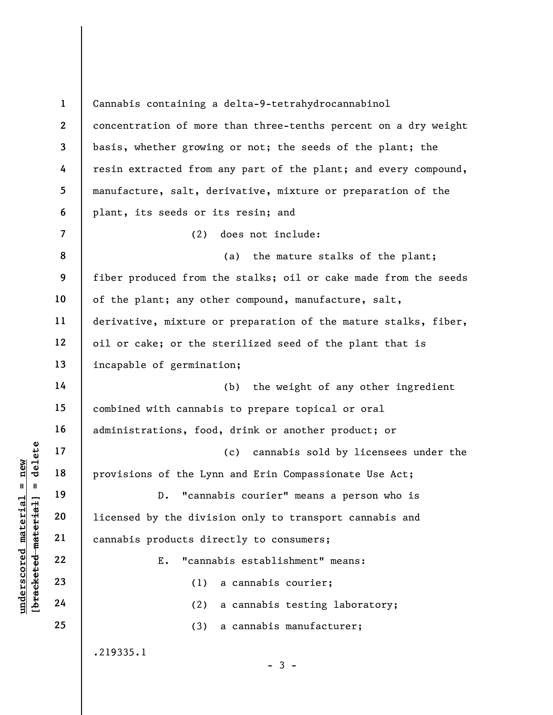Understand material material provisions of the Lyn<br>
except in 19<br>
defined material provisions of the Lyn<br>
20<br>
defined material cannabis products dir<br>
22<br>
23<br>
24<br>
24<br>
24<br>
22<br>
24<br>
24 1 2 3 4 5 6 7 8 9 10 11 12 13 14 15 16 17 18 19 20 21 22 23 24 25 Cannabis containing a delta-9-tetrahydrocannabinol concentration of more than three-tenths percent on a dry weight basis, whether growing or not; the seeds of the plant; the resin extracted from any part of the plant; and every compound, manufacture, salt, derivative, mixture or preparation of the plant, its seeds or its resin; and (2) does not include: (a) the mature stalks of the plant; fiber produced from the stalks; oil or cake made from the seeds of the plant; any other compound, manufacture, salt, derivative, mixture or preparation of the mature stalks, fiber, oil or cake; or the sterilized seed of the plant that is incapable of germination; (b) the weight of any other ingredient combined with cannabis to prepare topical or oral administrations, food, drink or another product; or (c) cannabis sold by licensees under the provisions of the Lynn and Erin Compassionate Use Act; D. "cannabis courier" means a person who is licensed by the division only to transport cannabis and cannabis products directly to consumers; E. "cannabis establishment" means: (1) a cannabis courier; (2) a cannabis testing laboratory; (3) a cannabis manufacturer; .219335.1  $-3 -$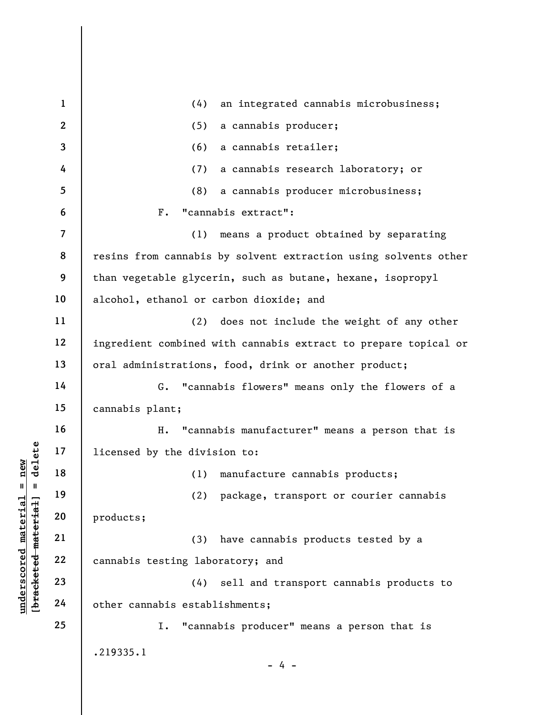$\begin{array}{c|c|c|c} \mathbf{u} & \mathbf{u} & \mathbf{u} & \mathbf{v} & \mathbf{v} & \mathbf{v} & \mathbf{v} & \mathbf{v} & \mathbf{v} & \mathbf{v} & \mathbf{v} & \mathbf{v} & \mathbf{v} & \mathbf{v} & \mathbf{v} & \mathbf{v} & \mathbf{v} & \mathbf{v} & \mathbf{v} & \mathbf{v} & \mathbf{v} & \mathbf{v} & \mathbf{v} & \mathbf{v} & \mathbf{v} & \mathbf{v} & \mathbf{v} & \mathbf{v} & \mathbf{v} & \mathbf{$ 1 2 3 4 5 6 7 8 9 10 11 12 13 14 15 16 17 18 19 20 21 22 23 24 25 (4) an integrated cannabis microbusiness; (5) a cannabis producer; (6) a cannabis retailer; (7) a cannabis research laboratory; or (8) a cannabis producer microbusiness; F. "cannabis extract": (1) means a product obtained by separating resins from cannabis by solvent extraction using solvents other than vegetable glycerin, such as butane, hexane, isopropyl alcohol, ethanol or carbon dioxide; and (2) does not include the weight of any other ingredient combined with cannabis extract to prepare topical or oral administrations, food, drink or another product; G. "cannabis flowers" means only the flowers of a cannabis plant; H. "cannabis manufacturer" means a person that is licensed by the division to: (1) manufacture cannabis products; (2) package, transport or courier cannabis products; (3) have cannabis products tested by a cannabis testing laboratory; and (4) sell and transport cannabis products to other cannabis establishments; I. "cannabis producer" means a person that is .219335.1 - 4 -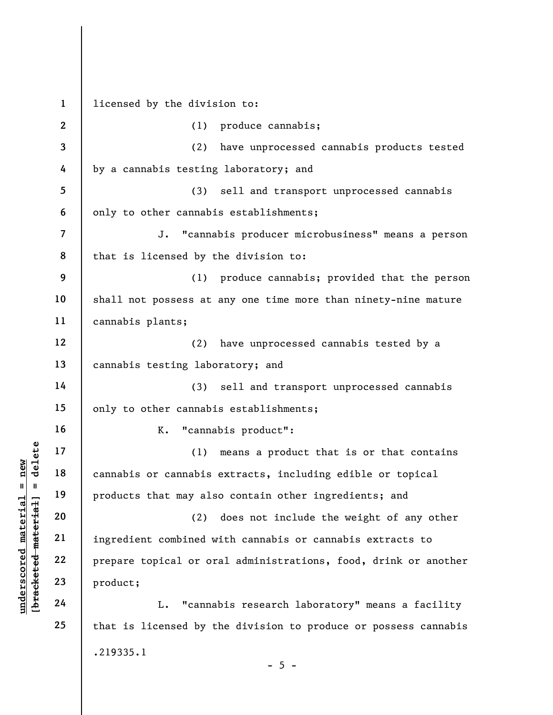understanding to the material or or<br>
we have the material of the same of the material of the same of the same of the material of the same of the same of the same of the same of the same of the same of the same of the same 1 2 3 4 5 6 7 8 9 10 11 12 13 14 15 16 17 18 19 20 21 22 23 24 25 licensed by the division to: (1) produce cannabis; (2) have unprocessed cannabis products tested by a cannabis testing laboratory; and (3) sell and transport unprocessed cannabis only to other cannabis establishments; J. "cannabis producer microbusiness" means a person that is licensed by the division to: (1) produce cannabis; provided that the person shall not possess at any one time more than ninety-nine mature cannabis plants; (2) have unprocessed cannabis tested by a cannabis testing laboratory; and (3) sell and transport unprocessed cannabis only to other cannabis establishments; K. "cannabis product": (1) means a product that is or that contains cannabis or cannabis extracts, including edible or topical products that may also contain other ingredients; and (2) does not include the weight of any other ingredient combined with cannabis or cannabis extracts to prepare topical or oral administrations, food, drink or another product; L. "cannabis research laboratory" means a facility that is licensed by the division to produce or possess cannabis .219335.1

 $- 5 -$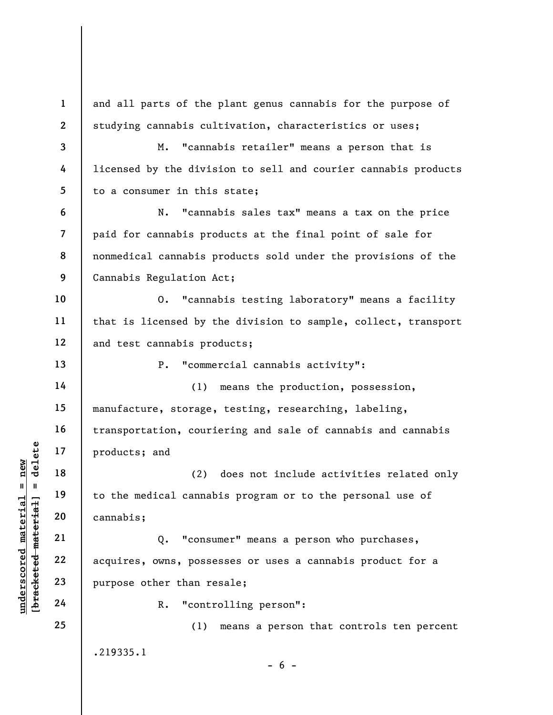understand<br>
understand<br>  $\begin{bmatrix}\n1 & 1 & 19 \\
0 & 1 & 19 \\
0 & 0 & 20 \\
0 & 0 & 21 \\
0 & 0 & 22 \\
0 & 0 & 22 \\
0 & 0 & 23 \\
0 & 0 & 23 \\
0 & 0 & 24\n\end{bmatrix}$  acquires, owns, posse<br>
purpose other than reading<br>
acquires, owns, posse<br>
purpose other than reading<br> 1 2 3 4 5 6 7 8 9 10 11 12 13 14 15 16 17 18 19 20 21 22 23 24 25 and all parts of the plant genus cannabis for the purpose of studying cannabis cultivation, characteristics or uses; M. "cannabis retailer" means a person that is licensed by the division to sell and courier cannabis products to a consumer in this state; N. "cannabis sales tax" means a tax on the price paid for cannabis products at the final point of sale for nonmedical cannabis products sold under the provisions of the Cannabis Regulation Act; O. "cannabis testing laboratory" means a facility that is licensed by the division to sample, collect, transport and test cannabis products; P. "commercial cannabis activity": (1) means the production, possession, manufacture, storage, testing, researching, labeling, transportation, couriering and sale of cannabis and cannabis products; and (2) does not include activities related only to the medical cannabis program or to the personal use of cannabis; Q. "consumer" means a person who purchases, acquires, owns, possesses or uses a cannabis product for a purpose other than resale; R. "controlling person": (1) means a person that controls ten percent .219335.1  $- 6 -$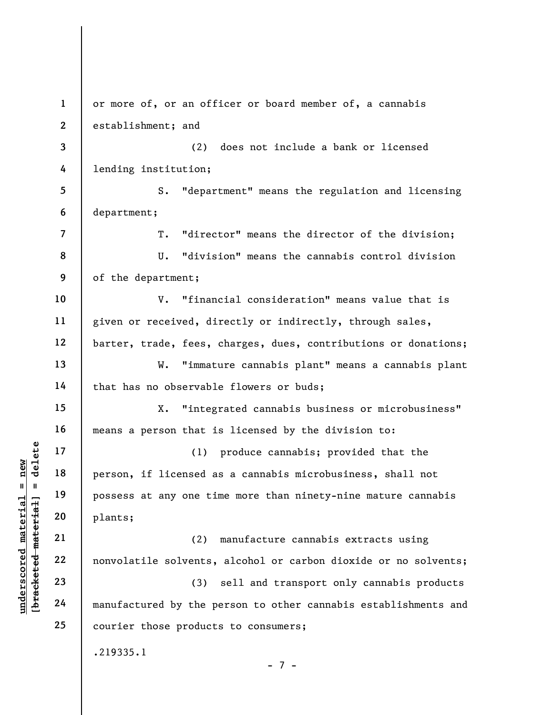underscored material material end of the pair of the pair of the solvents,<br>
we can be a set of the solvents,<br>
we can be a set of the solvents,<br>
we can be a set of the solvents,<br>
a set of the solvents,<br>
and the solvent of t 1 2 3 4 5 6 7 8 9 10 11 12 13 14 15 16 17 18 19 20 21 22 23 24 25 or more of, or an officer or board member of, a cannabis establishment; and (2) does not include a bank or licensed lending institution; S. "department" means the regulation and licensing department; T. "director" means the director of the division; U. "division" means the cannabis control division of the department; V. "financial consideration" means value that is given or received, directly or indirectly, through sales, barter, trade, fees, charges, dues, contributions or donations; W. "immature cannabis plant" means a cannabis plant that has no observable flowers or buds; X. "integrated cannabis business or microbusiness" means a person that is licensed by the division to: (1) produce cannabis; provided that the person, if licensed as a cannabis microbusiness, shall not possess at any one time more than ninety-nine mature cannabis plants; (2) manufacture cannabis extracts using nonvolatile solvents, alcohol or carbon dioxide or no solvents; (3) sell and transport only cannabis products manufactured by the person to other cannabis establishments and courier those products to consumers; .219335.1 - 7 -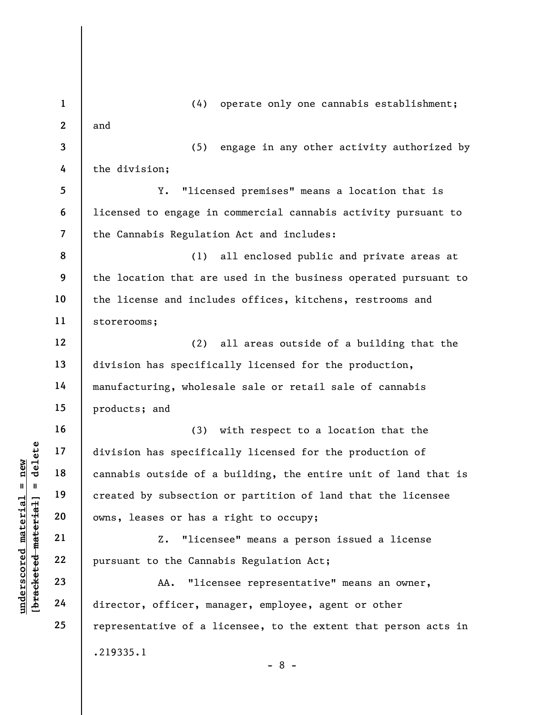underscored material = new [bracketed material] = delete 1 2 3 4 5 6 7 8 9 10 11 12 13 14 15 16 17 18 19 20 21 22 23 24 25 (4) operate only one cannabis establishment; and (5) engage in any other activity authorized by the division; Y. "licensed premises" means a location that is licensed to engage in commercial cannabis activity pursuant to the Cannabis Regulation Act and includes: (1) all enclosed public and private areas at the location that are used in the business operated pursuant to the license and includes offices, kitchens, restrooms and storerooms; (2) all areas outside of a building that the division has specifically licensed for the production, manufacturing, wholesale sale or retail sale of cannabis products; and (3) with respect to a location that the division has specifically licensed for the production of cannabis outside of a building, the entire unit of land that is created by subsection or partition of land that the licensee owns, leases or has a right to occupy; Z. "licensee" means a person issued a license pursuant to the Cannabis Regulation Act; AA. "licensee representative" means an owner, director, officer, manager, employee, agent or other representative of a licensee, to the extent that person acts in .219335.1 - 8 -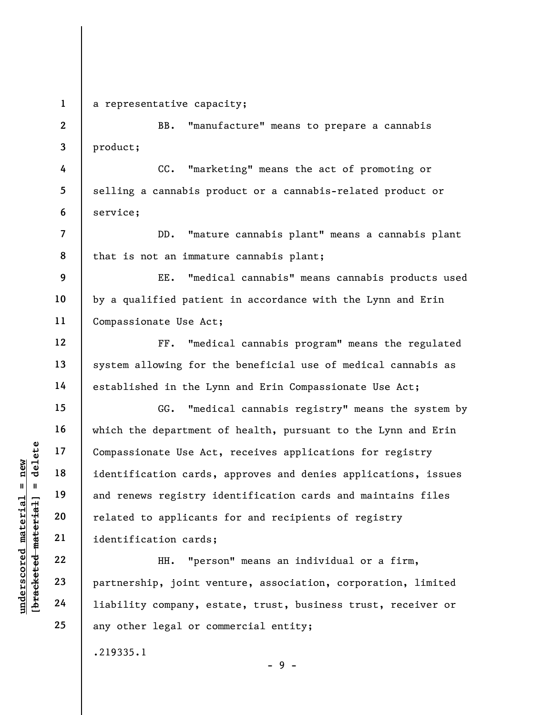1

4

6

7

8

10

12

13

14

15

16

17

18

19

20

21

22

23

24

25

a representative capacity;

2 3 BB. "manufacture" means to prepare a cannabis product;

5 CC. "marketing" means the act of promoting or selling a cannabis product or a cannabis-related product or service;

DD. "mature cannabis plant" means a cannabis plant that is not an immature cannabis plant;

9 11 EE. "medical cannabis" means cannabis products used by a qualified patient in accordance with the Lynn and Erin Compassionate Use Act;

FF. "medical cannabis program" means the regulated system allowing for the beneficial use of medical cannabis as established in the Lynn and Erin Compassionate Use Act;

underscored material = new [bracketed material] = delete GG. "medical cannabis registry" means the system by which the department of health, pursuant to the Lynn and Erin Compassionate Use Act, receives applications for registry identification cards, approves and denies applications, issues and renews registry identification cards and maintains files related to applicants for and recipients of registry identification cards;

HH. "person" means an individual or a firm, partnership, joint venture, association, corporation, limited liability company, estate, trust, business trust, receiver or any other legal or commercial entity;

- 9 -

.219335.1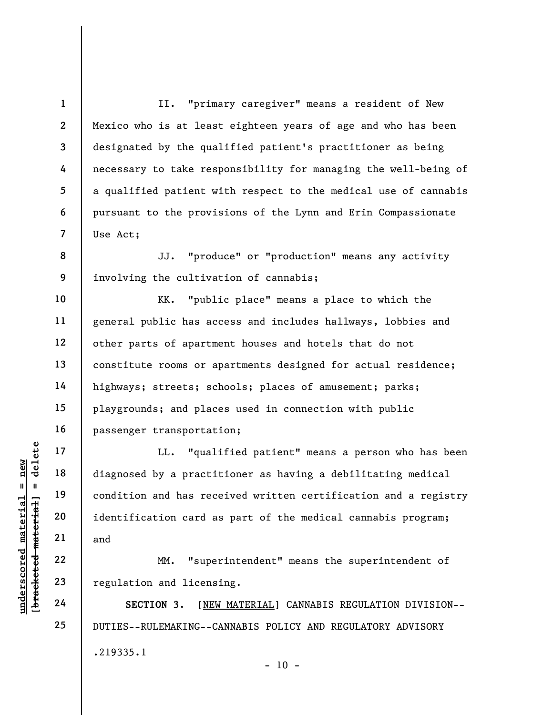II. "primary caregiver" means a resident of New Mexico who is at least eighteen years of age and who has been designated by the qualified patient's practitioner as being necessary to take responsibility for managing the well-being of a qualified patient with respect to the medical use of cannabis pursuant to the provisions of the Lynn and Erin Compassionate Use Act;

8 9 JJ. "produce" or "production" means any activity involving the cultivation of cannabis;

KK. "public place" means a place to which the general public has access and includes hallways, lobbies and other parts of apartment houses and hotels that do not constitute rooms or apartments designed for actual residence; highways; streets; schools; places of amusement; parks; playgrounds; and places used in connection with public passenger transportation;

UNERET MATHER 19<br>
UNERET 19<br>
UNERET 19<br>
UNERET 19<br>
UNERET 19<br>
UNERET 19<br>
UNERET 19<br>
UNERET 19<br>
UNERET 19<br>
UNERET 19<br>
UNERET 19<br>
UNERET 19<br>
UNERET 19<br>
UNERET 19<br>
UNERET 19<br>
UNERET 19<br>
UNERET 19<br>
UNERET 19<br>
UNERET 19<br>
UNERET LL. "qualified patient" means a person who has been diagnosed by a practitioner as having a debilitating medical condition and has received written certification and a registry identification card as part of the medical cannabis program; and

MM. "superintendent" means the superintendent of regulation and licensing.

SECTION 3. [NEW MATERIAL] CANNABIS REGULATION DIVISION-- DUTIES--RULEMAKING--CANNABIS POLICY AND REGULATORY ADVISORY .219335.1  $- 10 -$ 

1

2

3

4

5

6

7

10

11

12

13

14

15

16

17

18

19

20

21

22

23

24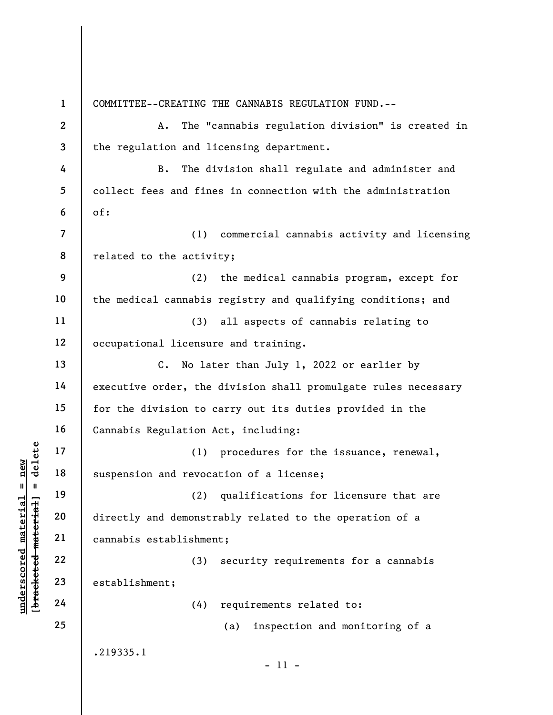underschied material material material material expression and revocal suspension and revocal (1)<br>
suspension and revocal<br>
directly and demonstr<br>
cannabis establishmen<br>
22<br>
23<br>
24<br>
24 (4) 1 2 3 4 5 6 7 8 9 10 11 12 13 14 15 16 17 18 19 20 21 22 23 24 25 COMMITTEE--CREATING THE CANNABIS REGULATION FUND.-- A. The "cannabis regulation division" is created in the regulation and licensing department. B. The division shall regulate and administer and collect fees and fines in connection with the administration of: (1) commercial cannabis activity and licensing related to the activity; (2) the medical cannabis program, except for the medical cannabis registry and qualifying conditions; and (3) all aspects of cannabis relating to occupational licensure and training. C. No later than July 1, 2022 or earlier by executive order, the division shall promulgate rules necessary for the division to carry out its duties provided in the Cannabis Regulation Act, including: (1) procedures for the issuance, renewal, suspension and revocation of a license; (2) qualifications for licensure that are directly and demonstrably related to the operation of a cannabis establishment; (3) security requirements for a cannabis establishment; (4) requirements related to: (a) inspection and monitoring of a .219335.1 - 11 -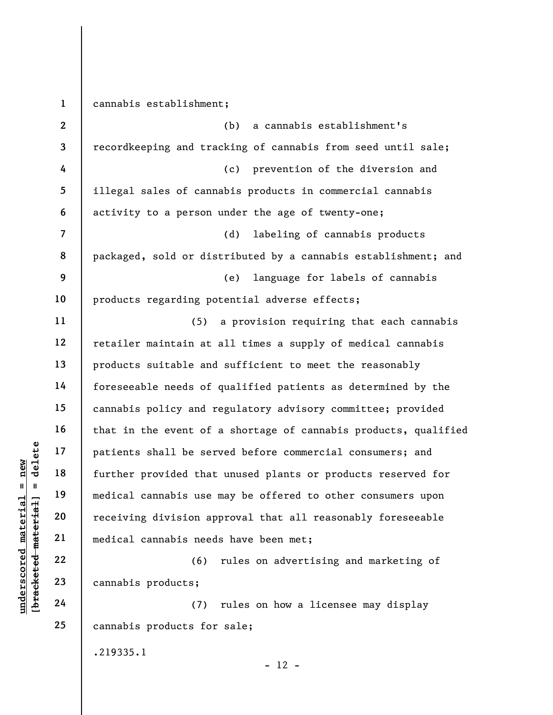underscored material material experience of the set of the set of the set of the set of the set of the medical cannabis use receiving division ap<br>
wedged the set of medical cannabis use receiving division ap<br>
wedged the se 1 2 3 4 5 6 7 8 9 10 11 12 13 14 15 16 17 18 19 20 21 22 23 24 25 cannabis establishment; (b) a cannabis establishment's recordkeeping and tracking of cannabis from seed until sale; (c) prevention of the diversion and illegal sales of cannabis products in commercial cannabis activity to a person under the age of twenty-one; (d) labeling of cannabis products packaged, sold or distributed by a cannabis establishment; and (e) language for labels of cannabis products regarding potential adverse effects; (5) a provision requiring that each cannabis retailer maintain at all times a supply of medical cannabis products suitable and sufficient to meet the reasonably foreseeable needs of qualified patients as determined by the cannabis policy and regulatory advisory committee; provided that in the event of a shortage of cannabis products, qualified patients shall be served before commercial consumers; and further provided that unused plants or products reserved for medical cannabis use may be offered to other consumers upon receiving division approval that all reasonably foreseeable medical cannabis needs have been met; (6) rules on advertising and marketing of cannabis products; (7) rules on how a licensee may display cannabis products for sale; .219335.1

 $- 12 -$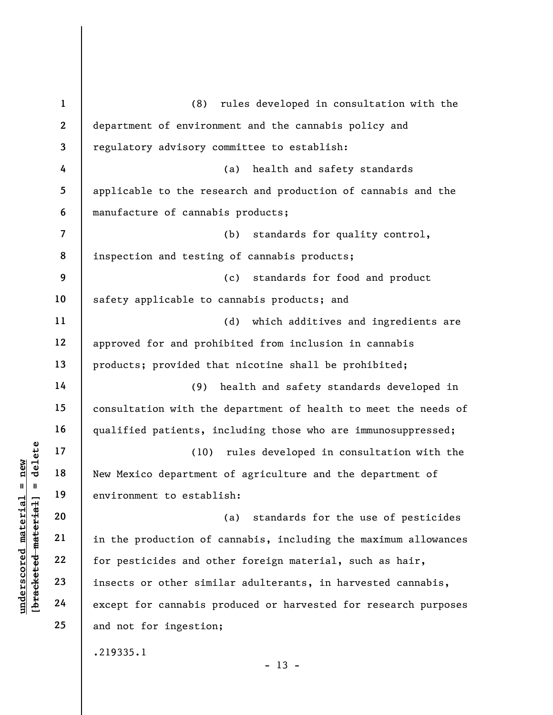understand of the production of the production of the production of the production of the production of the production of the production of the production of the production of the production of the production of the produc 1 2 3 4 5 6 7 8 9 10 11 12 13 14 15 16 17 18 19 20 21 22 23 24 25 (8) rules developed in consultation with the department of environment and the cannabis policy and regulatory advisory committee to establish: (a) health and safety standards applicable to the research and production of cannabis and the manufacture of cannabis products; (b) standards for quality control, inspection and testing of cannabis products; (c) standards for food and product safety applicable to cannabis products; and (d) which additives and ingredients are approved for and prohibited from inclusion in cannabis products; provided that nicotine shall be prohibited; (9) health and safety standards developed in consultation with the department of health to meet the needs of qualified patients, including those who are immunosuppressed; (10) rules developed in consultation with the New Mexico department of agriculture and the department of environment to establish: (a) standards for the use of pesticides in the production of cannabis, including the maximum allowances for pesticides and other foreign material, such as hair, insects or other similar adulterants, in harvested cannabis, except for cannabis produced or harvested for research purposes and not for ingestion; .219335.1

 $- 13 -$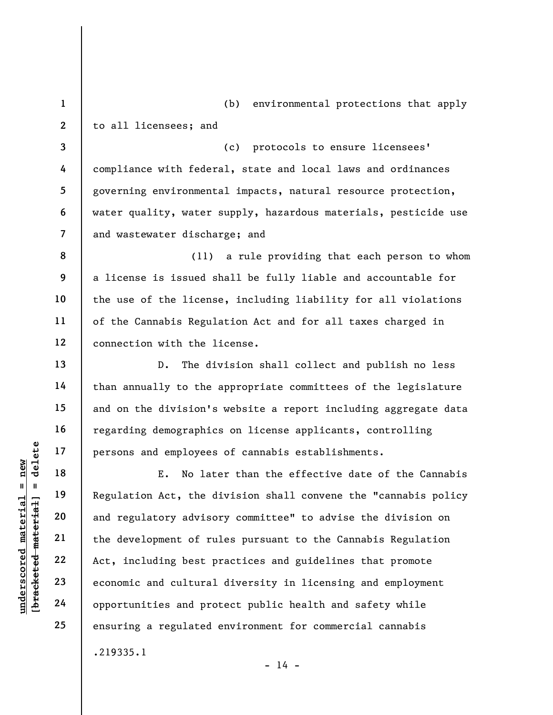1 2 (b) environmental protections that apply to all licensees; and

3 4 5 6 7 (c) protocols to ensure licensees' compliance with federal, state and local laws and ordinances governing environmental impacts, natural resource protection, water quality, water supply, hazardous materials, pesticide use and wastewater discharge; and

(11) a rule providing that each person to whom a license is issued shall be fully liable and accountable for the use of the license, including liability for all violations of the Cannabis Regulation Act and for all taxes charged in connection with the license.

D. The division shall collect and publish no less than annually to the appropriate committees of the legislature and on the division's website a report including aggregate data regarding demographics on license applicants, controlling persons and employees of cannabis establishments.

understand material material material experiences<br>
we have the dependence of the development of runding best p<br>
we were also and regulatory advised and regulatory advised<br>
22 Act, including best p<br>
23 economic and cultural E. No later than the effective date of the Cannabis Regulation Act, the division shall convene the "cannabis policy and regulatory advisory committee" to advise the division on the development of rules pursuant to the Cannabis Regulation Act, including best practices and guidelines that promote economic and cultural diversity in licensing and employment opportunities and protect public health and safety while ensuring a regulated environment for commercial cannabis .219335.1

8

9

10

11

12

13

14

15

16

17

18

19

20

21

22

23

24

25

 $- 14 -$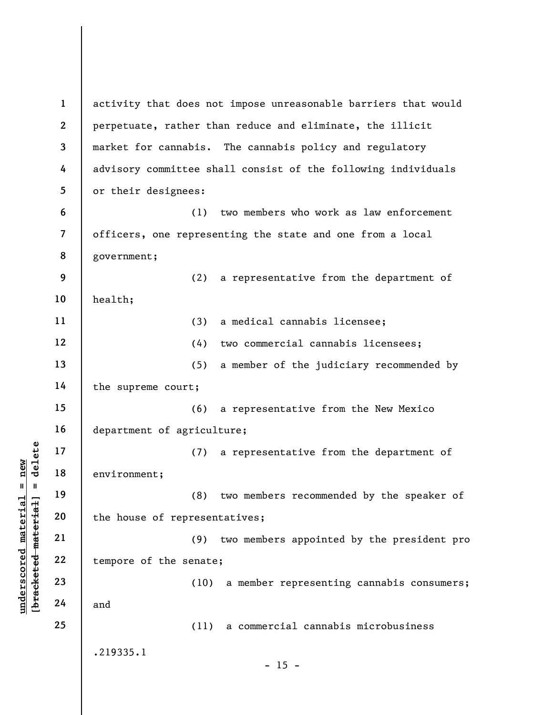underscored material = new [bracketed material] = delete 1 2 3 4 5 6 7 8 9 10 11 12 13 14 15 16 17 18 19 20 21 22 23 24 25 activity that does not impose unreasonable barriers that would perpetuate, rather than reduce and eliminate, the illicit market for cannabis. The cannabis policy and regulatory advisory committee shall consist of the following individuals or their designees: (1) two members who work as law enforcement officers, one representing the state and one from a local government; (2) a representative from the department of health; (3) a medical cannabis licensee; (4) two commercial cannabis licensees; (5) a member of the judiciary recommended by the supreme court; (6) a representative from the New Mexico department of agriculture; (7) a representative from the department of environment; (8) two members recommended by the speaker of the house of representatives; (9) two members appointed by the president pro tempore of the senate; (10) a member representing cannabis consumers; and (11) a commercial cannabis microbusiness .219335.1  $- 15 -$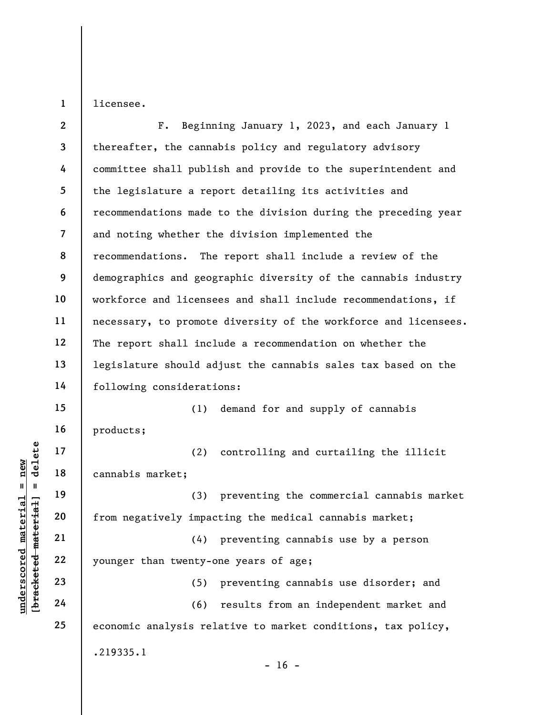licensee.

1

underscored material = new [bracketed material] = delete 2 3 4 5 6 7 8 9 10 11 12 13 14 15 16 17 18 19 20 21 22 23 24 25 F. Beginning January 1, 2023, and each January 1 thereafter, the cannabis policy and regulatory advisory committee shall publish and provide to the superintendent and the legislature a report detailing its activities and recommendations made to the division during the preceding year and noting whether the division implemented the recommendations. The report shall include a review of the demographics and geographic diversity of the cannabis industry workforce and licensees and shall include recommendations, if necessary, to promote diversity of the workforce and licensees. The report shall include a recommendation on whether the legislature should adjust the cannabis sales tax based on the following considerations: (1) demand for and supply of cannabis products; (2) controlling and curtailing the illicit cannabis market; (3) preventing the commercial cannabis market from negatively impacting the medical cannabis market; (4) preventing cannabis use by a person younger than twenty-one years of age; (5) preventing cannabis use disorder; and (6) results from an independent market and economic analysis relative to market conditions, tax policy, .219335.1  $- 16 -$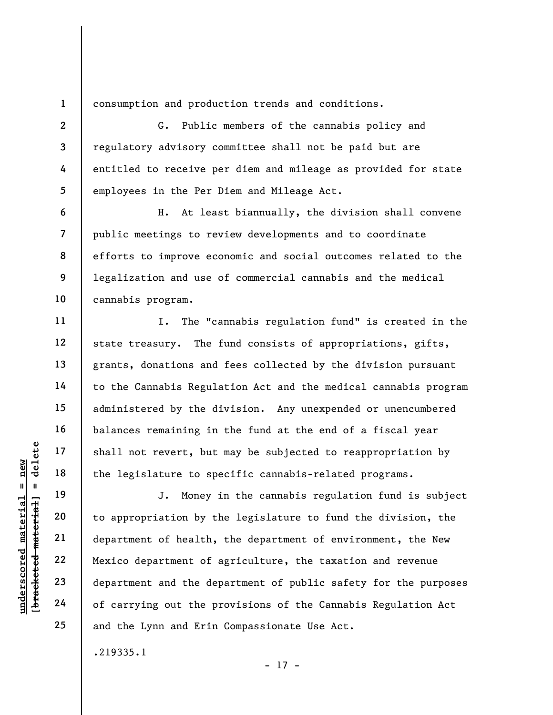consumption and production trends and conditions.

G. Public members of the cannabis policy and regulatory advisory committee shall not be paid but are entitled to receive per diem and mileage as provided for state employees in the Per Diem and Mileage Act.

H. At least biannually, the division shall convene public meetings to review developments and to coordinate efforts to improve economic and social outcomes related to the legalization and use of commercial cannabis and the medical cannabis program.

I. The "cannabis regulation fund" is created in the state treasury. The fund consists of appropriations, gifts, grants, donations and fees collected by the division pursuant to the Cannabis Regulation Act and the medical cannabis program administered by the division. Any unexpended or unencumbered balances remaining in the fund at the end of a fiscal year shall not revert, but may be subjected to reappropriation by the legislature to specific cannabis-related programs.

understand material shall not revert, but<br>  $\begin{array}{c|c|c|c} \hline \text{u} & \text{u} & \text{u} & \text{u} \\ \hline \text{u} & \text{u} & \text{u} & \text{u} \\ \hline \text{u} & \text{u} & \text{u} & \text{u} \\ \hline \text{u} & \text{u} & \text{u} & \text{u} \\ \hline \text{u} & \text{u} & \text{u} & \text{u} \\ \hline \text{u} & \text{u} & \text{u} & \text{u} \\ \hline$ J. Money in the cannabis regulation fund is subject to appropriation by the legislature to fund the division, the department of health, the department of environment, the New Mexico department of agriculture, the taxation and revenue department and the department of public safety for the purposes of carrying out the provisions of the Cannabis Regulation Act and the Lynn and Erin Compassionate Use Act.

- 17 -

.219335.1

1

2

3

4

5

6

7

8

9

10

11

12

13

14

15

16

17

18

19

20

21

22

23

24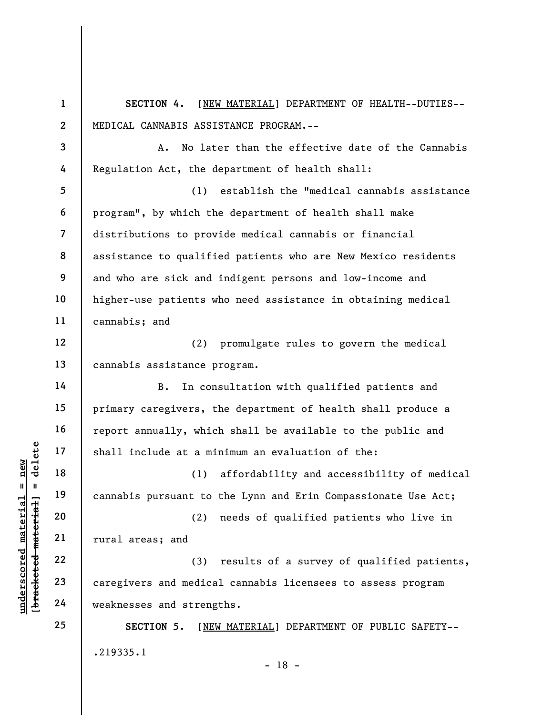underscored material material end at a mind-<br>  $\begin{bmatrix}\n1 & 1 & 1 & 1 \\
0 & 1 & 1 & 1 \\
0 & 0 & 0 & 0 \\
0 & 0 & 0 & 0 \\
0 & 0 & 0 & 0 \\
0 & 0 & 0 & 0 \\
0 & 0 & 0 & 0 \\
0 & 0 & 0 & 0 \\
0 & 0 & 0 & 0 \\
0 & 0 & 0 & 0 \\
0 & 0 & 0 & 0 \\
0 & 0 & 0 & 0 \\
0 & 0 & 0 & 0 \\
0 & 0 & 0 & 0 \\
0 & 0 & 0 & 0 \\
0 &$ 1 2 3 4 5 6 7 8 9 10 11 12 13 14 15 16 17 18 19 20 21 22 23 24 25 SECTION 4. [NEW MATERIAL] DEPARTMENT OF HEALTH--DUTIES-- MEDICAL CANNABIS ASSISTANCE PROGRAM.-- A. No later than the effective date of the Cannabis Regulation Act, the department of health shall: (1) establish the "medical cannabis assistance program", by which the department of health shall make distributions to provide medical cannabis or financial assistance to qualified patients who are New Mexico residents and who are sick and indigent persons and low-income and higher-use patients who need assistance in obtaining medical cannabis; and (2) promulgate rules to govern the medical cannabis assistance program. B. In consultation with qualified patients and primary caregivers, the department of health shall produce a report annually, which shall be available to the public and shall include at a minimum an evaluation of the: (1) affordability and accessibility of medical cannabis pursuant to the Lynn and Erin Compassionate Use Act; (2) needs of qualified patients who live in rural areas; and (3) results of a survey of qualified patients, caregivers and medical cannabis licensees to assess program weaknesses and strengths. SECTION 5. [NEW MATERIAL] DEPARTMENT OF PUBLIC SAFETY-- .219335.1 - 18 -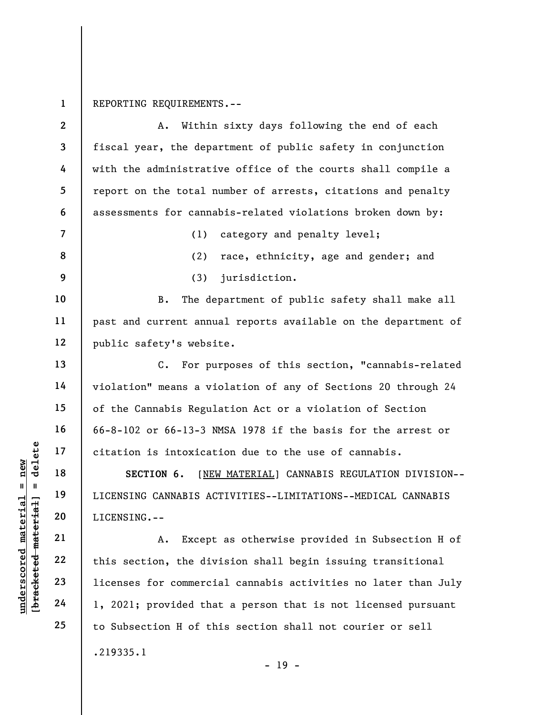1 REPORTING REQUIREMENTS.--

|                                        | $\boldsymbol{2}$ | Within sixty days following the end of each<br>Α.                |
|----------------------------------------|------------------|------------------------------------------------------------------|
|                                        | $\mathbf{3}$     | fiscal year, the department of public safety in conjunction      |
|                                        | 4                | with the administrative office of the courts shall compile a     |
|                                        | 5                | report on the total number of arrests, citations and penalty     |
|                                        | 6                | assessments for cannabis-related violations broken down by:      |
|                                        | $\overline{7}$   | (1)<br>category and penalty level;                               |
|                                        | 8                | (2)<br>race, ethnicity, age and gender; and                      |
|                                        | 9                | jurisdiction.<br>(3)                                             |
|                                        | 10               | The department of public safety shall make all<br><b>B.</b>      |
|                                        | 11               | past and current annual reports available on the department of   |
|                                        | 12               | public safety's website.                                         |
|                                        | 13               | $C_{\bullet}$<br>For purposes of this section, "cannabis-related |
|                                        | 14               | violation" means a violation of any of Sections 20 through 24    |
|                                        | 15               | of the Cannabis Regulation Act or a violation of Section         |
|                                        | 16               | 66-8-102 or 66-13-3 NMSA 1978 if the basis for the arrest or     |
| delete                                 | 17               | citation is intoxication due to the use of cannabis.             |
| new                                    | 18               | SECTION 6.<br>[NEW MATERIAL] CANNABIS REGULATION DIVISION--      |
| Ш                                      | 19               | LICENSING CANNABIS ACTIVITIES--LIMITATIONS--MEDICAL CANNABIS     |
| erial<br>rial                          | 20               | LICENSING.--                                                     |
| mate<br>mat                            | 21               | Except as otherwise provided in Subsection H of<br>Α.            |
|                                        | 22               | this section, the division shall begin issuing transitional      |
| $underscore$<br>[ <del>bracketed</del> | 23               | licenses for commercial cannabis activities no later than July   |
|                                        | 24               | 1, 2021; provided that a person that is not licensed pursuant    |
|                                        | 25               | to Subsection H of this section shall not courier or sell        |
|                                        |                  | .219335.1<br>$-19 -$                                             |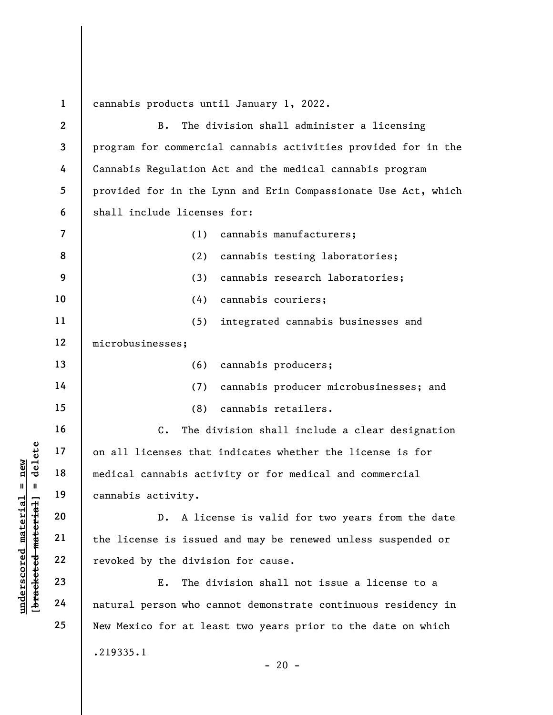underscored material = new [bracketed material] = delete 1 2 3 4 5 6 7 8 9 10 11 12 13 14 15 16 17 18 19 20 21 22 23 24 25 cannabis products until January 1, 2022. B. The division shall administer a licensing program for commercial cannabis activities provided for in the Cannabis Regulation Act and the medical cannabis program provided for in the Lynn and Erin Compassionate Use Act, which shall include licenses for: (1) cannabis manufacturers; (2) cannabis testing laboratories; (3) cannabis research laboratories; (4) cannabis couriers; (5) integrated cannabis businesses and microbusinesses; (6) cannabis producers; (7) cannabis producer microbusinesses; and (8) cannabis retailers. C. The division shall include a clear designation on all licenses that indicates whether the license is for medical cannabis activity or for medical and commercial cannabis activity. D. A license is valid for two years from the date the license is issued and may be renewed unless suspended or revoked by the division for cause. E. The division shall not issue a license to a natural person who cannot demonstrate continuous residency in New Mexico for at least two years prior to the date on which .219335.1  $- 20 -$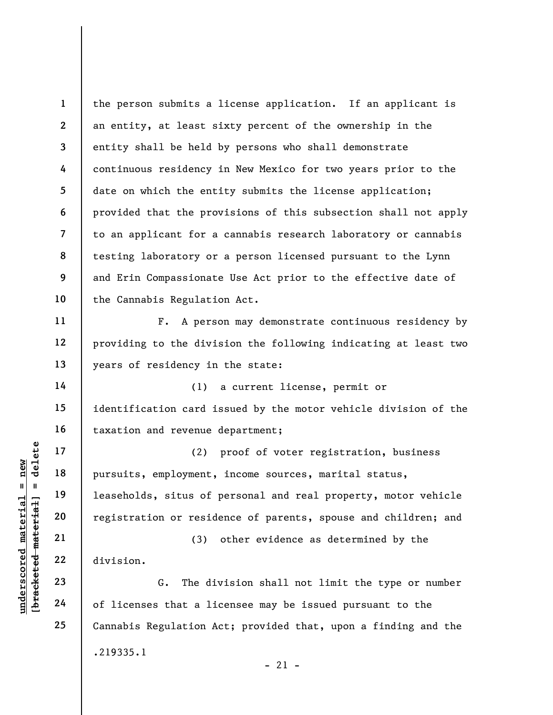1 2 3 4 5 6 7 8 9 10 the person submits a license application. If an applicant is an entity, at least sixty percent of the ownership in the entity shall be held by persons who shall demonstrate continuous residency in New Mexico for two years prior to the date on which the entity submits the license application; provided that the provisions of this subsection shall not apply to an applicant for a cannabis research laboratory or cannabis testing laboratory or a person licensed pursuant to the Lynn and Erin Compassionate Use Act prior to the effective date of the Cannabis Regulation Act.

F. A person may demonstrate continuous residency by providing to the division the following indicating at least two years of residency in the state:

(1) a current license, permit or identification card issued by the motor vehicle division of the taxation and revenue department;

understand material material of licenses that a limit of the correction of the discussion.<br>
The material of the correct material correct material correct material correct material correct material correct material correct (2) proof of voter registration, business pursuits, employment, income sources, marital status, leaseholds, situs of personal and real property, motor vehicle registration or residence of parents, spouse and children; and

(3) other evidence as determined by the division.

G. The division shall not limit the type or number of licenses that a licensee may be issued pursuant to the Cannabis Regulation Act; provided that, upon a finding and the .219335.1  $-21 -$ 

11

12

13

14

15

16

17

18

19

20

21

22

23

24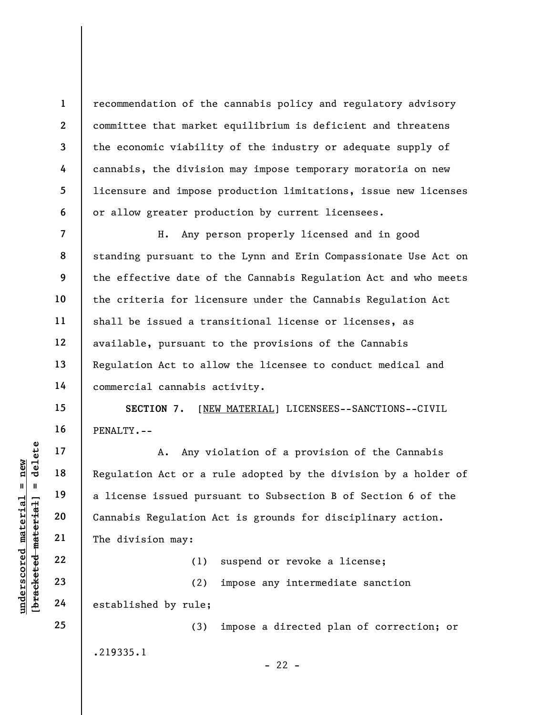recommendation of the cannabis policy and regulatory advisory committee that market equilibrium is deficient and threatens the economic viability of the industry or adequate supply of cannabis, the division may impose temporary moratoria on new licensure and impose production limitations, issue new licenses or allow greater production by current licensees.

8 9 10 12 H. Any person properly licensed and in good standing pursuant to the Lynn and Erin Compassionate Use Act on the effective date of the Cannabis Regulation Act and who meets the criteria for licensure under the Cannabis Regulation Act shall be issued a transitional license or licenses, as available, pursuant to the provisions of the Cannabis Regulation Act to allow the licensee to conduct medical and commercial cannabis activity.

SECTION 7. [NEW MATERIAL] LICENSEES--SANCTIONS--CIVIL PENALTY.--

underscored material material material expedience issued pursed material and a license issued pursed material and a license issued pursed material cannabis Regulation A cannabis Regulation A cannabis Regulation A cannabis A. Any violation of a provision of the Cannabis Regulation Act or a rule adopted by the division by a holder of a license issued pursuant to Subsection B of Section 6 of the Cannabis Regulation Act is grounds for disciplinary action. The division may:

(1) suspend or revoke a license;

(2) impose any intermediate sanction established by rule;

(3) impose a directed plan of correction; or .219335.1  $- 22 -$ 

24 25

1

2

3

4

5

6

7

11

13

14

15

16

17

18

19

20

21

22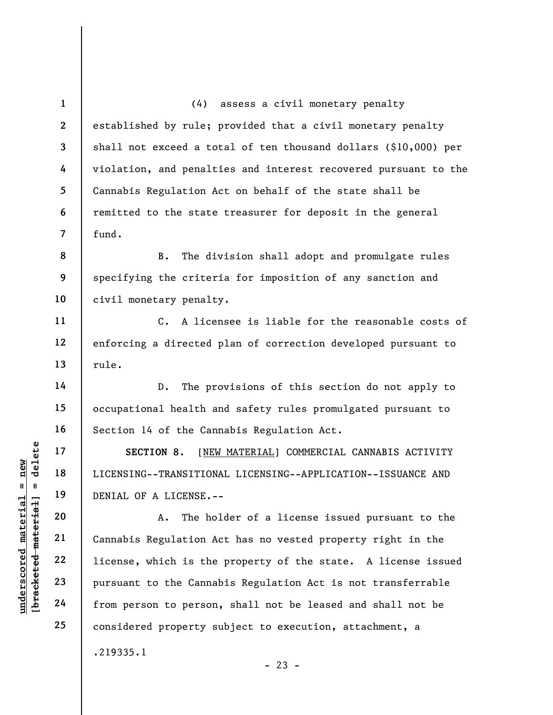2 3 5 7 (4) assess a civil monetary penalty established by rule; provided that a civil monetary penalty shall not exceed a total of ten thousand dollars (\$10,000) per violation, and penalties and interest recovered pursuant to the Cannabis Regulation Act on behalf of the state shall be remitted to the state treasurer for deposit in the general fund.

8 9 10 B. The division shall adopt and promulgate rules specifying the criteria for imposition of any sanction and civil monetary penalty.

C. A licensee is liable for the reasonable costs of enforcing a directed plan of correction developed pursuant to rule.

D. The provisions of this section do not apply to occupational health and safety rules promulgated pursuant to Section 14 of the Cannabis Regulation Act.

SECTION 8. [NEW MATERIAL] COMMERCIAL CANNABIS ACTIVITY LICENSING--TRANSITIONAL LICENSING--APPLICATION--ISSUANCE AND DENIAL OF A LICENSE.--

UNDERTRANSITION 8. [NET UNE 17]<br>
18 18 LICENSING--TRANSITION<br>
19 DENIAL OF A LICENSE.-<br>
20 A. The ho<br>
22 Cannabis Regulation A<br>
22 DENIAL OF A LICENSE.-<br>
22 Cannabis Regulation A<br>
23 Pursuant to the Canna<br>
24 From person t A. The holder of a license issued pursuant to the Cannabis Regulation Act has no vested property right in the license, which is the property of the state. A license issued pursuant to the Cannabis Regulation Act is not transferrable from person to person, shall not be leased and shall not be considered property subject to execution, attachment, a .219335.1

 $- 23 -$ 

1

4

6

11

12

13

14

15

16

17

18

19

20

21

22

23

24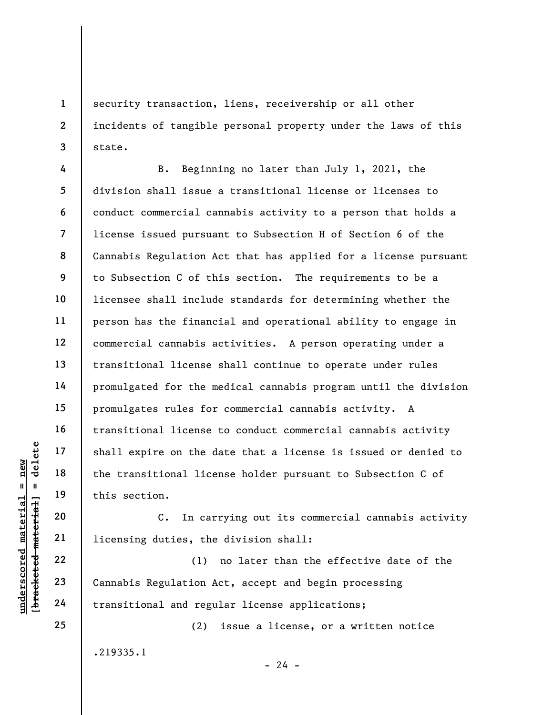security transaction, liens, receivership or all other incidents of tangible personal property under the laws of this state.

understand material shall expire on the d<br>
and the transitional lice<br>
this section.<br>
20<br>
10<br>
10<br>
22<br>
22<br>
23<br>
24<br>
24<br>
22<br>
24<br>
24<br>
22<br>
24<br>
22<br>
24<br>
22<br>
24<br>
22<br>
24<br>
22<br>
24<br>
22<br>
24<br>
22<br>
24<br>
22<br>
24<br>
22<br>
24<br>
22<br>
24<br>
22<br>
24<br>
22<br>
2 7 8 9 12 B. Beginning no later than July 1, 2021, the division shall issue a transitional license or licenses to conduct commercial cannabis activity to a person that holds a license issued pursuant to Subsection H of Section 6 of the Cannabis Regulation Act that has applied for a license pursuant to Subsection C of this section. The requirements to be a licensee shall include standards for determining whether the person has the financial and operational ability to engage in commercial cannabis activities. A person operating under a transitional license shall continue to operate under rules promulgated for the medical cannabis program until the division promulgates rules for commercial cannabis activity. A transitional license to conduct commercial cannabis activity shall expire on the date that a license is issued or denied to the transitional license holder pursuant to Subsection C of this section.

C. In carrying out its commercial cannabis activity licensing duties, the division shall:

(1) no later than the effective date of the Cannabis Regulation Act, accept and begin processing transitional and regular license applications;

(2) issue a license, or a written notice .219335.1

 $- 24 -$ 

24 25

1

2

3

4

5

6

10

11

13

14

15

16

17

18

19

20

21

22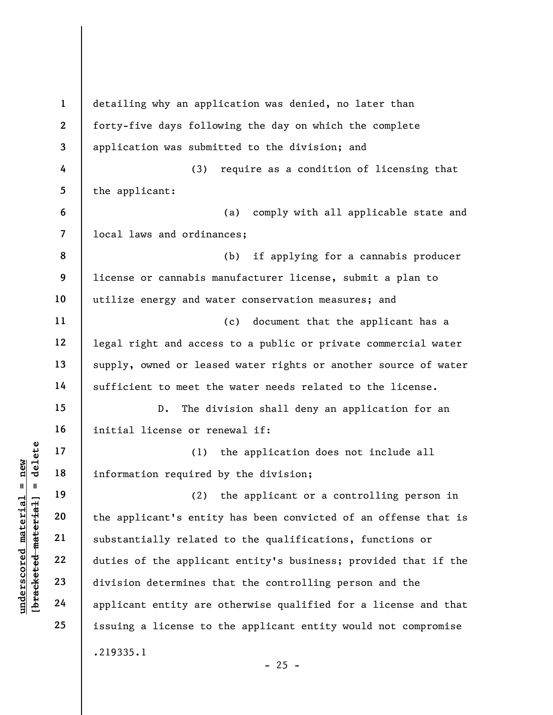understand material material of the applicant of the applicant of the applicant of the applicant of the applicant control of the applicant control of the applicant control of the applicant control of the applicant control 1 2 3 4 5 6 7 8 9 10 11 12 13 14 15 16 17 18 19 20 21 22 23 24 25 detailing why an application was denied, no later than forty-five days following the day on which the complete application was submitted to the division; and (3) require as a condition of licensing that the applicant: (a) comply with all applicable state and local laws and ordinances; (b) if applying for a cannabis producer license or cannabis manufacturer license, submit a plan to utilize energy and water conservation measures; and (c) document that the applicant has a legal right and access to a public or private commercial water supply, owned or leased water rights or another source of water sufficient to meet the water needs related to the license. D. The division shall deny an application for an initial license or renewal if: (1) the application does not include all information required by the division; (2) the applicant or a controlling person in the applicant's entity has been convicted of an offense that is substantially related to the qualifications, functions or duties of the applicant entity's business; provided that if the division determines that the controlling person and the applicant entity are otherwise qualified for a license and that issuing a license to the applicant entity would not compromise .219335.1  $- 25 -$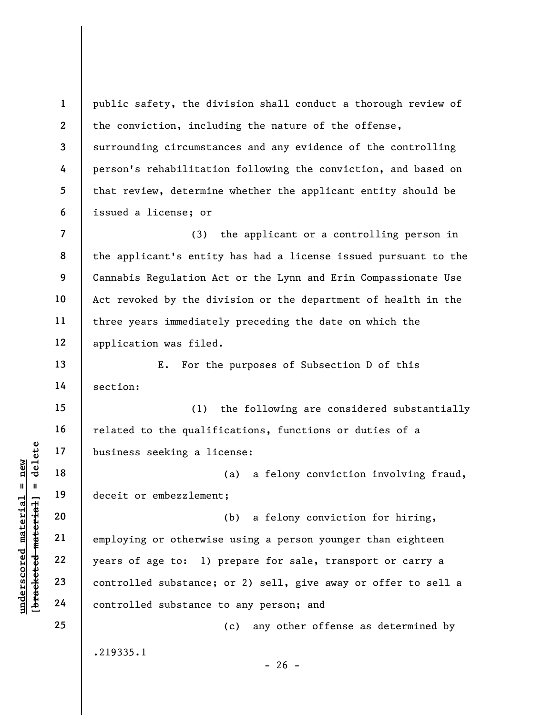underscored material = new [bracketed material] = delete 1 2 3 4 5 6 7 8 9 10 11 12 13 14 15 16 17 18 19 20 21 22 23 24 25 public safety, the division shall conduct a thorough review of the conviction, including the nature of the offense, surrounding circumstances and any evidence of the controlling person's rehabilitation following the conviction, and based on that review, determine whether the applicant entity should be issued a license; or (3) the applicant or a controlling person in the applicant's entity has had a license issued pursuant to the Cannabis Regulation Act or the Lynn and Erin Compassionate Use Act revoked by the division or the department of health in the three years immediately preceding the date on which the application was filed. E. For the purposes of Subsection D of this section: (1) the following are considered substantially related to the qualifications, functions or duties of a business seeking a license: (a) a felony conviction involving fraud, deceit or embezzlement; (b) a felony conviction for hiring, employing or otherwise using a person younger than eighteen years of age to: 1) prepare for sale, transport or carry a controlled substance; or 2) sell, give away or offer to sell a controlled substance to any person; and (c) any other offense as determined by .219335.1  $- 26 -$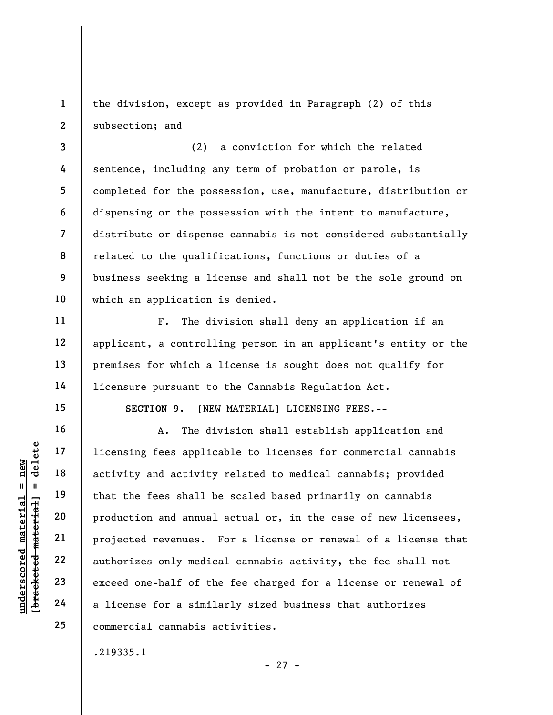1 2 the division, except as provided in Paragraph (2) of this subsection; and

3 4 5 6 7 8 9 10 (2) a conviction for which the related sentence, including any term of probation or parole, is completed for the possession, use, manufacture, distribution or dispensing or the possession with the intent to manufacture, distribute or dispense cannabis is not considered substantially related to the qualifications, functions or duties of a business seeking a license and shall not be the sole ground on which an application is denied.

F. The division shall deny an application if an applicant, a controlling person in an applicant's entity or the premises for which a license is sought does not qualify for licensure pursuant to the Cannabis Regulation Act.

SECTION 9. [NEW MATERIAL] LICENSING FEES.--

underscored material = new [bracketed material] = delete A. The division shall establish application and licensing fees applicable to licenses for commercial cannabis activity and activity related to medical cannabis; provided that the fees shall be scaled based primarily on cannabis production and annual actual or, in the case of new licensees, projected revenues. For a license or renewal of a license that authorizes only medical cannabis activity, the fee shall not exceed one-half of the fee charged for a license or renewal of a license for a similarly sized business that authorizes commercial cannabis activities.

- 27 -

.219335.1

11

12

13

14

15

16

17

18

19

20

21

22

23

24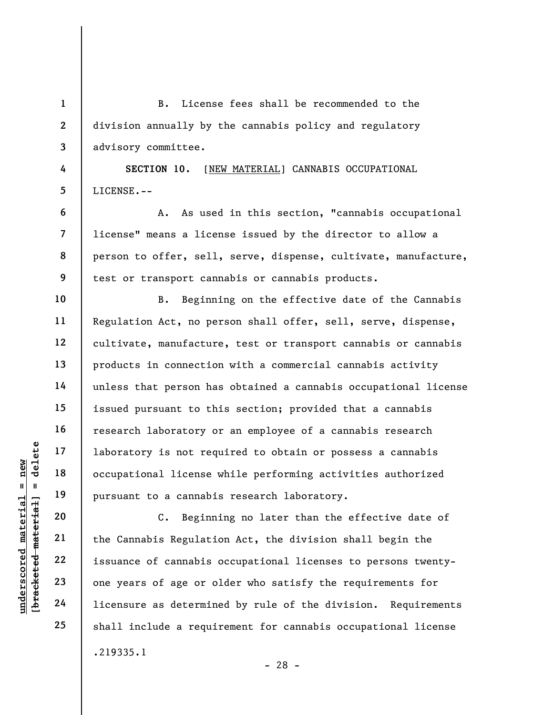underscore of cannabi<br>
underscore material of the Canadian service of cannabi<br>
underscore and the Canadian Service of canadian service of cannabis<br>
underscore and the Canadian Service of cannabis<br>
understanding the Canadia 1 2 3 4 5 6 7 8 9 10 11 12 13 14 15 16 17 18 19 20 21 22 23 24 B. License fees shall be recommended to the division annually by the cannabis policy and regulatory advisory committee. SECTION 10. [NEW MATERIAL] CANNABIS OCCUPATIONAL LICENSE.-- A. As used in this section, "cannabis occupational license" means a license issued by the director to allow a person to offer, sell, serve, dispense, cultivate, manufacture, test or transport cannabis or cannabis products. B. Beginning on the effective date of the Cannabis Regulation Act, no person shall offer, sell, serve, dispense, cultivate, manufacture, test or transport cannabis or cannabis products in connection with a commercial cannabis activity unless that person has obtained a cannabis occupational license issued pursuant to this section; provided that a cannabis research laboratory or an employee of a cannabis research laboratory is not required to obtain or possess a cannabis occupational license while performing activities authorized pursuant to a cannabis research laboratory. C. Beginning no later than the effective date of the Cannabis Regulation Act, the division shall begin the issuance of cannabis occupational licenses to persons twentyone years of age or older who satisfy the requirements for licensure as determined by rule of the division. Requirements

25

.219335.1

- 28 -

shall include a requirement for cannabis occupational license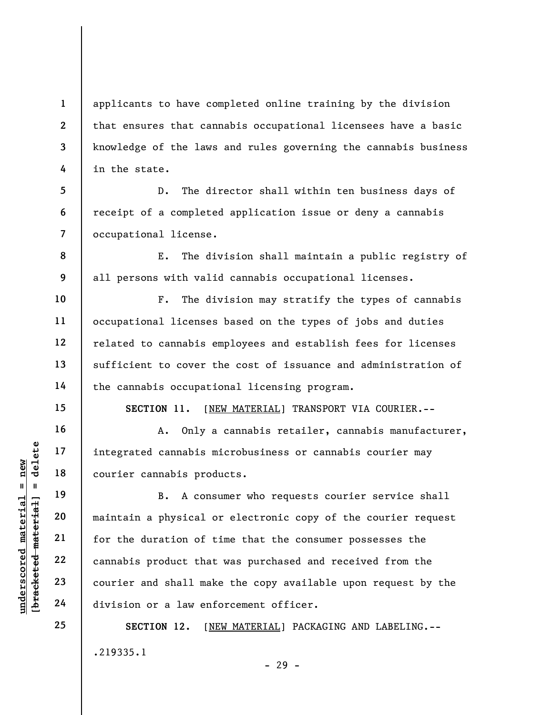1 2 3 4 applicants to have completed online training by the division that ensures that cannabis occupational licensees have a basic knowledge of the laws and rules governing the cannabis business in the state.

5 6 7 D. The director shall within ten business days of receipt of a completed application issue or deny a cannabis occupational license.

E. The division shall maintain a public registry of all persons with valid cannabis occupational licenses.

F. The division may stratify the types of cannabis occupational licenses based on the types of jobs and duties related to cannabis employees and establish fees for licenses sufficient to cover the cost of issuance and administration of the cannabis occupational licensing program.

SECTION 11. [NEW MATERIAL] TRANSPORT VIA COURIER.--

A. Only a cannabis retailer, cannabis manufacturer, integrated cannabis microbusiness or cannabis courier may courier cannabis products.

understand material material courier cannabis product that<br>
we were the duration of the duration of the duration of the duration of the duration of the duration of the duration of the duration of the duration of the durati B. A consumer who requests courier service shall maintain a physical or electronic copy of the courier request for the duration of time that the consumer possesses the cannabis product that was purchased and received from the courier and shall make the copy available upon request by the division or a law enforcement officer.

> SECTION 12. [NEW MATERIAL] PACKAGING AND LABELING.-- .219335.1

8

9

10

11

12

13

14

15

16

17

18

19

20

21

22

23

24

25

- 29 -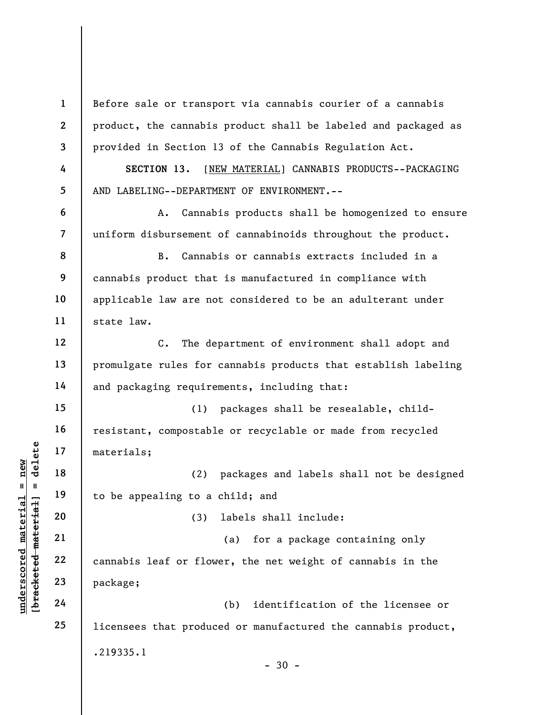underscored material = new [bracketed material] = delete 1 2 3 4 5 6 7 8 9 10 11 12 13 14 15 16 17 18 19 20 21 22 23 24 25 Before sale or transport via cannabis courier of a cannabis product, the cannabis product shall be labeled and packaged as provided in Section 13 of the Cannabis Regulation Act. SECTION 13. [NEW MATERIAL] CANNABIS PRODUCTS--PACKAGING AND LABELING--DEPARTMENT OF ENVIRONMENT.-- A. Cannabis products shall be homogenized to ensure uniform disbursement of cannabinoids throughout the product. B. Cannabis or cannabis extracts included in a cannabis product that is manufactured in compliance with applicable law are not considered to be an adulterant under state law. C. The department of environment shall adopt and promulgate rules for cannabis products that establish labeling and packaging requirements, including that: (1) packages shall be resealable, childresistant, compostable or recyclable or made from recycled materials; (2) packages and labels shall not be designed to be appealing to a child; and (3) labels shall include: (a) for a package containing only cannabis leaf or flower, the net weight of cannabis in the package; (b) identification of the licensee or licensees that produced or manufactured the cannabis product, .219335.1  $-30 -$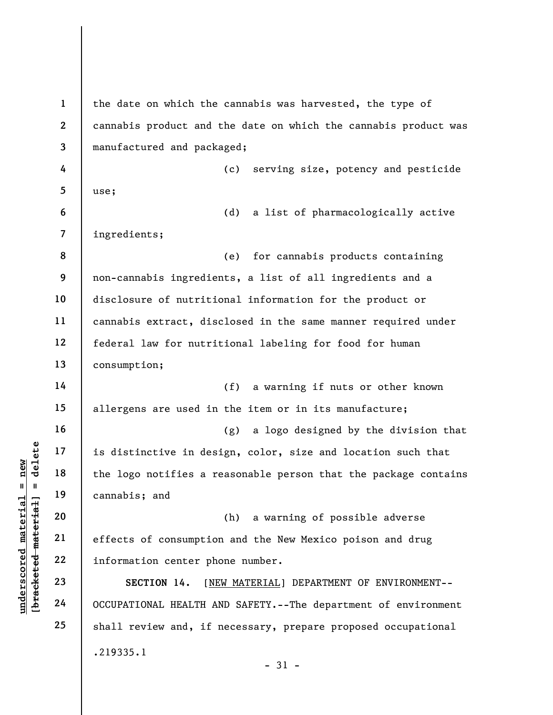underscored material effects of consumption<br>
with 19<br>
understand<br>
20<br>
understand<br>
21<br>
understand<br>
22<br>
23<br>
24<br>
24<br>
22<br>
24<br>
22<br>
24<br>
22<br>
24<br>
22<br>
24<br>
22<br>
24<br>
22<br>
24<br>
22<br>
24<br>
22<br>
24<br>
22<br>
24<br>
22<br>
24<br>
22<br>
24<br>
22<br>
24<br>
22<br>
24<br>
22<br> 1 2 3 4 5 6 7 8 9 10 11 12 13 14 15 16 17 18 19 20 21 22 23 24 25 the date on which the cannabis was harvested, the type of cannabis product and the date on which the cannabis product was manufactured and packaged; (c) serving size, potency and pesticide use; (d) a list of pharmacologically active ingredients; (e) for cannabis products containing non-cannabis ingredients, a list of all ingredients and a disclosure of nutritional information for the product or cannabis extract, disclosed in the same manner required under federal law for nutritional labeling for food for human consumption; (f) a warning if nuts or other known allergens are used in the item or in its manufacture; (g) a logo designed by the division that is distinctive in design, color, size and location such that the logo notifies a reasonable person that the package contains cannabis; and (h) a warning of possible adverse effects of consumption and the New Mexico poison and drug information center phone number. SECTION 14. [NEW MATERIAL] DEPARTMENT OF ENVIRONMENT-- OCCUPATIONAL HEALTH AND SAFETY.--The department of environment shall review and, if necessary, prepare proposed occupational .219335.1 - 31 -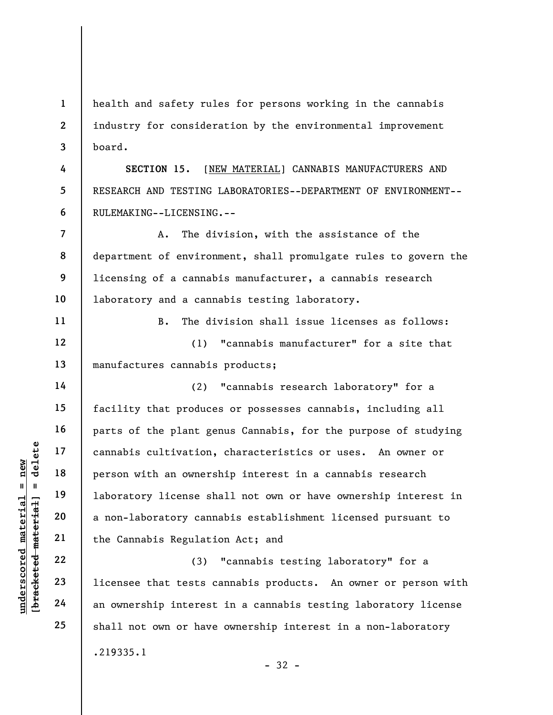1 2 3 health and safety rules for persons working in the cannabis industry for consideration by the environmental improvement board.

SECTION 15. [NEW MATERIAL] CANNABIS MANUFACTURERS AND RESEARCH AND TESTING LABORATORIES--DEPARTMENT OF ENVIRONMENT-- RULEMAKING--LICENSING.--

7 8 9 10 A. The division, with the assistance of the department of environment, shall promulgate rules to govern the licensing of a cannabis manufacturer, a cannabis research laboratory and a cannabis testing laboratory.

B. The division shall issue licenses as follows: (1) "cannabis manufacturer" for a site that manufactures cannabis products;

underscored material = new [bracketed material] = delete (2) "cannabis research laboratory" for a facility that produces or possesses cannabis, including all parts of the plant genus Cannabis, for the purpose of studying cannabis cultivation, characteristics or uses. An owner or person with an ownership interest in a cannabis research laboratory license shall not own or have ownership interest in a non-laboratory cannabis establishment licensed pursuant to the Cannabis Regulation Act; and

(3) "cannabis testing laboratory" for a licensee that tests cannabis products. An owner or person with an ownership interest in a cannabis testing laboratory license shall not own or have ownership interest in a non-laboratory .219335.1 - 32 -

4

5

6

11

12

13

14

15

16

17

18

19

20

21

22

23

24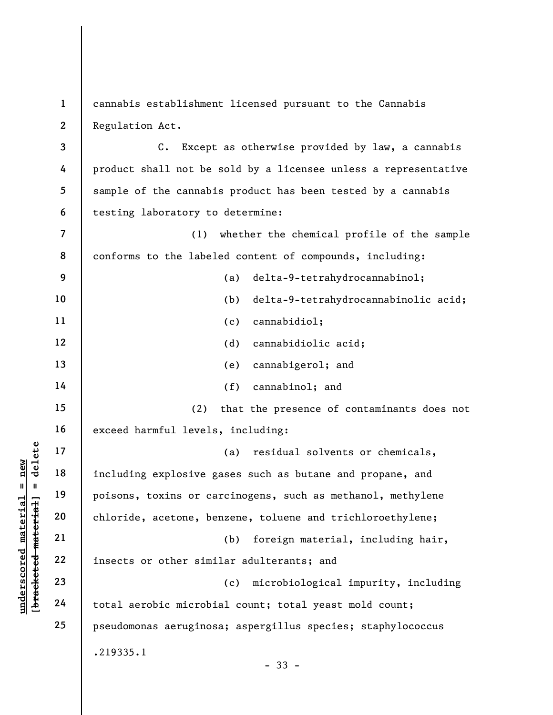1 2 cannabis establishment licensed pursuant to the Cannabis Regulation Act.

3 4 5 6 C. Except as otherwise provided by law, a cannabis product shall not be sold by a licensee unless a representative sample of the cannabis product has been tested by a cannabis testing laboratory to determine:

7 8 9 10 11 12 13 14 (1) whether the chemical profile of the sample conforms to the labeled content of compounds, including: (a) delta-9-tetrahydrocannabinol; (b) delta-9-tetrahydrocannabinolic acid; (c) cannabidiol; (d) cannabidiolic acid; (e) cannabigerol; and (f) cannabinol; and

(2) that the presence of contaminants does not exceed harmful levels, including:

underschied material explosive process or other simi<br>
weight a control of the section of the section of the section of the section of the section of the sector of the sector of the sector of the sector of the sector of the 17 18 19 20 21 22 23 24 25 (a) residual solvents or chemicals, including explosive gases such as butane and propane, and poisons, toxins or carcinogens, such as methanol, methylene chloride, acetone, benzene, toluene and trichloroethylene; (b) foreign material, including hair, insects or other similar adulterants; and (c) microbiological impurity, including total aerobic microbial count; total yeast mold count; pseudomonas aeruginosa; aspergillus species; staphylococcus .219335.1

15

16

- 33 -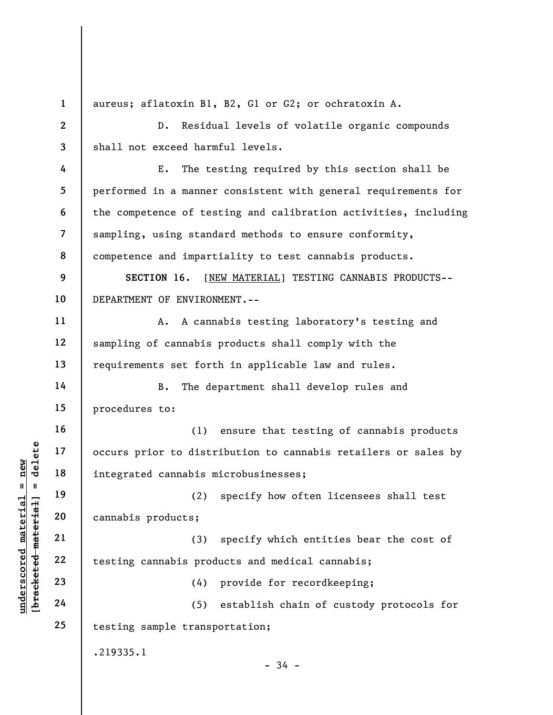under 17<br>
and 17<br>
and 18<br>
integrated cannabis π<br>
integrated cannabis π<br>
(2)<br>
cannabis products;<br>
21<br>
22<br>
testing cannabis prod<br>
23<br>
24<br>
(5)<br>
24 1 2 3 4 5 6 7 8 9 10 11 12 13 14 15 16 17 18 19 20 21 22 23 24 25 aureus; aflatoxin B1, B2, G1 or G2; or ochratoxin A. D. Residual levels of volatile organic compounds shall not exceed harmful levels. E. The testing required by this section shall be performed in a manner consistent with general requirements for the competence of testing and calibration activities, including sampling, using standard methods to ensure conformity, competence and impartiality to test cannabis products. SECTION 16. [NEW MATERIAL] TESTING CANNABIS PRODUCTS-- DEPARTMENT OF ENVIRONMENT.-- A. A cannabis testing laboratory's testing and sampling of cannabis products shall comply with the requirements set forth in applicable law and rules. B. The department shall develop rules and procedures to: (1) ensure that testing of cannabis products occurs prior to distribution to cannabis retailers or sales by integrated cannabis microbusinesses; (2) specify how often licensees shall test cannabis products; (3) specify which entities bear the cost of testing cannabis products and medical cannabis; (4) provide for recordkeeping; (5) establish chain of custody protocols for testing sample transportation; .219335.1  $-34 -$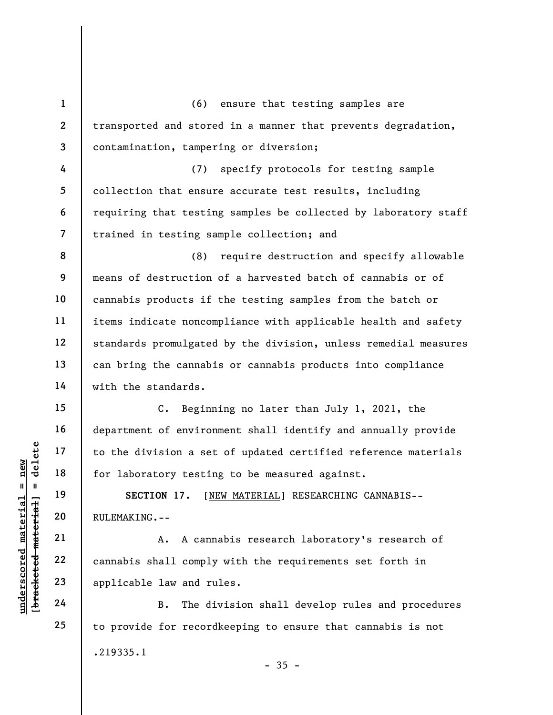1 2 3 4 5 6 7 8 9 10 11 12 13 14 15 16 (6) ensure that testing samples are transported and stored in a manner that prevents degradation, contamination, tampering or diversion; (7) specify protocols for testing sample collection that ensure accurate test results, including requiring that testing samples be collected by laboratory staff trained in testing sample collection; and (8) require destruction and specify allowable means of destruction of a harvested batch of cannabis or of cannabis products if the testing samples from the batch or items indicate noncompliance with applicable health and safety standards promulgated by the division, unless remedial measures can bring the cannabis or cannabis products into compliance with the standards. C. Beginning no later than July 1, 2021, the department of environment shall identify and annually provide

to the division a set of updated certified reference materials for laboratory testing to be measured against.

SECTION 17. [NEW MATERIAL] RESEARCHING CANNABIS-- RULEMAKING.--

UN EXECTION 17. [N]<br>
19 18 for laboratory testin<br>
19 SECTION 17. [N]<br>
20 RULEMAKING.--<br>
21 A. A cann<br>
22 cannabis shall comply<br>
23 applicable law and runged 24 B. The di A. A cannabis research laboratory's research of cannabis shall comply with the requirements set forth in applicable law and rules.

B. The division shall develop rules and procedures to provide for recordkeeping to ensure that cannabis is not .219335.1  $-35 -$ 

17

18

19

20

21

22

23

24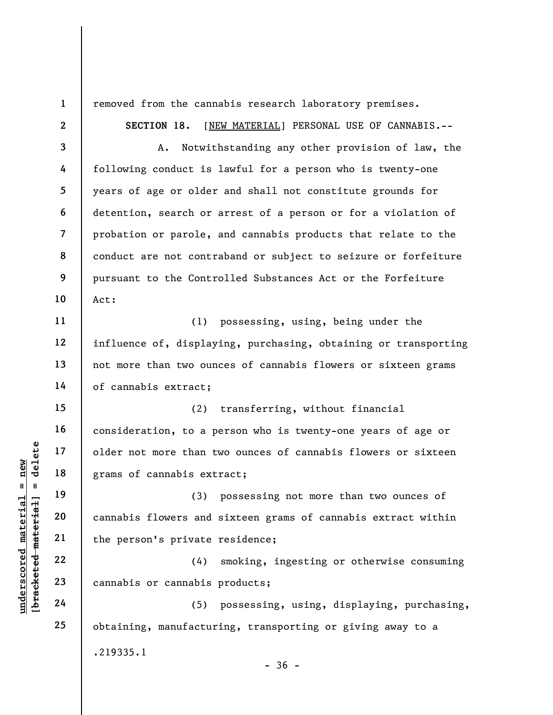underscored material = new [bracketed material] = delete 1 2 3 4 5 6 7 8 9 10 11 12 13 14 15 16 17 18 19 20 21 22 23 24 25 removed from the cannabis research laboratory premises. SECTION 18. [NEW MATERIAL] PERSONAL USE OF CANNABIS.-- A. Notwithstanding any other provision of law, the following conduct is lawful for a person who is twenty-one years of age or older and shall not constitute grounds for detention, search or arrest of a person or for a violation of probation or parole, and cannabis products that relate to the conduct are not contraband or subject to seizure or forfeiture pursuant to the Controlled Substances Act or the Forfeiture Act: (1) possessing, using, being under the influence of, displaying, purchasing, obtaining or transporting not more than two ounces of cannabis flowers or sixteen grams of cannabis extract; (2) transferring, without financial consideration, to a person who is twenty-one years of age or older not more than two ounces of cannabis flowers or sixteen grams of cannabis extract; (3) possessing not more than two ounces of cannabis flowers and sixteen grams of cannabis extract within the person's private residence; (4) smoking, ingesting or otherwise consuming cannabis or cannabis products; (5) possessing, using, displaying, purchasing, obtaining, manufacturing, transporting or giving away to a

.219335.1

 $-36 -$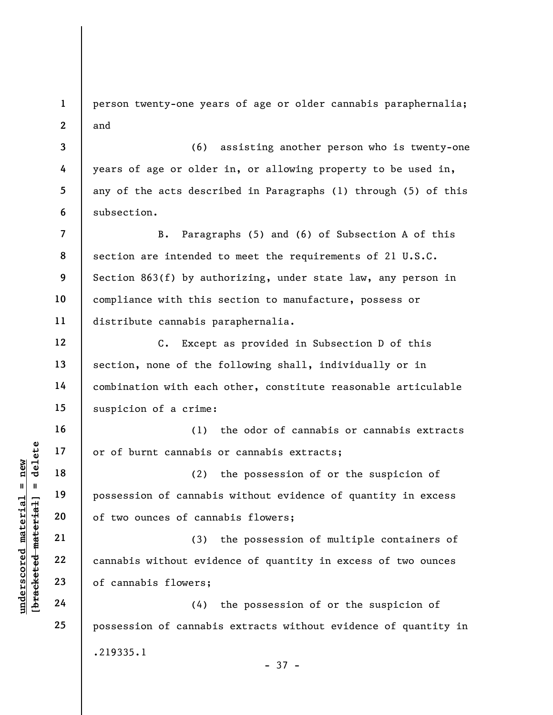1 2 person twenty-one years of age or older cannabis paraphernalia; and

(6) assisting another person who is twenty-one years of age or older in, or allowing property to be used in, any of the acts described in Paragraphs (1) through (5) of this subsection.

7 8 9 10 11 B. Paragraphs (5) and (6) of Subsection A of this section are intended to meet the requirements of 21 U.S.C. Section 863(f) by authorizing, under state law, any person in compliance with this section to manufacture, possess or distribute cannabis paraphernalia.

C. Except as provided in Subsection D of this section, none of the following shall, individually or in combination with each other, constitute reasonable articulable suspicion of a crime:

(1) the odor of cannabis or cannabis extracts or of burnt cannabis or cannabis extracts;

underscored material and the set of two ounces of cannot annual set of two ounces of cannot cannot cannot contain the set of cannot cannot cannot cannot cannot cannot cannot cannot cannot cannot cannot cannot cannot cannot (2) the possession of or the suspicion of possession of cannabis without evidence of quantity in excess of two ounces of cannabis flowers;

(3) the possession of multiple containers of cannabis without evidence of quantity in excess of two ounces of cannabis flowers;

(4) the possession of or the suspicion of possession of cannabis extracts without evidence of quantity in .219335.1 - 37 -

3

4

5

6

12

13

14

15

16

17

18

19

20

21

22

23

24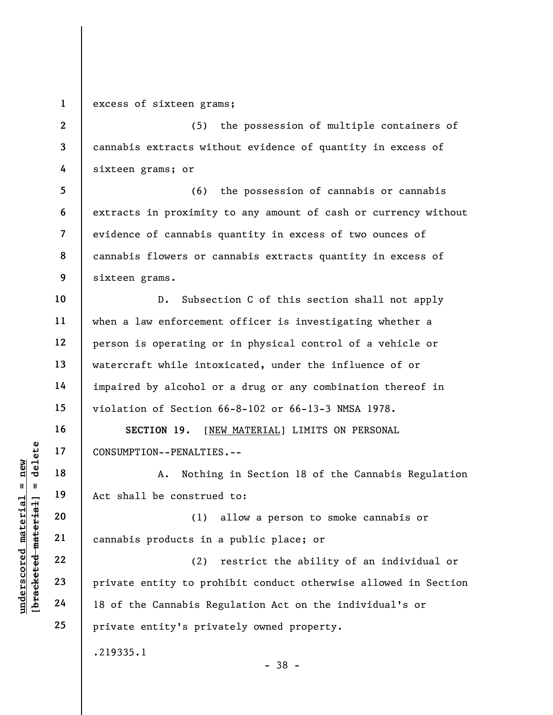1

excess of sixteen grams;

2 3 4 (5) the possession of multiple containers of cannabis extracts without evidence of quantity in excess of sixteen grams; or

5 6 7 8 9 (6) the possession of cannabis or cannabis extracts in proximity to any amount of cash or currency without evidence of cannabis quantity in excess of two ounces of cannabis flowers or cannabis extracts quantity in excess of sixteen grams.

10 11 12 13 14 15 D. Subsection C of this section shall not apply when a law enforcement officer is investigating whether a person is operating or in physical control of a vehicle or watercraft while intoxicated, under the influence of or impaired by alcohol or a drug or any combination thereof in violation of Section 66-8-102 or 66-13-3 NMSA 1978.

SECTION 19. [NEW MATERIAL] LIMITS ON PERSONAL CONSUMPTION--PENALTIES.--

A. Nothing in Section 18 of the Cannabis Regulation Act shall be construed to:

(1) allow a person to smoke cannabis or cannabis products in a public place; or

UNDER 17<br>
UNDER 18<br>
UNDER 19<br>
UNDER 19<br>
20<br>
UNDER 19<br>
21<br>
22<br>
23<br>
Private entity to products in<br>
24<br>
18 of the Cannabis Re (2) restrict the ability of an individual or private entity to prohibit conduct otherwise allowed in Section 18 of the Cannabis Regulation Act on the individual's or private entity's privately owned property.

.219335.1

- 38 -

16

17

18

19

20

21

22

23

24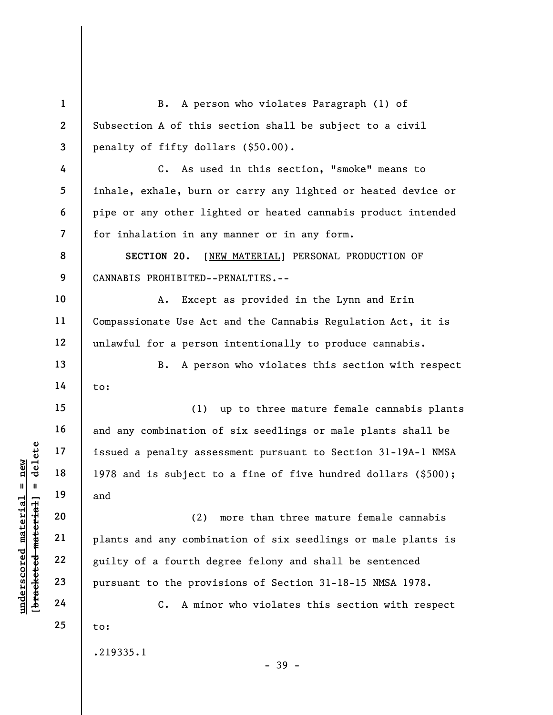underscored material = new [bracketed material] = delete 1 2 3 4 5 6 7 8 9 10 11 12 13 14 15 16 17 18 19 20 21 22 23 24 25 B. A person who violates Paragraph (1) of Subsection A of this section shall be subject to a civil penalty of fifty dollars (\$50.00). C. As used in this section, "smoke" means to inhale, exhale, burn or carry any lighted or heated device or pipe or any other lighted or heated cannabis product intended for inhalation in any manner or in any form. SECTION 20. [NEW MATERIAL] PERSONAL PRODUCTION OF CANNABIS PROHIBITED--PENALTIES.-- A. Except as provided in the Lynn and Erin Compassionate Use Act and the Cannabis Regulation Act, it is unlawful for a person intentionally to produce cannabis. B. A person who violates this section with respect to: (1) up to three mature female cannabis plants and any combination of six seedlings or male plants shall be issued a penalty assessment pursuant to Section 31-19A-1 NMSA 1978 and is subject to a fine of five hundred dollars (\$500); and (2) more than three mature female cannabis plants and any combination of six seedlings or male plants is guilty of a fourth degree felony and shall be sentenced pursuant to the provisions of Section 31-18-15 NMSA 1978. C. A minor who violates this section with respect to: .219335.1

- 39 -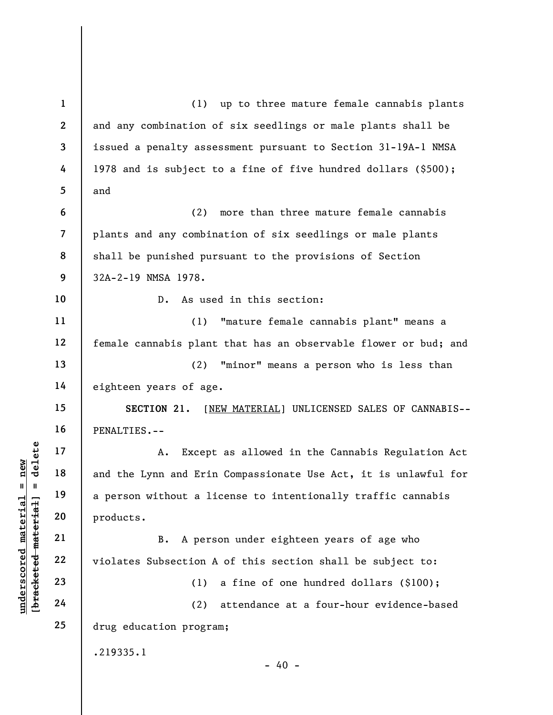underschied material material except<br>
a person without a lie products.<br>
B. A person and Erin and Erin and Erin and Erin and Erin and Erin and Erin and Erin and Erin and Erin and Erin<br>
20 products.<br>
B. A person (1)<br>
24 (2) 1 2 3 4 5 6 7 8 9 10 11 12 13 14 15 16 17 18 19 20 21 22 23 24 25 (1) up to three mature female cannabis plants and any combination of six seedlings or male plants shall be issued a penalty assessment pursuant to Section 31-19A-1 NMSA 1978 and is subject to a fine of five hundred dollars (\$500); and (2) more than three mature female cannabis plants and any combination of six seedlings or male plants shall be punished pursuant to the provisions of Section 32A-2-19 NMSA 1978. D. As used in this section: (1) "mature female cannabis plant" means a female cannabis plant that has an observable flower or bud; and (2) "minor" means a person who is less than eighteen years of age. SECTION 21. [NEW MATERIAL] UNLICENSED SALES OF CANNABIS-- PENALTIES.-- A. Except as allowed in the Cannabis Regulation Act and the Lynn and Erin Compassionate Use Act, it is unlawful for a person without a license to intentionally traffic cannabis products. B. A person under eighteen years of age who violates Subsection A of this section shall be subject to: (1) a fine of one hundred dollars (\$100); (2) attendance at a four-hour evidence-based drug education program; .219335.1  $- 40 -$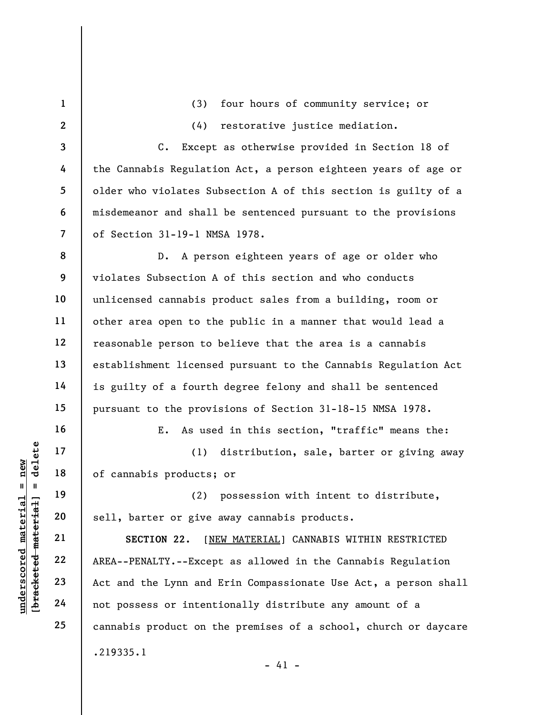UN EXECTION 22<br>
UN EXECTION 22<br>
UN EXECTION 22. [N]<br>
UN EXECTION 22. [N]<br>
UN EXECTION 22. [N]<br>
UN EXECTION 22. [N]<br>
UN EXECTION 22. [N]<br>
23<br>
AREA--PENALTY.--Excep<br>
24<br>
not possess or intent 1 2 3 4 5 6 7 8 9 10 11 12 13 14 15 16 17 18 19 20 21 22 23 24 25 (3) four hours of community service; or (4) restorative justice mediation. C. Except as otherwise provided in Section 18 of the Cannabis Regulation Act, a person eighteen years of age or older who violates Subsection A of this section is guilty of a misdemeanor and shall be sentenced pursuant to the provisions of Section 31-19-1 NMSA 1978. D. A person eighteen years of age or older who violates Subsection A of this section and who conducts unlicensed cannabis product sales from a building, room or other area open to the public in a manner that would lead a reasonable person to believe that the area is a cannabis establishment licensed pursuant to the Cannabis Regulation Act is guilty of a fourth degree felony and shall be sentenced pursuant to the provisions of Section 31-18-15 NMSA 1978. E. As used in this section, "traffic" means the: (1) distribution, sale, barter or giving away of cannabis products; or (2) possession with intent to distribute, sell, barter or give away cannabis products. SECTION 22. [NEW MATERIAL] CANNABIS WITHIN RESTRICTED AREA--PENALTY.--Except as allowed in the Cannabis Regulation Act and the Lynn and Erin Compassionate Use Act, a person shall not possess or intentionally distribute any amount of a cannabis product on the premises of a school, church or daycare .219335.1  $- 41 -$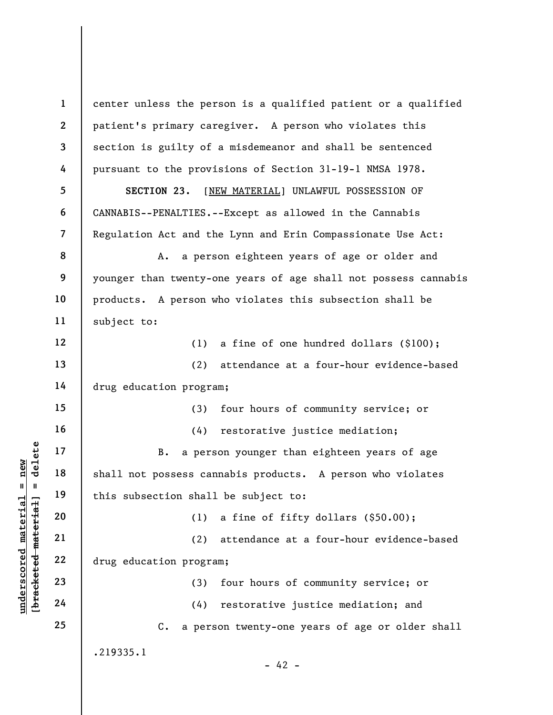underschied material material et al. 17<br>  $\begin{bmatrix}\n1 & 1 & 18 \\
0 & 1 & 19 \\
0 & 2 & 20 \\
0 & 0 & 21 \\
0 & 0 & 22 \\
0 & 0 & 22 \\
0 & 0 & 23 \\
0 & 0 & 24\n\end{bmatrix}$  (1)<br>  $\begin{bmatrix}\n1 & 19 \\
21 & 22 \\
4 \end{bmatrix}$  (2)<br>  $\begin{bmatrix}\n1 & 2 & 2 \\
0 & 1 & 2 \\
0 & 0 & 2 \\
0 & 2 & 3 \\
0 & 24 & 4\n\end{b$ 1 2 3 4 5 6 7 8 9 10 11 12 13 14 15 16 17 18 19 20 21 22 23 24 25 center unless the person is a qualified patient or a qualified patient's primary caregiver. A person who violates this section is guilty of a misdemeanor and shall be sentenced pursuant to the provisions of Section 31-19-1 NMSA 1978. SECTION 23. [NEW MATERIAL] UNLAWFUL POSSESSION OF CANNABIS--PENALTIES.--Except as allowed in the Cannabis Regulation Act and the Lynn and Erin Compassionate Use Act: A. a person eighteen years of age or older and younger than twenty-one years of age shall not possess cannabis products. A person who violates this subsection shall be subject to: (1) a fine of one hundred dollars (\$100); (2) attendance at a four-hour evidence-based drug education program; (3) four hours of community service; or (4) restorative justice mediation; B. a person younger than eighteen years of age shall not possess cannabis products. A person who violates this subsection shall be subject to: (1) a fine of fifty dollars (\$50.00); (2) attendance at a four-hour evidence-based drug education program; (3) four hours of community service; or (4) restorative justice mediation; and C. a person twenty-one years of age or older shall .219335.1  $- 42 -$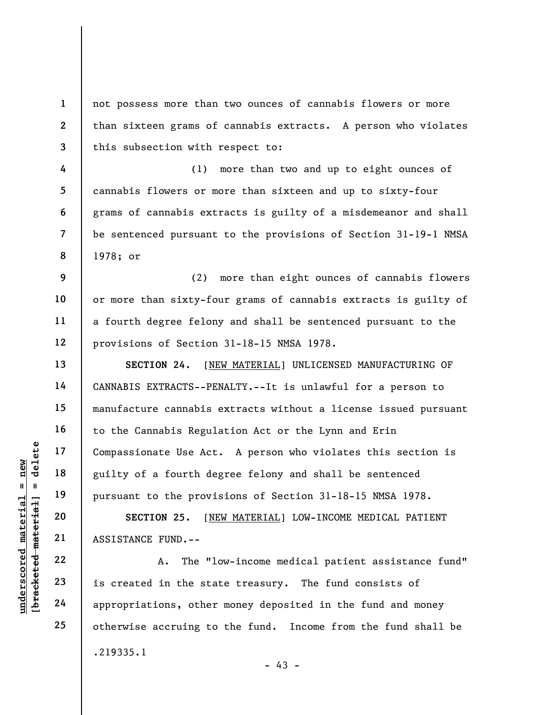not possess more than two ounces of cannabis flowers or more than sixteen grams of cannabis extracts. A person who violates this subsection with respect to:

(1) more than two and up to eight ounces of cannabis flowers or more than sixteen and up to sixty-four grams of cannabis extracts is guilty of a misdemeanor and shall be sentenced pursuant to the provisions of Section 31-19-1 NMSA 1978; or

(2) more than eight ounces of cannabis flowers or more than sixty-four grams of cannabis extracts is guilty of a fourth degree felony and shall be sentenced pursuant to the provisions of Section 31-18-15 NMSA 1978.

underscored material = new [bracketed material] = delete SECTION 24. [NEW MATERIAL] UNLICENSED MANUFACTURING OF CANNABIS EXTRACTS--PENALTY.--It is unlawful for a person to manufacture cannabis extracts without a license issued pursuant to the Cannabis Regulation Act or the Lynn and Erin Compassionate Use Act. A person who violates this section is guilty of a fourth degree felony and shall be sentenced pursuant to the provisions of Section 31-18-15 NMSA 1978.

SECTION 25. [NEW MATERIAL] LOW-INCOME MEDICAL PATIENT ASSISTANCE FUND.--

A. The "low-income medical patient assistance fund" is created in the state treasury. The fund consists of appropriations, other money deposited in the fund and money otherwise accruing to the fund. Income from the fund shall be .219335.1

 $- 43 -$ 

1

2

3

4

5

6

7

8

9

10

11

12

13

14

15

16

17

18

19

20

21

22

23

24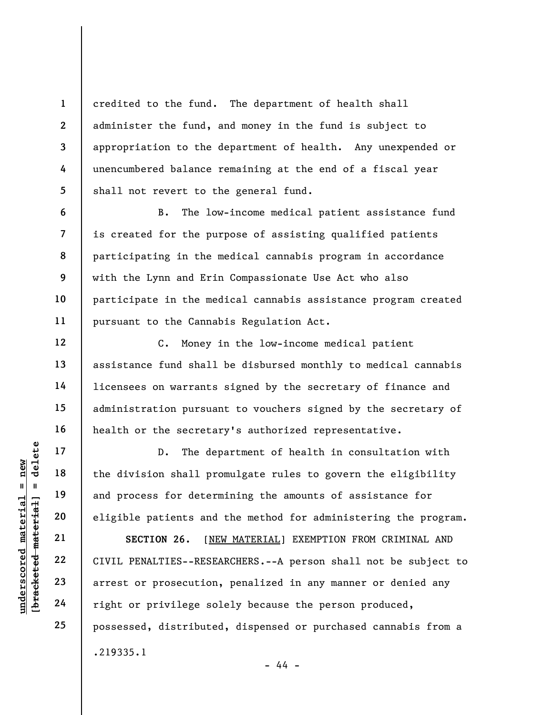credited to the fund. The department of health shall administer the fund, and money in the fund is subject to appropriation to the department of health. Any unexpended or unencumbered balance remaining at the end of a fiscal year shall not revert to the general fund.

B. The low-income medical patient assistance fund is created for the purpose of assisting qualified patients participating in the medical cannabis program in accordance with the Lynn and Erin Compassionate Use Act who also participate in the medical cannabis assistance program created pursuant to the Cannabis Regulation Act.

C. Money in the low-income medical patient assistance fund shall be disbursed monthly to medical cannabis licensees on warrants signed by the secretary of finance and administration pursuant to vouchers signed by the secretary of health or the secretary's authorized representative.

D. The department of health in consultation with the division shall promulgate rules to govern the eligibility and process for determining the amounts of assistance for eligible patients and the method for administering the program.

UNDERETENTIES --RESE SECTION 26. [NEW MATERIAL] EXEMPTION FROM CRIMINAL AND CIVIL PENALTIES--RESEARCHERS.--A person shall not be subject to arrest or prosecution, penalized in any manner or denied any right or privilege solely because the person produced, possessed, distributed, dispensed or purchased cannabis from a .219335.1

- 44 -

1

2

3

4

5

6

7

8

9

10

11

12

13

14

15

16

17

18

19

20

21

22

23

24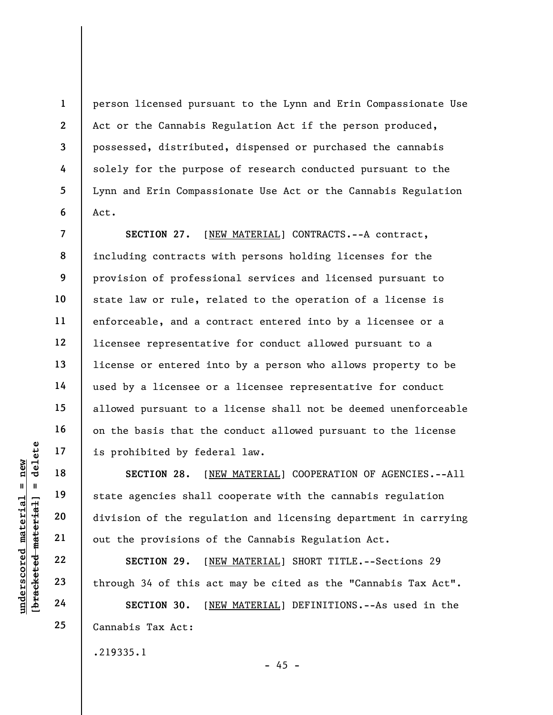person licensed pursuant to the Lynn and Erin Compassionate Use Act or the Cannabis Regulation Act if the person produced, possessed, distributed, dispensed or purchased the cannabis solely for the purpose of research conducted pursuant to the Lynn and Erin Compassionate Use Act or the Cannabis Regulation Act.

SECTION 27. [NEW MATERIAL] CONTRACTS.--A contract, including contracts with persons holding licenses for the provision of professional services and licensed pursuant to state law or rule, related to the operation of a license is enforceable, and a contract entered into by a licensee or a licensee representative for conduct allowed pursuant to a license or entered into by a person who allows property to be used by a licensee or a licensee representative for conduct allowed pursuant to a license shall not be deemed unenforceable on the basis that the conduct allowed pursuant to the license is prohibited by federal law.

underscored material material scores in the section of the regularity of the section of the regularity of the regularity of the regularity of the regularity of the regularity of the regularity of the regularity of the regu SECTION 28. [NEW MATERIAL] COOPERATION OF AGENCIES.--All state agencies shall cooperate with the cannabis regulation division of the regulation and licensing department in carrying out the provisions of the Cannabis Regulation Act.

SECTION 29. [NEW MATERIAL] SHORT TITLE. -- Sections 29 through 34 of this act may be cited as the "Cannabis Tax Act".

SECTION 30. [NEW MATERIAL] DEFINITIONS.--As used in the Cannabis Tax Act:

 $- 45 -$ 

.219335.1

1

2

3

4

5

6

7

8

9

10

11

12

13

14

15

16

17

18

19

20

21

22

23

24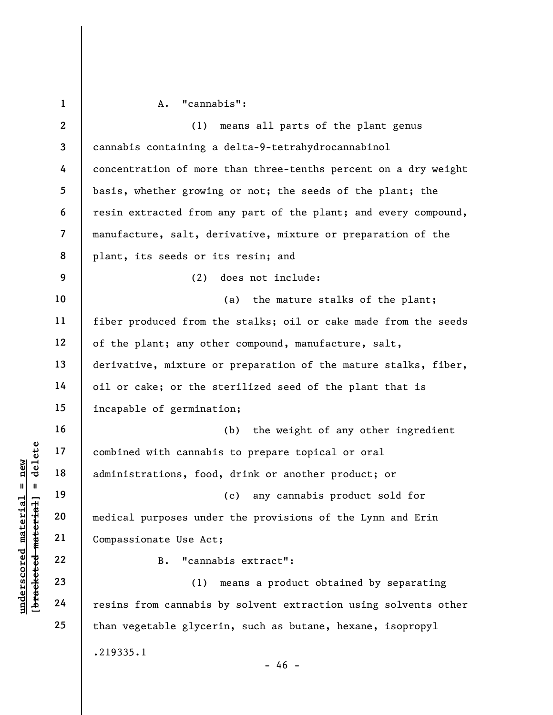underscored material = new [bracketed material] = delete 1 2 3 4 5 6 7 8 9 10 11 12 13 14 15 16 17 18 19 20 21 22 23 24 25 A. "cannabis": (1) means all parts of the plant genus cannabis containing a delta-9-tetrahydrocannabinol concentration of more than three-tenths percent on a dry weight basis, whether growing or not; the seeds of the plant; the resin extracted from any part of the plant; and every compound, manufacture, salt, derivative, mixture or preparation of the plant, its seeds or its resin; and (2) does not include: (a) the mature stalks of the plant; fiber produced from the stalks; oil or cake made from the seeds of the plant; any other compound, manufacture, salt, derivative, mixture or preparation of the mature stalks, fiber, oil or cake; or the sterilized seed of the plant that is incapable of germination; (b) the weight of any other ingredient combined with cannabis to prepare topical or oral administrations, food, drink or another product; or (c) any cannabis product sold for medical purposes under the provisions of the Lynn and Erin Compassionate Use Act; B. "cannabis extract": (1) means a product obtained by separating resins from cannabis by solvent extraction using solvents other than vegetable glycerin, such as butane, hexane, isopropyl .219335.1  $- 46 -$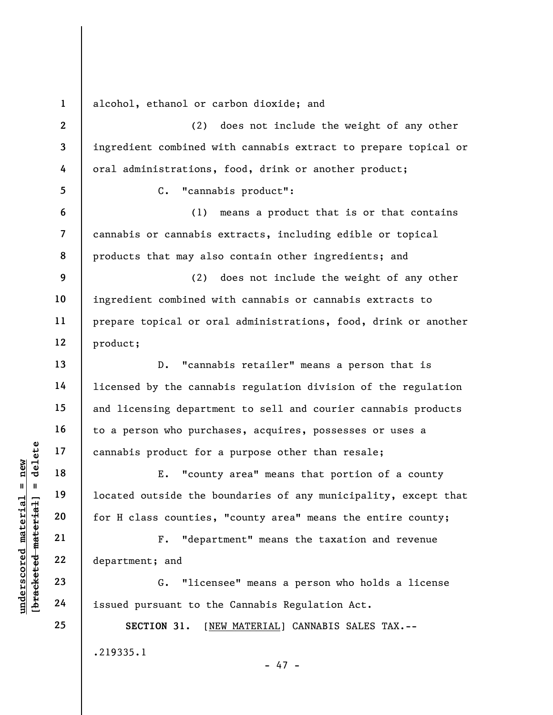1 alcohol, ethanol or carbon dioxide; and

2 3 4 (2) does not include the weight of any other ingredient combined with cannabis extract to prepare topical or oral administrations, food, drink or another product;

C. "cannabis product":

(1) means a product that is or that contains cannabis or cannabis extracts, including edible or topical products that may also contain other ingredients; and

9 10 11 12 (2) does not include the weight of any other ingredient combined with cannabis or cannabis extracts to prepare topical or oral administrations, food, drink or another product;

D. "cannabis retailer" means a person that is licensed by the cannabis regulation division of the regulation and licensing department to sell and courier cannabis products to a person who purchases, acquires, possesses or uses a cannabis product for a purpose other than resale;

understand material material material end of the set of the set of the set of the set of the set of the set of the set of the set of the set of the set of the set of the set of the set of the set of the set of the set of t E. "county area" means that portion of a county located outside the boundaries of any municipality, except that for H class counties, "county area" means the entire county;

F. "department" means the taxation and revenue department; and

G. "licensee" means a person who holds a license issued pursuant to the Cannabis Regulation Act.

SECTION 31. [NEW MATERIAL] CANNABIS SALES TAX.-- .219335.1 - 47 -

5

6

7

8

13

14

15

16

17

18

19

20

21

22

23

24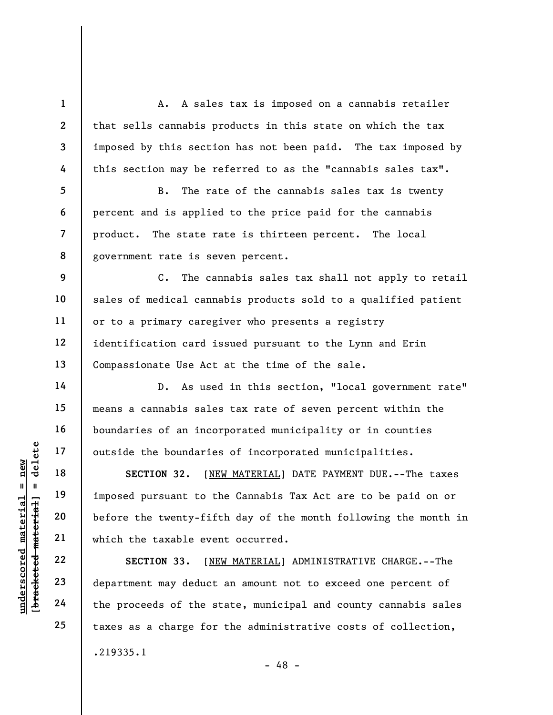A. A sales tax is imposed on a cannabis retailer that sells cannabis products in this state on which the tax imposed by this section has not been paid. The tax imposed by this section may be referred to as the "cannabis sales tax".

B. The rate of the cannabis sales tax is twenty percent and is applied to the price paid for the cannabis product. The state rate is thirteen percent. The local government rate is seven percent.

C. The cannabis sales tax shall not apply to retail sales of medical cannabis products sold to a qualified patient or to a primary caregiver who presents a registry identification card issued pursuant to the Lynn and Erin Compassionate Use Act at the time of the sale.

D. As used in this section, "local government rate" means a cannabis sales tax rate of seven percent within the boundaries of an incorporated municipality or in counties outside the boundaries of incorporated municipalities.

understand material material of the section of the set of the set of the proceeds of the set of the set of the set of the set of the set of the set of the set of the set of the set of the set of the set of the set of the s SECTION 32. [NEW MATERIAL] DATE PAYMENT DUE.--The taxes imposed pursuant to the Cannabis Tax Act are to be paid on or before the twenty-fifth day of the month following the month in which the taxable event occurred.

SECTION 33. [NEW MATERIAL] ADMINISTRATIVE CHARGE.--The department may deduct an amount not to exceed one percent of the proceeds of the state, municipal and county cannabis sales taxes as a charge for the administrative costs of collection, .219335.1 - 48 -

1

2

3

4

5

6

7

8

9

10

11

12

13

14

15

16

17

18

19

20

21

22

23

24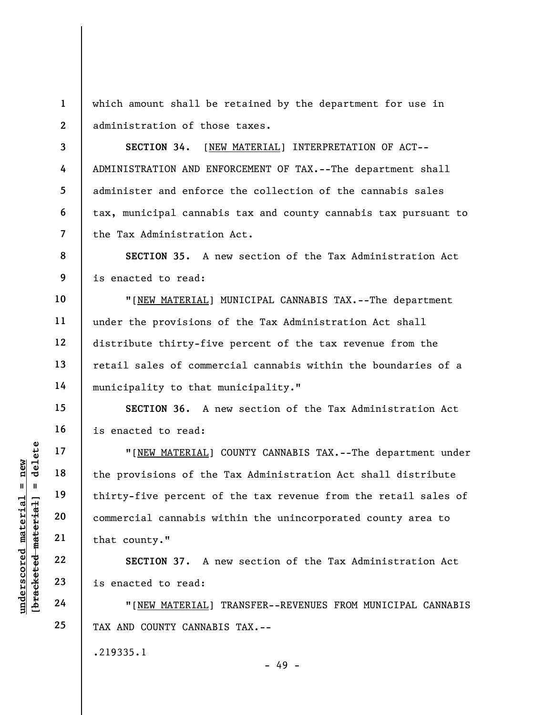1 2 which amount shall be retained by the department for use in administration of those taxes.

3 4 5 6 7 SECTION 34. [NEW MATERIAL] INTERPRETATION OF ACT-- ADMINISTRATION AND ENFORCEMENT OF TAX.--The department shall administer and enforce the collection of the cannabis sales tax, municipal cannabis tax and county cannabis tax pursuant to the Tax Administration Act.

8 9 SECTION 35. A new section of the Tax Administration Act is enacted to read:

10 11 12 13 14 "[NEW MATERIAL] MUNICIPAL CANNABIS TAX.--The department under the provisions of the Tax Administration Act shall distribute thirty-five percent of the tax revenue from the retail sales of commercial cannabis within the boundaries of a municipality to that municipality."

SECTION 36. A new section of the Tax Administration Act is enacted to read:

UNDERTALL POLITY TO THE MATERIAL POLITY 18<br>
UNDERTALL POLITY 19<br>
UNDERTALL POLITY 19<br>
UNDERTALL POLITY 19<br>
UNDERTALL POLITY 19<br>
UNDERTALL POLITY 19<br>
UNDERTALL POLITY 19<br>
UNDERTALL POLITY 19<br>
UNDERTALL POLITY 19<br>
UNDERTALL "[NEW MATERIAL] COUNTY CANNABIS TAX.--The department under the provisions of the Tax Administration Act shall distribute thirty-five percent of the tax revenue from the retail sales of commercial cannabis within the unincorporated county area to that county."

SECTION 37. A new section of the Tax Administration Act is enacted to read:

"[NEW MATERIAL] TRANSFER--REVENUES FROM MUNICIPAL CANNABIS TAX AND COUNTY CANNABIS TAX.--

- 49 -

.219335.1

15

16

17

18

19

20

21

22

23

24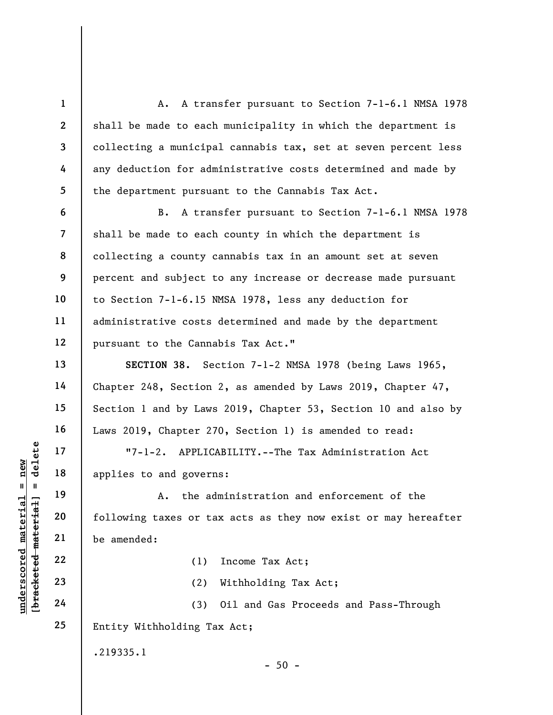A. A transfer pursuant to Section 7-1-6.1 NMSA 1978 shall be made to each municipality in which the department is collecting a municipal cannabis tax, set at seven percent less any deduction for administrative costs determined and made by the department pursuant to the Cannabis Tax Act. B. A transfer pursuant to Section 7-1-6.1 NMSA 1978

shall be made to each county in which the department is collecting a county cannabis tax in an amount set at seven percent and subject to any increase or decrease made pursuant to Section 7-1-6.15 NMSA 1978, less any deduction for administrative costs determined and made by the department pursuant to the Cannabis Tax Act."

SECTION 38. Section 7-1-2 NMSA 1978 (being Laws 1965, Chapter 248, Section 2, as amended by Laws 2019, Chapter 47, Section 1 and by Laws 2019, Chapter 53, Section 10 and also by Laws 2019, Chapter 270, Section 1) is amended to read:

"7-1-2. APPLICABILITY.--The Tax Administration Act applies to and governs:

underscored material material applies to and govern<br>
applies to and govern<br>
applies to and govern<br>
4. the ad<br>
deletering taxes or ta<br>
21<br>
be amended:<br>
22<br>
23<br>
24<br>
(3) A. the administration and enforcement of the following taxes or tax acts as they now exist or may hereafter be amended:

(1) Income Tax Act;

(2) Withholding Tax Act;

 $-50 -$ 

24 25 (3) Oil and Gas Proceeds and Pass-Through Entity Withholding Tax Act;

.219335.1

1

2

3

4

5

6

7

8

9

10

11

12

13

14

15

16

17

18

19

20

21

22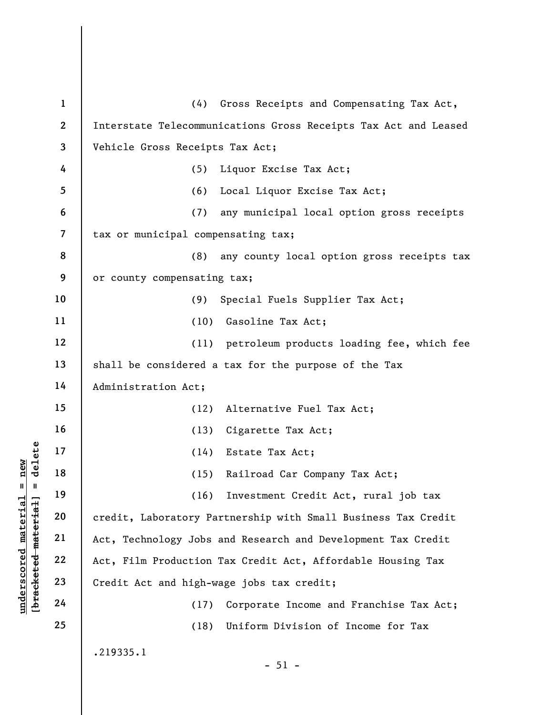|                                                           | $\mathbf{1}$             | Gross Receipts and Compensating Tax Act,<br>(4)                 |
|-----------------------------------------------------------|--------------------------|-----------------------------------------------------------------|
|                                                           | $\overline{2}$           | Interstate Telecommunications Gross Receipts Tax Act and Leased |
|                                                           | 3                        | Vehicle Gross Receipts Tax Act;                                 |
|                                                           | 4                        | (5)<br>Liquor Excise Tax Act;                                   |
|                                                           | 5                        | (6)<br>Local Liquor Excise Tax Act;                             |
|                                                           | 6                        | (7)<br>any municipal local option gross receipts                |
|                                                           | $\overline{\mathcal{L}}$ | tax or municipal compensating tax;                              |
|                                                           | 8                        | any county local option gross receipts tax<br>(8)               |
|                                                           | 9                        | or county compensating tax;                                     |
|                                                           | 10                       | Special Fuels Supplier Tax Act;<br>(9)                          |
|                                                           | 11                       | (10)<br>Gasoline Tax Act;                                       |
|                                                           | 12                       | petroleum products loading fee, which fee<br>(11)               |
|                                                           | 13                       | shall be considered a tax for the purpose of the Tax            |
|                                                           | 14                       | Administration Act;                                             |
|                                                           | 15                       | Alternative Fuel Tax Act;<br>(12)                               |
|                                                           | 16                       | Cigarette Tax Act;<br>(13)                                      |
| delete                                                    | 17                       | (14)<br>Estate Tax Act;                                         |
| new                                                       | 18                       | (15)<br>Railroad Car Company Tax Act;                           |
| Ш<br>Ш                                                    | 19                       | Investment Credit Act, rural job tax<br>(16)                    |
|                                                           | 20                       | credit, Laboratory Partnership with Small Business Tax Credit   |
|                                                           | 21                       | Act, Technology Jobs and Research and Development Tax Credit    |
| underscored material<br>[ <del>bracketed material</del> ] | 22                       | Act, Film Production Tax Credit Act, Affordable Housing Tax     |
|                                                           | 23                       | Credit Act and high-wage jobs tax credit;                       |
|                                                           | 24                       | Corporate Income and Franchise Tax Act;<br>(17)                 |
|                                                           | 25                       | (18)<br>Uniform Division of Income for Tax                      |
|                                                           |                          | .219335.1                                                       |
|                                                           |                          | $-51 -$                                                         |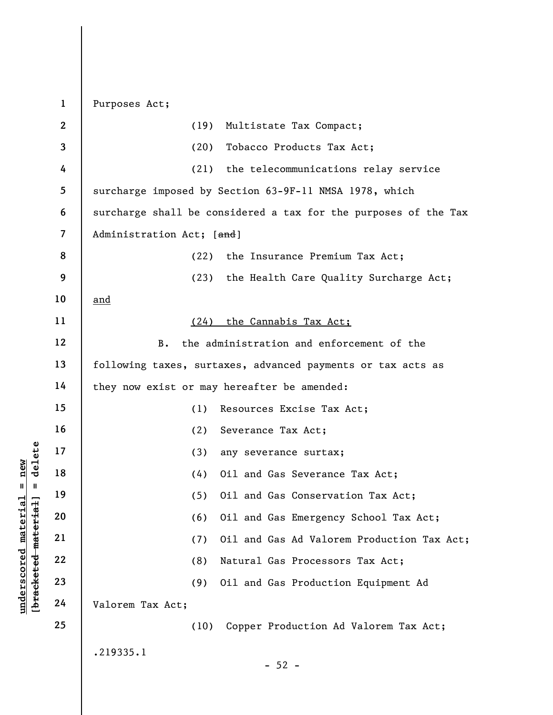underscored material = new core of the core of the core of the core of the core of the core of the core of the<br>discrete material and core of the core of the core of the core of the core of the core of the core of the core 1 2 3 4 5 6 7 8 9 10 11 12 13 14 15 16 17 18 19 20 21 22 23 24 25 Purposes Act; (19) Multistate Tax Compact; (20) Tobacco Products Tax Act; (21) the telecommunications relay service surcharge imposed by Section 63-9F-11 NMSA 1978, which surcharge shall be considered a tax for the purposes of the Tax Administration Act; [and] (22) the Insurance Premium Tax Act; (23) the Health Care Quality Surcharge Act; and (24) the Cannabis Tax Act; B. the administration and enforcement of the following taxes, surtaxes, advanced payments or tax acts as they now exist or may hereafter be amended: (1) Resources Excise Tax Act; (2) Severance Tax Act; (3) any severance surtax; (4) Oil and Gas Severance Tax Act; (5) Oil and Gas Conservation Tax Act; (6) Oil and Gas Emergency School Tax Act; (7) Oil and Gas Ad Valorem Production Tax Act; (8) Natural Gas Processors Tax Act; (9) Oil and Gas Production Equipment Ad Valorem Tax Act; (10) Copper Production Ad Valorem Tax Act; .219335.1  $-52 -$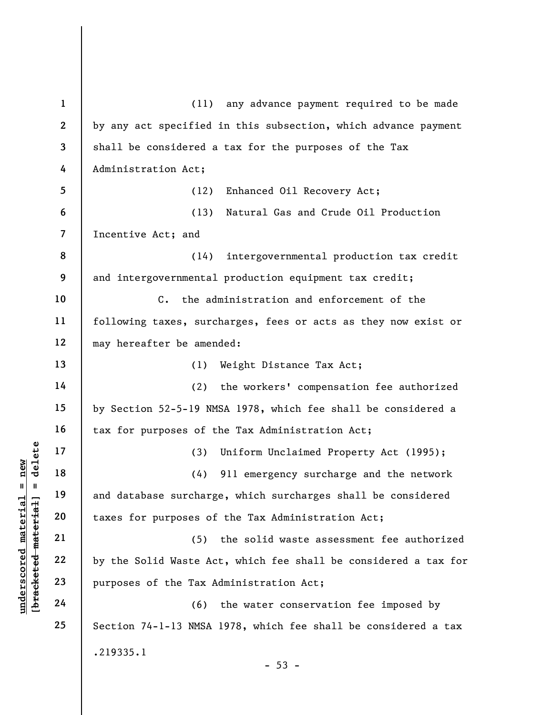|                                            | $\mathbf{1}$             | (11) any advance payment required to be made                    |
|--------------------------------------------|--------------------------|-----------------------------------------------------------------|
|                                            | $\mathbf{2}$             | by any act specified in this subsection, which advance payment  |
|                                            | 3                        | shall be considered a tax for the purposes of the Tax           |
|                                            | 4                        | Administration Act;                                             |
|                                            | 5                        | Enhanced Oil Recovery Act;<br>(12)                              |
|                                            | 6                        | Natural Gas and Crude Oil Production<br>(13)                    |
|                                            | $\overline{\mathcal{L}}$ | Incentive Act; and                                              |
|                                            | 8                        | intergovernmental production tax credit<br>(14)                 |
|                                            | 9                        | and intergovernmental production equipment tax credit;          |
|                                            | 10<br>11                 | the administration and enforcement of the<br>$C_{\bullet}$      |
|                                            |                          | following taxes, surcharges, fees or acts as they now exist or  |
|                                            | 12                       | may hereafter be amended:                                       |
|                                            | 13                       | (1)<br>Weight Distance Tax Act;                                 |
|                                            | 14                       | the workers' compensation fee authorized<br>(2)                 |
|                                            | 15                       | by Section 52-5-19 NMSA 1978, which fee shall be considered a   |
|                                            | 16                       | tax for purposes of the Tax Administration Act;                 |
| delete                                     | 17                       | Uniform Unclaimed Property Act (1995);<br>(3)                   |
| new                                        | 18                       | 911 emergency surcharge and the network<br>(4)                  |
| II<br>- II                                 | 19                       | and database surcharge, which surcharges shall be considered    |
|                                            | 20                       | taxes for purposes of the Tax Administration Act;               |
|                                            | 21                       | the solid waste assessment fee authorized<br>(5)                |
| underscored materia<br>[bracketed material | 22                       | by the Solid Waste Act, which fee shall be considered a tax for |
|                                            | 23                       | purposes of the Tax Administration Act;                         |
|                                            | 24                       | (6)<br>the water conservation fee imposed by                    |
|                                            | 25                       | Section 74-1-13 NMSA 1978, which fee shall be considered a tax  |
|                                            |                          | .219335.1<br>$-53 -$                                            |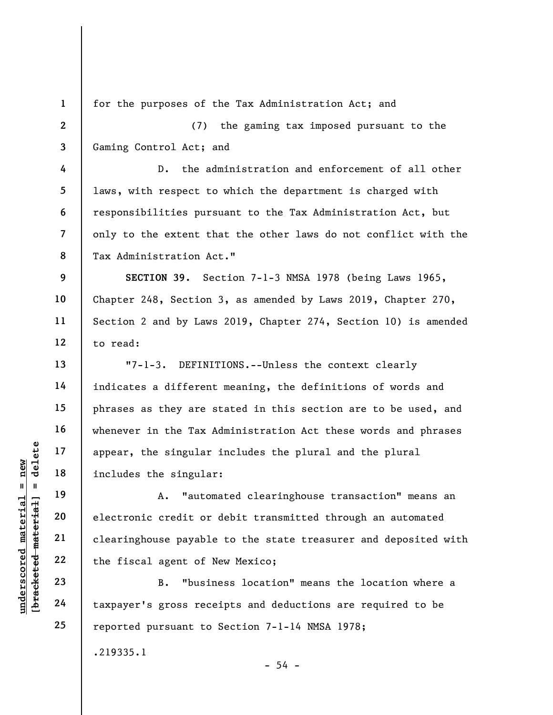1

4

5

6

7

8

13

14

15

16

17

18

19

20

21

22

23

24

25

for the purposes of the Tax Administration Act; and

2 3 (7) the gaming tax imposed pursuant to the Gaming Control Act; and

D. the administration and enforcement of all other laws, with respect to which the department is charged with responsibilities pursuant to the Tax Administration Act, but only to the extent that the other laws do not conflict with the Tax Administration Act."

9 10 11 12 SECTION 39. Section 7-1-3 NMSA 1978 (being Laws 1965, Chapter 248, Section 3, as amended by Laws 2019, Chapter 270, Section 2 and by Laws 2019, Chapter 274, Section 10) is amended to read:

"7-1-3. DEFINITIONS.--Unless the context clearly indicates a different meaning, the definitions of words and phrases as they are stated in this section are to be used, and whenever in the Tax Administration Act these words and phrases appear, the singular includes the plural and the plural includes the singular:

under 17<br>
appear, the singular<br>
includes the singular<br>
includes the singular<br>
a. "autom<br>
electronic credit or<br>
electronic credit or<br>
clearinghouse payable<br>
the fiscal agent of N<br>
23<br>
24<br>
taxpayer's gross rece A. "automated clearinghouse transaction" means an electronic credit or debit transmitted through an automated clearinghouse payable to the state treasurer and deposited with the fiscal agent of New Mexico;

B. "business location" means the location where a taxpayer's gross receipts and deductions are required to be reported pursuant to Section 7-1-14 NMSA 1978;

 $-54 -$ 

.219335.1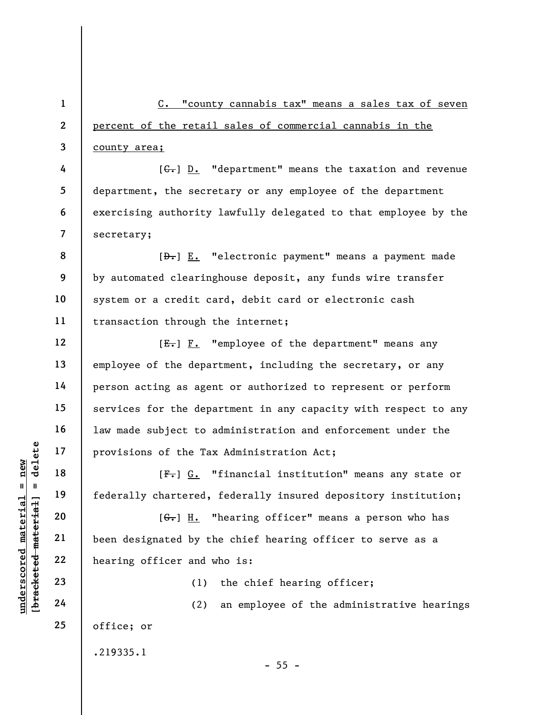underscored material = new [bracketed material] = delete 1 2 3 4 5 6 7 8 9 10 11 12 13 14 15 16 17 18 19 20 21 22 23 24 25 C. "county cannabis tax" means a sales tax of seven percent of the retail sales of commercial cannabis in the county area;  $[G<sub>r</sub>]$  D. "department" means the taxation and revenue department, the secretary or any employee of the department exercising authority lawfully delegated to that employee by the secretary;  $[\frac{D-1}{2}]$  E. "electronic payment" means a payment made by automated clearinghouse deposit, any funds wire transfer system or a credit card, debit card or electronic cash transaction through the internet; [E.] F. "employee of the department" means any employee of the department, including the secretary, or any person acting as agent or authorized to represent or perform services for the department in any capacity with respect to any law made subject to administration and enforcement under the provisions of the Tax Administration Act; [ $F -$ ] G. "financial institution" means any state or federally chartered, federally insured depository institution;  $[G<sub>r</sub>]$  H. "hearing officer" means a person who has been designated by the chief hearing officer to serve as a hearing officer and who is: (1) the chief hearing officer; (2) an employee of the administrative hearings office; or .219335.1  $- 55 -$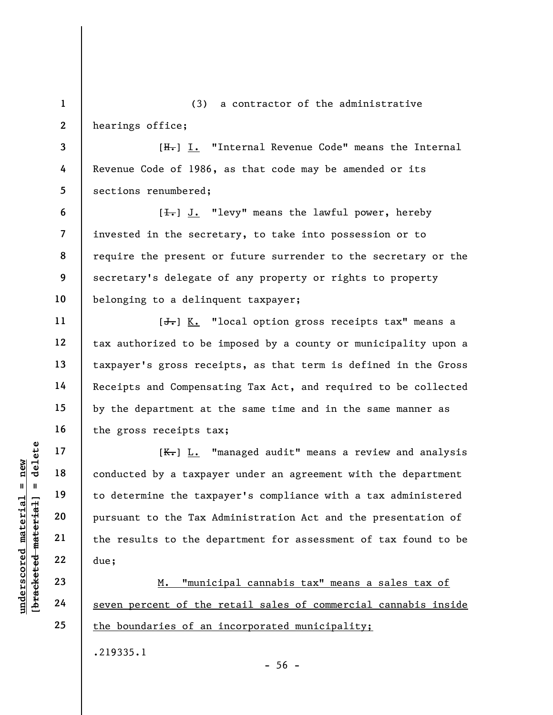1 2 (3) a contractor of the administrative hearings office;

3 4 5 [H.] I. "Internal Revenue Code" means the Internal Revenue Code of 1986, as that code may be amended or its sections renumbered;

6 7 8 9 10 [ $\overline{1}$ .] J. "levy" means the lawful power, hereby invested in the secretary, to take into possession or to require the present or future surrender to the secretary or the secretary's delegate of any property or rights to property belonging to a delinquent taxpayer;

 $[\frac{1}{\sqrt{1}}]$  K. "local option gross receipts tax" means a tax authorized to be imposed by a county or municipality upon a taxpayer's gross receipts, as that term is defined in the Gross Receipts and Compensating Tax Act, and required to be collected by the department at the same time and in the same manner as the gross receipts tax;

understand material material of the seven percent of the<br>diagonal material conducted by a taxpay<br>be determine the taxp<br>pursuant to the Tax A<br>pursuant to the Tax A<br>the results to the de<br>due;<br> $\frac{22}{24}$ <br>due;<br> $\frac{10}{24}$ <br>eve [K.] L. "managed audit" means a review and analysis conducted by a taxpayer under an agreement with the department to determine the taxpayer's compliance with a tax administered pursuant to the Tax Administration Act and the presentation of the results to the department for assessment of tax found to be due;

M. "municipal cannabis tax" means a sales tax of seven percent of the retail sales of commercial cannabis inside the boundaries of an incorporated municipality;

.219335.1

 $-56 -$ 

11

12

13

14

15

16

17

18

19

20

21

22

23

24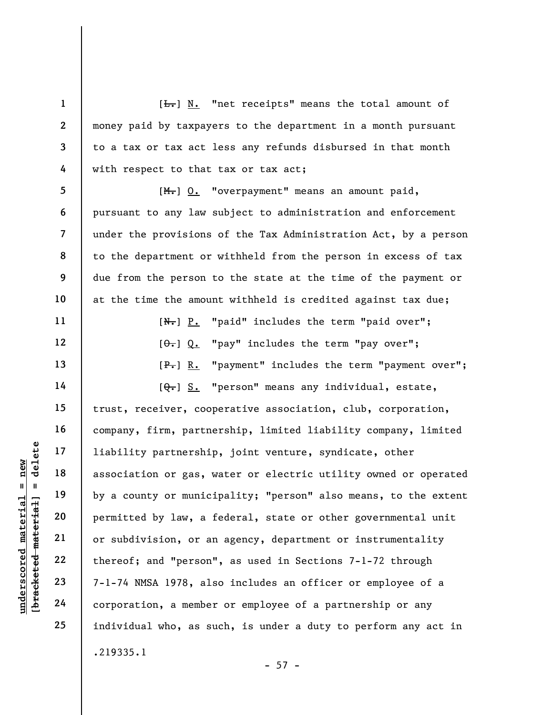$[\frac{L}{\sqrt{L}}]$  N. "net receipts" means the total amount of money paid by taxpayers to the department in a month pursuant to a tax or tax act less any refunds disbursed in that month with respect to that tax or tax act;

7 8 9 10 [M.] O. "overpayment" means an amount paid, pursuant to any law subject to administration and enforcement under the provisions of the Tax Administration Act, by a person to the department or withheld from the person in excess of tax due from the person to the state at the time of the payment or at the time the amount withheld is credited against tax due;

> [N.] P. "paid" includes the term "paid over";  $[0, 0, 0]$  "pay" includes the term "pay over"; [P.] R. "payment" includes the term "payment over";

underscored material = new [bracketed material] = delete  $[Q_{\tau}]$  S. "person" means any individual, estate, trust, receiver, cooperative association, club, corporation, company, firm, partnership, limited liability company, limited liability partnership, joint venture, syndicate, other association or gas, water or electric utility owned or operated by a county or municipality; "person" also means, to the extent permitted by law, a federal, state or other governmental unit or subdivision, or an agency, department or instrumentality thereof; and "person", as used in Sections 7-1-72 through 7-1-74 NMSA 1978, also includes an officer or employee of a corporation, a member or employee of a partnership or any individual who, as such, is under a duty to perform any act in .219335.1

 $-57 -$ 

1

2

3

4

5

6

11

12

13

14

15

16

17

18

19

20

21

22

23

24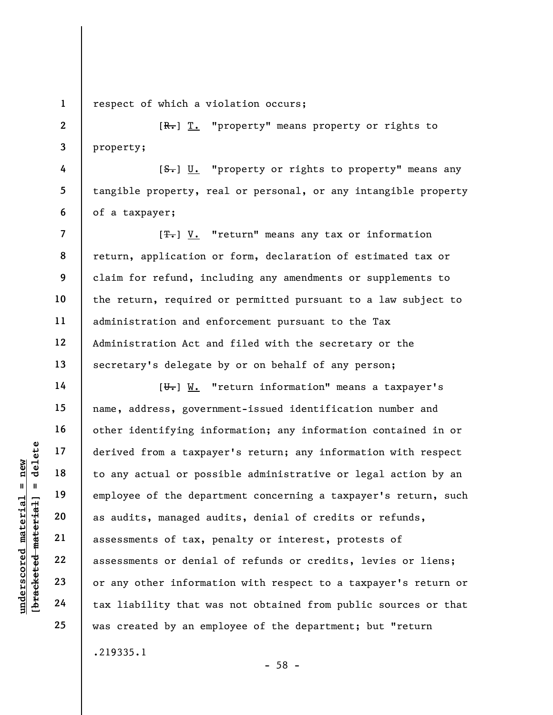1

2

3

4

5

6

7

8

9

10

11

12

13

14

15

16

17

18

19

20

21

22

23

24

25

respect of which a violation occurs;

 $[R_r]$  T. "property" means property or rights to property;

 $[**S**$ . "property or rights to property" means any tangible property, real or personal, or any intangible property of a taxpayer;

 $[T_{\bullet}]$  V. "return" means any tax or information return, application or form, declaration of estimated tax or claim for refund, including any amendments or supplements to the return, required or permitted pursuant to a law subject to administration and enforcement pursuant to the Tax Administration Act and filed with the secretary or the secretary's delegate by or on behalf of any person;

underscored material = new [bracketed material] = delete [U.] W. "return information" means a taxpayer's name, address, government-issued identification number and other identifying information; any information contained in or derived from a taxpayer's return; any information with respect to any actual or possible administrative or legal action by an employee of the department concerning a taxpayer's return, such as audits, managed audits, denial of credits or refunds, assessments of tax, penalty or interest, protests of assessments or denial of refunds or credits, levies or liens; or any other information with respect to a taxpayer's return or tax liability that was not obtained from public sources or that was created by an employee of the department; but "return .219335.1

- 58 -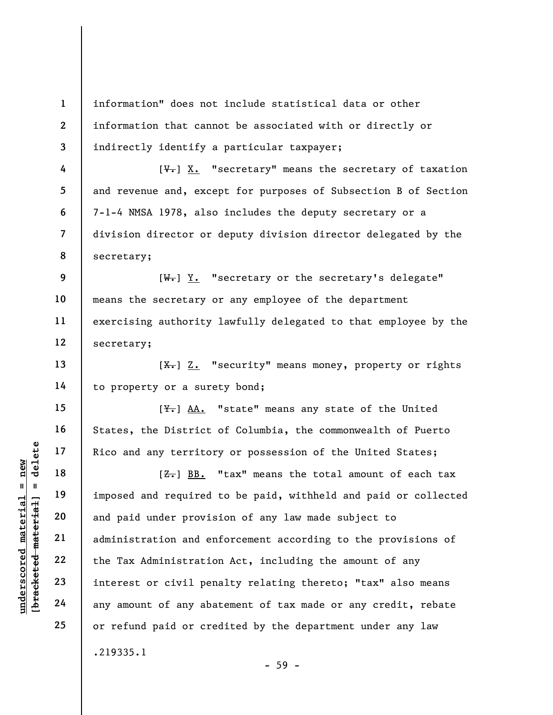1 2 3 information" does not include statistical data or other information that cannot be associated with or directly or indirectly identify a particular taxpayer;

 $[\mathcal{F}_{\bullet}]$  X. "secretary" means the secretary of taxation and revenue and, except for purposes of Subsection B of Section 7-1-4 NMSA 1978, also includes the deputy secretary or a division director or deputy division director delegated by the secretary;

9 10 11 12  $[\overline{\mathbf{W}_{\bullet}}]$  Y. "secretary or the secretary's delegate" means the secretary or any employee of the department exercising authority lawfully delegated to that employee by the secretary;

 $[\frac{X-}{X}]$  Z. "security" means money, property or rights to property or a surety bond;

 $[\frac{V}{N}]$  AA. "state" means any state of the United States, the District of Columbia, the commonwealth of Puerto Rico and any territory or possession of the United States;

underscored material = new [bracketed material] = delete  $[**Z**$ .  $B$ B. "tax" means the total amount of each tax imposed and required to be paid, withheld and paid or collected and paid under provision of any law made subject to administration and enforcement according to the provisions of the Tax Administration Act, including the amount of any interest or civil penalty relating thereto; "tax" also means any amount of any abatement of tax made or any credit, rebate or refund paid or credited by the department under any law .219335.1 - 59 -

4

5

6

7

8

13

14

15

16

17

18

19

20

21

22

23

24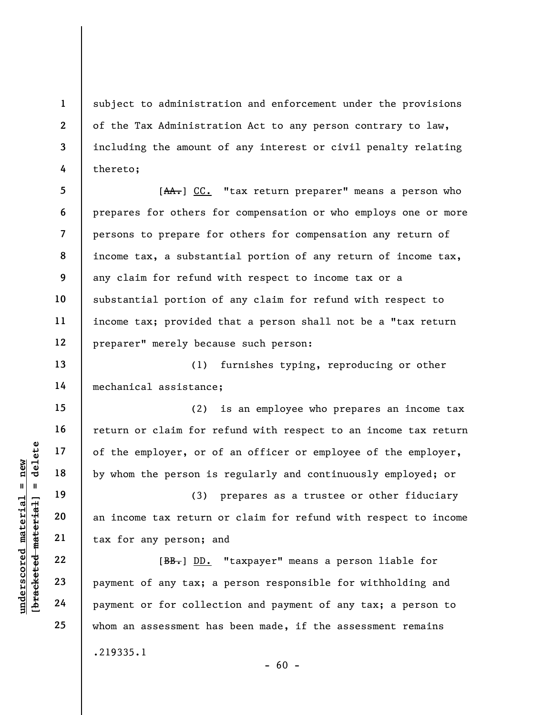subject to administration and enforcement under the provisions of the Tax Administration Act to any person contrary to law, including the amount of any interest or civil penalty relating thereto;

5 6 7 8 9 10 11 12 [AA.] CC. "tax return preparer" means a person who prepares for others for compensation or who employs one or more persons to prepare for others for compensation any return of income tax, a substantial portion of any return of income tax, any claim for refund with respect to income tax or a substantial portion of any claim for refund with respect to income tax; provided that a person shall not be a "tax return preparer" merely because such person:

(1) furnishes typing, reproducing or other mechanical assistance;

(2) is an employee who prepares an income tax return or claim for refund with respect to an income tax return of the employer, or of an officer or employee of the employer, by whom the person is regularly and continuously employed; or

(3) prepares as a trustee or other fiduciary an income tax return or claim for refund with respect to income tax for any person; and

Understand material englished material englished material englished material contractions of the employer, or of<br>  $\begin{array}{c|c|c|c|c} \hline \text{u} & \text{u} & \text{u} & \text{u} \\ \hline \text{u} & \text{u} & \text{u} & \text{u} & \text{u} \\ \hline \text{u} & \text{u} & \text{u} & \text{u} & \text{u}$ [BB.] DD. "taxpayer" means a person liable for payment of any tax; a person responsible for withholding and payment or for collection and payment of any tax; a person to whom an assessment has been made, if the assessment remains .219335.1

1

2

3

4

13

14

15

16

17

18

19

20

21

 $- 60 -$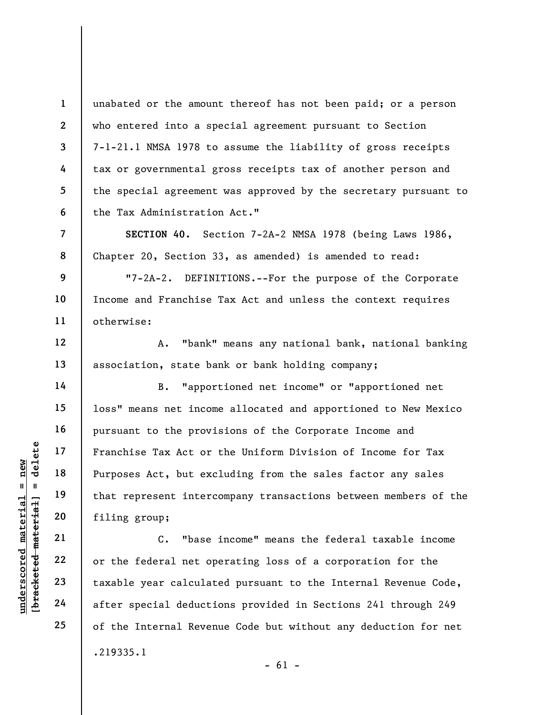unabated or the amount thereof has not been paid; or a person who entered into a special agreement pursuant to Section 7-1-21.1 NMSA 1978 to assume the liability of gross receipts tax or governmental gross receipts tax of another person and the special agreement was approved by the secretary pursuant to the Tax Administration Act."

SECTION 40. Section 7-2A-2 NMSA 1978 (being Laws 1986, Chapter 20, Section 33, as amended) is amended to read:

"7-2A-2. DEFINITIONS.--For the purpose of the Corporate Income and Franchise Tax Act and unless the context requires otherwise:

A. "bank" means any national bank, national banking association, state bank or bank holding company;

underscored material material eductions of that the set of that the set of that the set of that the set of thing group;<br>
we will be also that the set of the set of the set of the set of the set of the set of the set of the B. "apportioned net income" or "apportioned net loss" means net income allocated and apportioned to New Mexico pursuant to the provisions of the Corporate Income and Franchise Tax Act or the Uniform Division of Income for Tax Purposes Act, but excluding from the sales factor any sales that represent intercompany transactions between members of the filing group;

C. "base income" means the federal taxable income or the federal net operating loss of a corporation for the taxable year calculated pursuant to the Internal Revenue Code, after special deductions provided in Sections 241 through 249 of the Internal Revenue Code but without any deduction for net .219335.1  $- 61 -$ 

1

2

3

4

5

6

7

8

9

10

11

12

13

14

15

16

17

18

19

20

21

22

23

24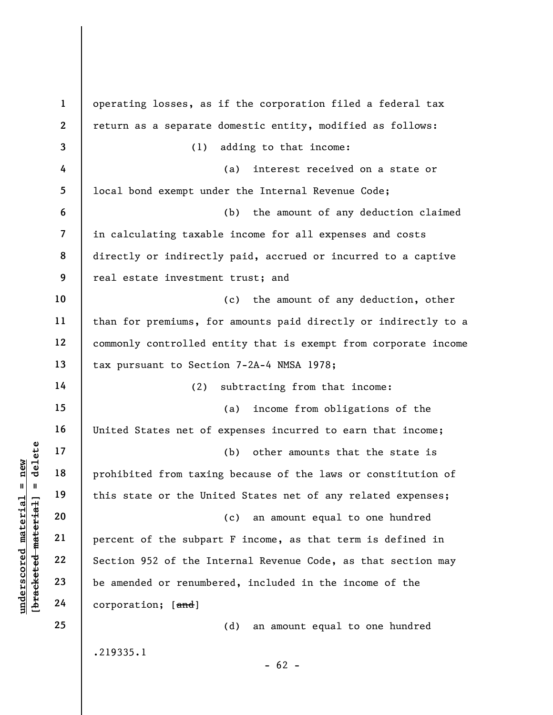|                                                           | $\mathbf{1}$             | operating losses, as if the corporation filed a federal tax     |
|-----------------------------------------------------------|--------------------------|-----------------------------------------------------------------|
|                                                           | $\mathbf{2}$             | return as a separate domestic entity, modified as follows:      |
|                                                           | 3                        | adding to that income:<br>(1)                                   |
|                                                           | 4                        | interest received on a state or<br>(a)                          |
|                                                           | 5                        | local bond exempt under the Internal Revenue Code;              |
|                                                           | 6                        | the amount of any deduction claimed<br>(b)                      |
|                                                           | $\overline{\mathcal{L}}$ | in calculating taxable income for all expenses and costs        |
|                                                           | 8                        | directly or indirectly paid, accrued or incurred to a captive   |
|                                                           | 9                        | real estate investment trust; and                               |
|                                                           | 10                       | the amount of any deduction, other<br>(c)                       |
|                                                           | 11                       | than for premiums, for amounts paid directly or indirectly to a |
|                                                           | 12                       | commonly controlled entity that is exempt from corporate income |
|                                                           | 13                       | tax pursuant to Section 7-2A-4 NMSA 1978;                       |
|                                                           | 14                       | (2)<br>subtracting from that income:                            |
|                                                           | 15                       | income from obligations of the<br>(a)                           |
|                                                           | 16                       | United States net of expenses incurred to earn that income;     |
| delete                                                    | 17                       | (b)<br>other amounts that the state is                          |
| nev                                                       | 18                       | prohibited from taxing because of the laws or constitution of   |
| Ш<br>H                                                    | 19                       | this state or the United States net of any related expenses;    |
|                                                           | 20                       | an amount equal to one hundred<br>(c)                           |
|                                                           | 21                       | percent of the subpart F income, as that term is defined in     |
|                                                           | 22                       | Section 952 of the Internal Revenue Code, as that section may   |
| underscored material<br>[ <del>bracketed material</del> ] | 23                       | be amended or renumbered, included in the income of the         |
|                                                           | 24                       | corporation; [and]                                              |
|                                                           | 25                       | (d)<br>an amount equal to one hundred                           |
|                                                           |                          | .219335.1                                                       |
|                                                           |                          | $-62 -$                                                         |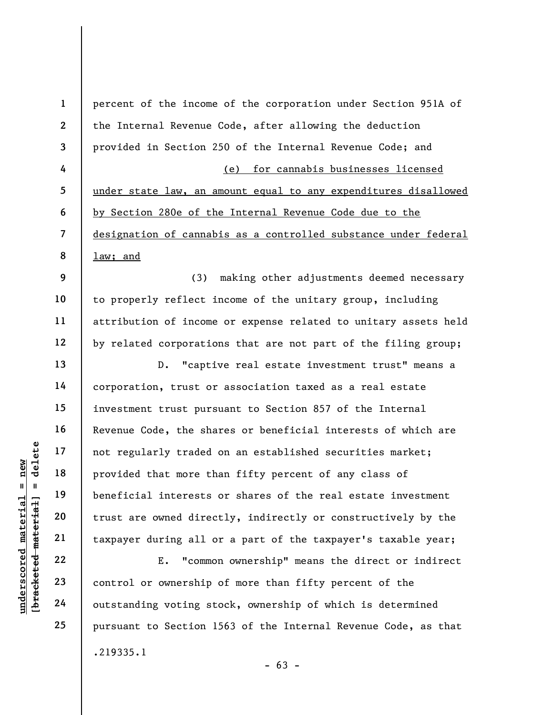underscored material specifies of the specified material interests<br>
and the specified material interests<br>  $\begin{array}{r|l}\n\text{u}^{\text{u}} & \text{u}^{\text{u}} & \text{u}^{\text{u}}\n\end{array}$  and the specified interests<br>  $\begin{array}{r|l}\n\text{u}^{\text{u}}\text{u}^{\text{u$ 1 2 3 4 5 6 7 8 9 10 11 12 13 14 15 16 17 18 19 20 21 22 23 24 25 percent of the income of the corporation under Section 951A of the Internal Revenue Code, after allowing the deduction provided in Section 250 of the Internal Revenue Code; and (e) for cannabis businesses licensed under state law, an amount equal to any expenditures disallowed by Section 280e of the Internal Revenue Code due to the designation of cannabis as a controlled substance under federal law; and (3) making other adjustments deemed necessary to properly reflect income of the unitary group, including attribution of income or expense related to unitary assets held by related corporations that are not part of the filing group; D. "captive real estate investment trust" means a corporation, trust or association taxed as a real estate investment trust pursuant to Section 857 of the Internal Revenue Code, the shares or beneficial interests of which are not regularly traded on an established securities market; provided that more than fifty percent of any class of beneficial interests or shares of the real estate investment trust are owned directly, indirectly or constructively by the taxpayer during all or a part of the taxpayer's taxable year; E. "common ownership" means the direct or indirect control or ownership of more than fifty percent of the outstanding voting stock, ownership of which is determined pursuant to Section 1563 of the Internal Revenue Code, as that .219335.1

 $- 63 -$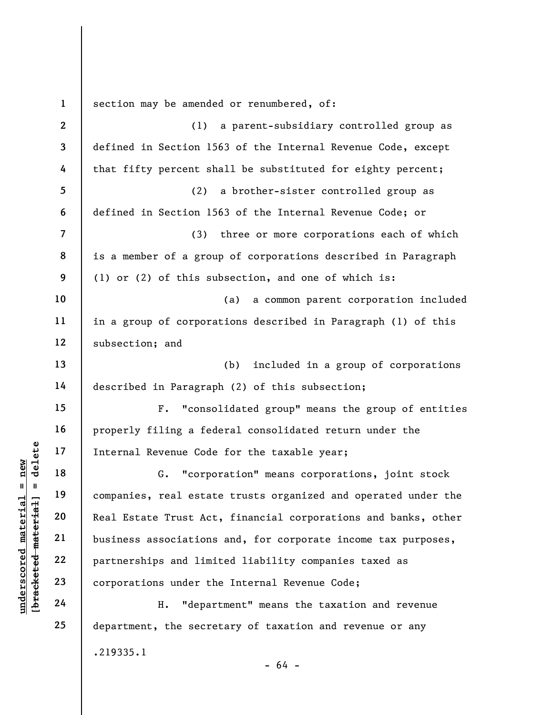underschied material state<br>
17 18 18 6. "corpo<br>
18 19 companies, real estat<br>
20 Real Estate Trust Act<br>
21 business associations<br>
22 partnerships and limi<br>
24 H. "departnerships"<br>
24 H. "departnerships"<br>
24 H. "departnershi 1 2 3 4 5 6 7 8 9 10 11 12 13 14 15 16 17 18 19 20 21 22 23 24 25 section may be amended or renumbered, of: (1) a parent-subsidiary controlled group as defined in Section 1563 of the Internal Revenue Code, except that fifty percent shall be substituted for eighty percent; (2) a brother-sister controlled group as defined in Section 1563 of the Internal Revenue Code; or (3) three or more corporations each of which is a member of a group of corporations described in Paragraph (1) or (2) of this subsection, and one of which is: (a) a common parent corporation included in a group of corporations described in Paragraph (1) of this subsection; and (b) included in a group of corporations described in Paragraph (2) of this subsection; F. "consolidated group" means the group of entities properly filing a federal consolidated return under the Internal Revenue Code for the taxable year; G. "corporation" means corporations, joint stock companies, real estate trusts organized and operated under the Real Estate Trust Act, financial corporations and banks, other business associations and, for corporate income tax purposes, partnerships and limited liability companies taxed as corporations under the Internal Revenue Code; H. "department" means the taxation and revenue department, the secretary of taxation and revenue or any .219335.1  $- 64 -$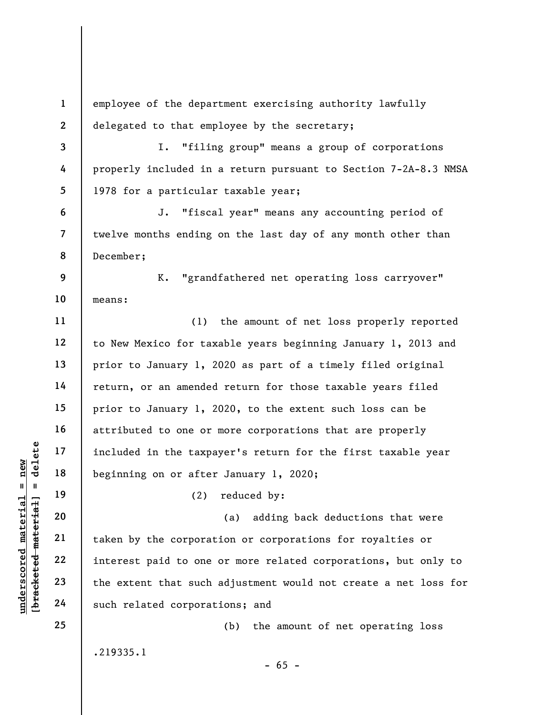understand material material extent that such gradient 24 and the extent that such such related corporates.<br>
The corporation of the corporation of the corporation of the corporation of the extent that such such related cor 1 2 3 4 5 6 7 8 9 10 11 12 13 14 15 16 17 18 19 20 21 22 23 24 25 employee of the department exercising authority lawfully delegated to that employee by the secretary; I. "filing group" means a group of corporations properly included in a return pursuant to Section 7-2A-8.3 NMSA 1978 for a particular taxable year; J. "fiscal year" means any accounting period of twelve months ending on the last day of any month other than December; K. "grandfathered net operating loss carryover" means: (1) the amount of net loss properly reported to New Mexico for taxable years beginning January 1, 2013 and prior to January 1, 2020 as part of a timely filed original return, or an amended return for those taxable years filed prior to January 1, 2020, to the extent such loss can be attributed to one or more corporations that are properly included in the taxpayer's return for the first taxable year beginning on or after January 1, 2020; (2) reduced by: (a) adding back deductions that were taken by the corporation or corporations for royalties or interest paid to one or more related corporations, but only to the extent that such adjustment would not create a net loss for such related corporations; and (b) the amount of net operating loss .219335.1  $- 65 -$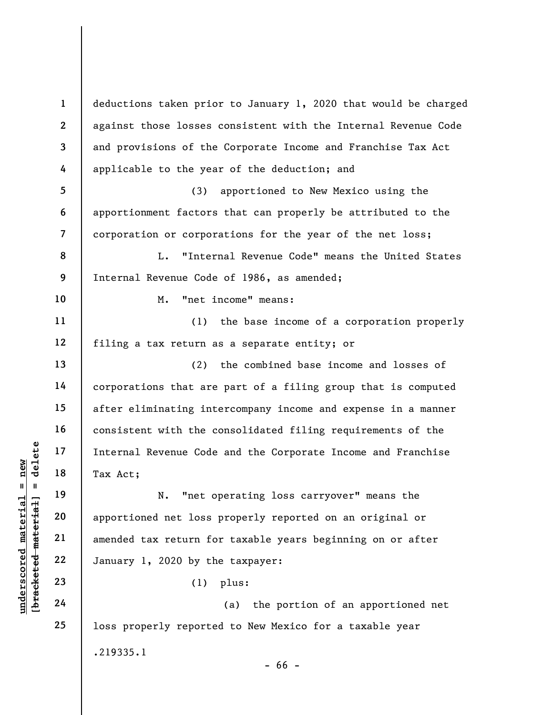underscore of the material sevenue Code<br>  $\begin{array}{c|c|c|c} \n\text{u} & \text{u} & \text{u} & \text{u} & \text{u} & \text{u} & \text{u} & \text{u} & \text{u} & \text{u} & \text{u} & \text{u} & \text{u} & \text{u} & \text{u} & \text{u} & \text{u} & \text{u} & \text{u} & \text{u} & \text{u} & \text{u} & \text{u} & \text{u} & \text{u} & \text{u} & \text{u} & \text{$ 1 2 3 4 5 6 7 8 9 10 11 12 13 14 15 16 17 18 19 20 21 22 23 24 25 deductions taken prior to January 1, 2020 that would be charged against those losses consistent with the Internal Revenue Code and provisions of the Corporate Income and Franchise Tax Act applicable to the year of the deduction; and (3) apportioned to New Mexico using the apportionment factors that can properly be attributed to the corporation or corporations for the year of the net loss; L. "Internal Revenue Code" means the United States Internal Revenue Code of 1986, as amended; M. "net income" means: (1) the base income of a corporation properly filing a tax return as a separate entity; or (2) the combined base income and losses of corporations that are part of a filing group that is computed after eliminating intercompany income and expense in a manner consistent with the consolidated filing requirements of the Internal Revenue Code and the Corporate Income and Franchise Tax Act; N. "net operating loss carryover" means the apportioned net loss properly reported on an original or amended tax return for taxable years beginning on or after January 1, 2020 by the taxpayer: (1) plus: (a) the portion of an apportioned net loss properly reported to New Mexico for a taxable year .219335.1 - 66 -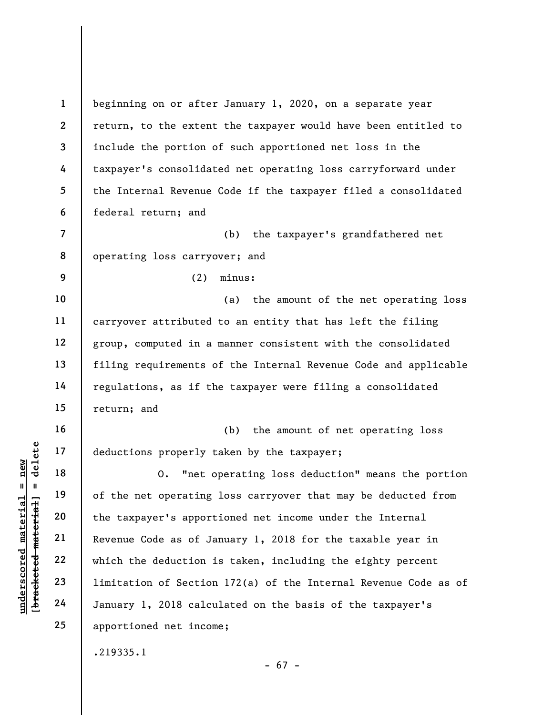understand material material eductions properly to the deductions of the net operating<br>deductions of the net operating<br>deduction 21<br>and 22<br>which the deduction is<br>deduction 23<br>diagonal material material deviation of Section 1 2 3 4 5 6 7 8 9 10 11 12 13 14 15 16 17 18 19 20 21 22 23 24 25 beginning on or after January 1, 2020, on a separate year return, to the extent the taxpayer would have been entitled to include the portion of such apportioned net loss in the taxpayer's consolidated net operating loss carryforward under the Internal Revenue Code if the taxpayer filed a consolidated federal return; and (b) the taxpayer's grandfathered net operating loss carryover; and (2) minus: (a) the amount of the net operating loss carryover attributed to an entity that has left the filing group, computed in a manner consistent with the consolidated filing requirements of the Internal Revenue Code and applicable regulations, as if the taxpayer were filing a consolidated return; and (b) the amount of net operating loss deductions properly taken by the taxpayer; O. "net operating loss deduction" means the portion of the net operating loss carryover that may be deducted from the taxpayer's apportioned net income under the Internal Revenue Code as of January 1, 2018 for the taxable year in which the deduction is taken, including the eighty percent limitation of Section 172(a) of the Internal Revenue Code as of January 1, 2018 calculated on the basis of the taxpayer's apportioned net income; .219335.1

- 67 -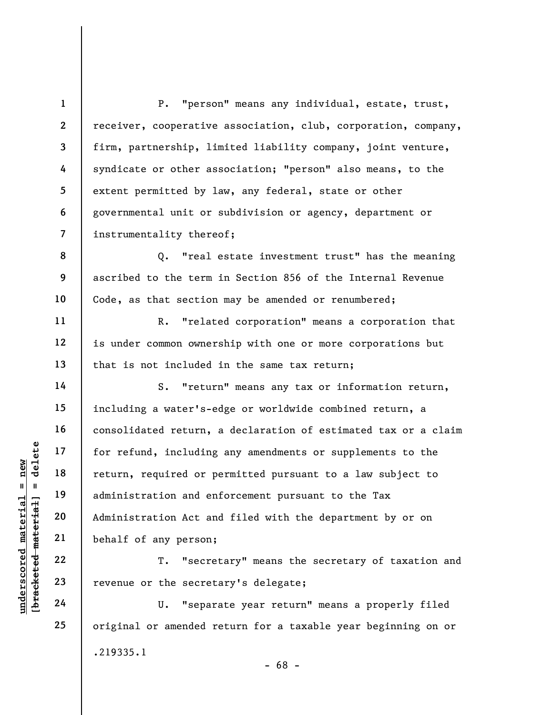7 P. "person" means any individual, estate, trust, receiver, cooperative association, club, corporation, company, firm, partnership, limited liability company, joint venture, syndicate or other association; "person" also means, to the extent permitted by law, any federal, state or other governmental unit or subdivision or agency, department or instrumentality thereof;

Q. "real estate investment trust" has the meaning ascribed to the term in Section 856 of the Internal Revenue Code, as that section may be amended or renumbered;

R. "related corporation" means a corporation that is under common ownership with one or more corporations but that is not included in the same tax return;

under 17<br>
and 18<br>
19<br>
19<br>
19<br>
administration and energies<br>
21<br>
22<br>
23<br>
19<br>
24<br>
24<br>
24<br>
20<br>
24<br>
24<br>
20<br>
24<br>
24<br>
20<br>
24<br>
24<br>
20<br>
24<br>
24<br>
20<br>
24<br>
24<br>
20<br>
24<br>
24<br>
20<br>
24<br>
24<br>
24<br>
24<br>
24<br>
24<br>
24<br>
24<br>
24<br>
20<br>
24<br>
24<br>
20<br>
24<br>
24<br> S. "return" means any tax or information return, including a water's-edge or worldwide combined return, a consolidated return, a declaration of estimated tax or a claim for refund, including any amendments or supplements to the return, required or permitted pursuant to a law subject to administration and enforcement pursuant to the Tax Administration Act and filed with the department by or on behalf of any person;

T. "secretary" means the secretary of taxation and revenue or the secretary's delegate;

U. "separate year return" means a properly filed original or amended return for a taxable year beginning on or .219335.1 - 68 -

1

2

3

4

5

6

8

9

10

11

12

13

14

15

16

17

18

19

20

21

22

23

24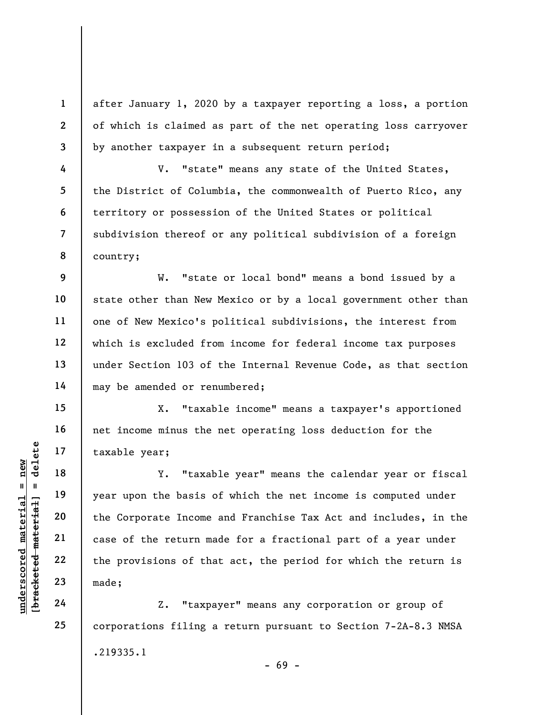after January 1, 2020 by a taxpayer reporting a loss, a portion of which is claimed as part of the net operating loss carryover by another taxpayer in a subsequent return period;

V. "state" means any state of the United States, the District of Columbia, the commonwealth of Puerto Rico, any territory or possession of the United States or political subdivision thereof or any political subdivision of a foreign country;

W. "state or local bond" means a bond issued by a state other than New Mexico or by a local government other than one of New Mexico's political subdivisions, the interest from which is excluded from income for federal income tax purposes under Section 103 of the Internal Revenue Code, as that section may be amended or renumbered;

X. "taxable income" means a taxpayer's apportioned net income minus the net operating loss deduction for the taxable year;

understand material material example and the Corporate Income<br>
with the Corporate Income<br>
with the Corporate Income<br>
case of the return material<br>
with the provisions of the<br>
23<br>
unde:<br>
24<br>
24<br>
22<br>
24<br>
22<br>
24<br>
22<br>
24<br>
22<br>
2 Y. "taxable year" means the calendar year or fiscal year upon the basis of which the net income is computed under the Corporate Income and Franchise Tax Act and includes, in the case of the return made for a fractional part of a year under the provisions of that act, the period for which the return is made;

Z. "taxpayer" means any corporation or group of corporations filing a return pursuant to Section 7-2A-8.3 NMSA .219335.1 - 69 -

1

2

3

4

5

6

7

8

9

10

11

12

13

14

15

16

17

18

19

20

21

22

23

24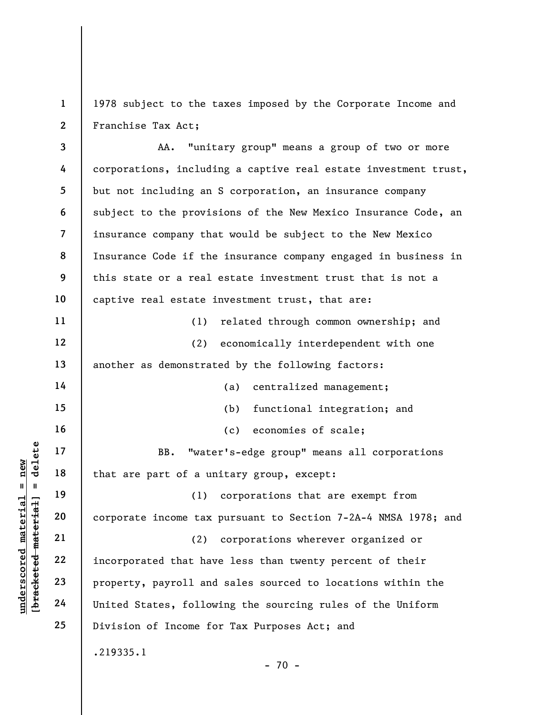1 2 1978 subject to the taxes imposed by the Corporate Income and Franchise Tax Act;

understand material material of a set of a unique that incorporate income tax<br>defined a 21 capacity of a set of a unique that is a corporate income tax<br>dependence a capacity of a corporate income tax<br>dependence material co 3 4 5 6 7 8 9 10 11 12 13 14 15 16 17 18 19 20 21 22 23 24 25 AA. "unitary group" means a group of two or more corporations, including a captive real estate investment trust, but not including an S corporation, an insurance company subject to the provisions of the New Mexico Insurance Code, an insurance company that would be subject to the New Mexico Insurance Code if the insurance company engaged in business in this state or a real estate investment trust that is not a captive real estate investment trust, that are: (1) related through common ownership; and (2) economically interdependent with one another as demonstrated by the following factors: (a) centralized management; (b) functional integration; and (c) economies of scale; BB. "water's-edge group" means all corporations that are part of a unitary group, except: (1) corporations that are exempt from corporate income tax pursuant to Section 7-2A-4 NMSA 1978; and (2) corporations wherever organized or incorporated that have less than twenty percent of their property, payroll and sales sourced to locations within the United States, following the sourcing rules of the Uniform Division of Income for Tax Purposes Act; and .219335.1

 $- 70 -$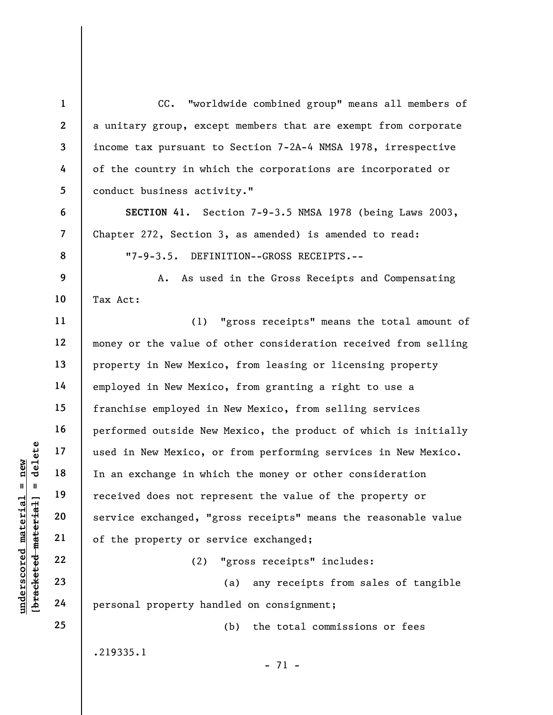understand material material material material material material material material material material material material material material material material material material material material material material material mate 1 2 3 4 5 6 7 8 9 10 11 12 13 14 15 16 17 18 19 20 21 22 23 24 25 CC. "worldwide combined group" means all members of a unitary group, except members that are exempt from corporate income tax pursuant to Section 7-2A-4 NMSA 1978, irrespective of the country in which the corporations are incorporated or conduct business activity." SECTION 41. Section 7-9-3.5 NMSA 1978 (being Laws 2003, Chapter 272, Section 3, as amended) is amended to read: "7-9-3.5. DEFINITION--GROSS RECEIPTS.-- A. As used in the Gross Receipts and Compensating Tax Act: (1) "gross receipts" means the total amount of money or the value of other consideration received from selling property in New Mexico, from leasing or licensing property employed in New Mexico, from granting a right to use a franchise employed in New Mexico, from selling services performed outside New Mexico, the product of which is initially used in New Mexico, or from performing services in New Mexico. In an exchange in which the money or other consideration received does not represent the value of the property or service exchanged, "gross receipts" means the reasonable value of the property or service exchanged; (2) "gross receipts" includes: (a) any receipts from sales of tangible personal property handled on consignment; (b) the total commissions or fees .219335.1

- 71 -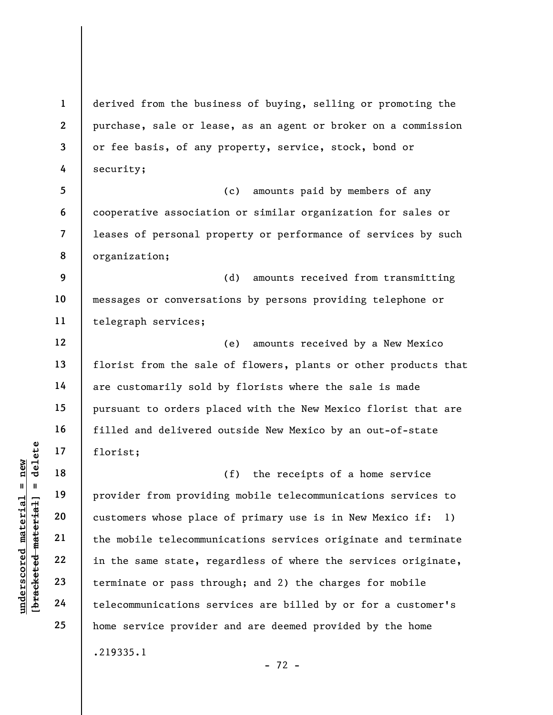underscored material = new [bracketed material] = delete 1 2 3 4 5 6 7 8 9 10 11 12 13 14 15 16 17 18 19 20 21 22 23 24 25 derived from the business of buying, selling or promoting the purchase, sale or lease, as an agent or broker on a commission or fee basis, of any property, service, stock, bond or security; (c) amounts paid by members of any cooperative association or similar organization for sales or leases of personal property or performance of services by such organization; (d) amounts received from transmitting messages or conversations by persons providing telephone or telegraph services; (e) amounts received by a New Mexico florist from the sale of flowers, plants or other products that are customarily sold by florists where the sale is made pursuant to orders placed with the New Mexico florist that are filled and delivered outside New Mexico by an out-of-state florist; (f) the receipts of a home service provider from providing mobile telecommunications services to customers whose place of primary use is in New Mexico if: 1) the mobile telecommunications services originate and terminate in the same state, regardless of where the services originate, terminate or pass through; and 2) the charges for mobile telecommunications services are billed by or for a customer's home service provider and are deemed provided by the home .219335.1

- 72 -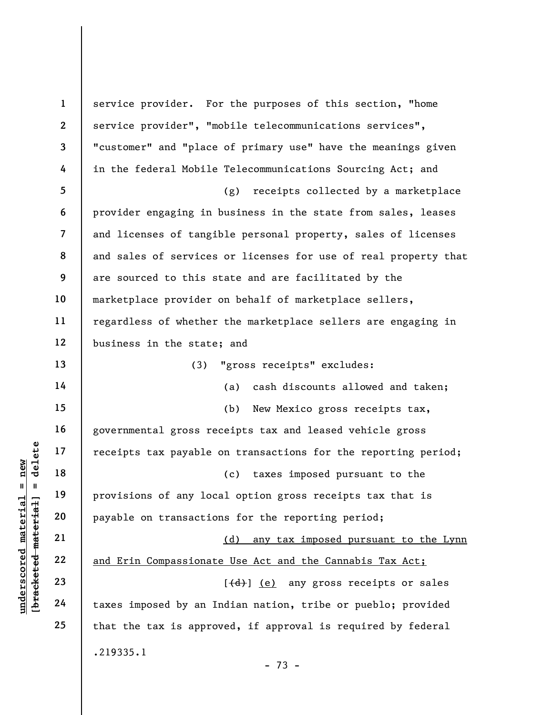under 17<br>
= 18<br>
= 18<br>
= 19<br>
= 19<br>
= 19<br>
= 19<br>
= 19<br>
= 19<br>
= 19<br>
= 19<br>
= 19<br>
= 19<br>
= 19<br>
= 19<br>
= 19<br>
21<br>
22<br>
= 10<br>
= 10<br>
= 10<br>
= 10<br>
= 10<br>
= 10<br>
= 10<br>
= 10<br>
= 10<br>
= 10<br>
= 10<br>
= 10<br>
= 10<br>
= 10<br>
= 10<br>
= 10<br>
= 10<br>
= 10<br>
= 10<br> 1 2 3 4 5 6 7 8 9 10 11 12 13 14 15 16 17 18 19 20 21 22 23 24 25 service provider. For the purposes of this section, "home service provider", "mobile telecommunications services", "customer" and "place of primary use" have the meanings given in the federal Mobile Telecommunications Sourcing Act; and (g) receipts collected by a marketplace provider engaging in business in the state from sales, leases and licenses of tangible personal property, sales of licenses and sales of services or licenses for use of real property that are sourced to this state and are facilitated by the marketplace provider on behalf of marketplace sellers, regardless of whether the marketplace sellers are engaging in business in the state; and (3) "gross receipts" excludes: (a) cash discounts allowed and taken; (b) New Mexico gross receipts tax, governmental gross receipts tax and leased vehicle gross receipts tax payable on transactions for the reporting period; (c) taxes imposed pursuant to the provisions of any local option gross receipts tax that is payable on transactions for the reporting period; (d) any tax imposed pursuant to the Lynn and Erin Compassionate Use Act and the Cannabis Tax Act;  $[\frac{d}{d}]$  (e) any gross receipts or sales taxes imposed by an Indian nation, tribe or pueblo; provided that the tax is approved, if approval is required by federal .219335.1 - 73 -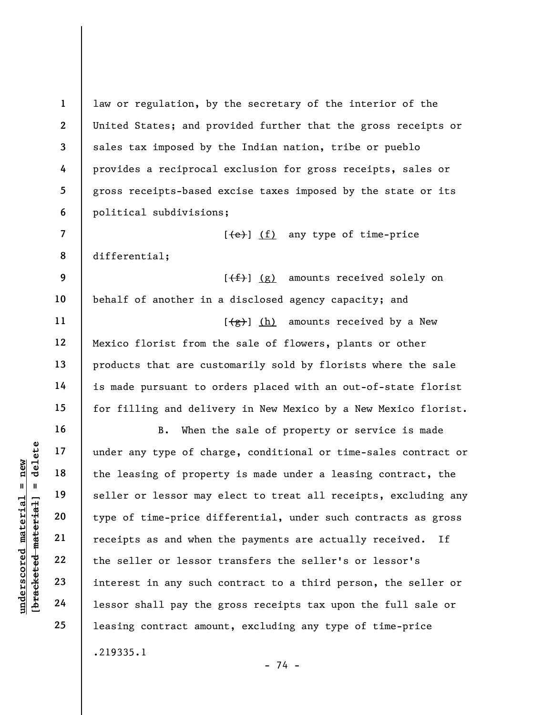law or regulation, by the secretary of the interior of the United States; and provided further that the gross receipts or sales tax imposed by the Indian nation, tribe or pueblo provides a reciprocal exclusion for gross receipts, sales or gross receipts-based excise taxes imposed by the state or its political subdivisions;

 $[\frac{1}{e}]$  (f) any type of time-price differential;

 $[\frac{f(f)}{f}]$  (g) amounts received solely on behalf of another in a disclosed agency capacity; and  $[\frac{1}{2}, \frac{1}{2}]$  (h) amounts received by a New Mexico florist from the sale of flowers, plants or other products that are customarily sold by florists where the sale is made pursuant to orders placed with an out-of-state florist for filling and delivery in New Mexico by a New Mexico florist.

under any type of cha<br>
and the leasing of proper<br>
seller or lessor may<br>
type of time-price di<br>
receipts as and when<br>
the seller or lessor<br>
22<br>
the seller or lessor<br>
the seller or lessor<br>
23<br>
interest in any such<br>
24<br>
lesso B. When the sale of property or service is made under any type of charge, conditional or time-sales contract or the leasing of property is made under a leasing contract, the seller or lessor may elect to treat all receipts, excluding any type of time-price differential, under such contracts as gross receipts as and when the payments are actually received. If the seller or lessor transfers the seller's or lessor's interest in any such contract to a third person, the seller or lessor shall pay the gross receipts tax upon the full sale or leasing contract amount, excluding any type of time-price .219335.1

- 74 -

1

2

3

4

5

6

7

8

9

10

11

12

13

14

15

16

17

18

19

20

21

22

23

24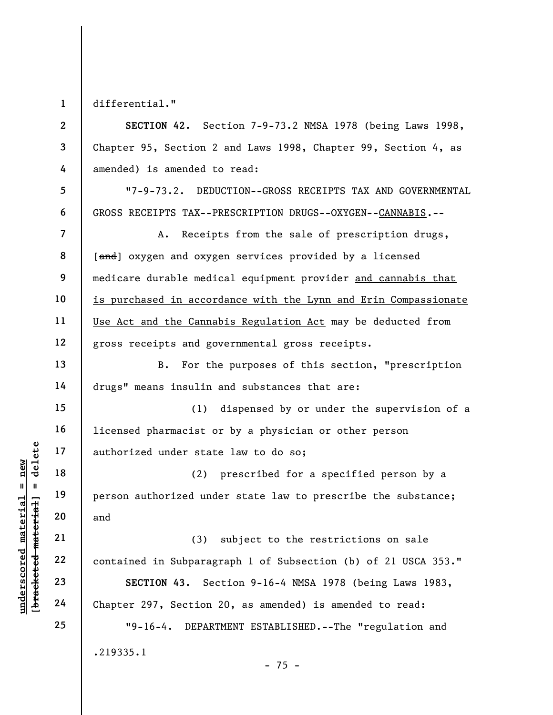1 differential."

5

6

7

8

9

10

11

12

13

14

18

19

20

21

22

23

24

2 3 4 SECTION 42. Section 7-9-73.2 NMSA 1978 (being Laws 1998, Chapter 95, Section 2 and Laws 1998, Chapter 99, Section 4, as amended) is amended to read:

"7-9-73.2. DEDUCTION--GROSS RECEIPTS TAX AND GOVERNMENTAL GROSS RECEIPTS TAX--PRESCRIPTION DRUGS--OXYGEN--CANNABIS.--

A. Receipts from the sale of prescription drugs, [and] oxygen and oxygen services provided by a licensed medicare durable medical equipment provider and cannabis that is purchased in accordance with the Lynn and Erin Compassionate Use Act and the Cannabis Regulation Act may be deducted from gross receipts and governmental gross receipts.

B. For the purposes of this section, "prescription drugs" means insulin and substances that are:

15 16 17 (1) dispensed by or under the supervision of a licensed pharmacist or by a physician or other person authorized under state law to do so;

(2) prescribed for a specified person by a person authorized under state law to prescribe the substance; and

under stat<br>
and the stat<br>
in the stat<br>
in the stat<br>
in the stat<br>
in the stat<br>
is the stat<br>
in the stat<br>
in the stat<br>
in the stat (2)<br>
and<br>
21<br>
contained in Subparage<br>
23<br>
24<br>
Chapter 297, Section<br>
24<br>
29<br>
29<br>
29<br>
29<br>
29<br>
2 (3) subject to the restrictions on sale contained in Subparagraph 1 of Subsection (b) of 21 USCA 353." SECTION 43. Section 9-16-4 NMSA 1978 (being Laws 1983, Chapter 297, Section 20, as amended) is amended to read:

> "9-16-4. DEPARTMENT ESTABLISHED.--The "regulation and .219335.1  $- 75 -$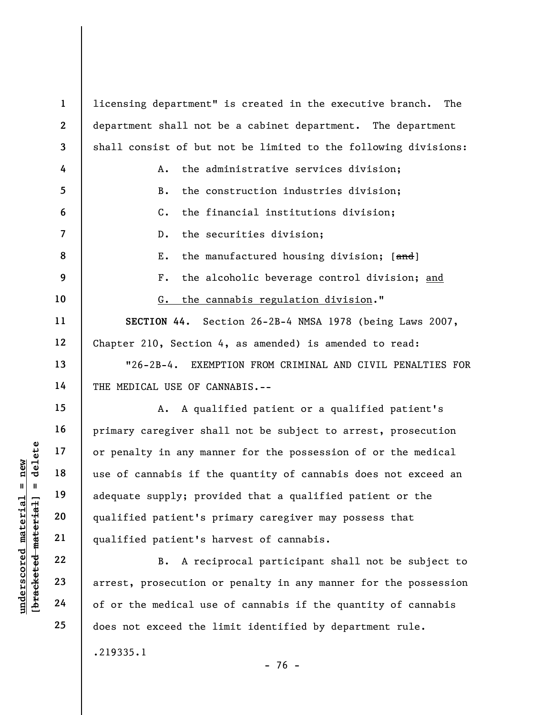understanding to the medical use<br>  $\begin{array}{c|c|c|c} \mathbf{u} & \mathbf{u} & \mathbf{u} & \mathbf{u} & \mathbf{u} & \mathbf{u} & \mathbf{u} & \mathbf{u} & \mathbf{u} & \mathbf{u} & \mathbf{u} & \mathbf{u} & \mathbf{u} & \mathbf{u} & \mathbf{u} & \mathbf{u} & \mathbf{u} & \mathbf{u} & \mathbf{u} & \mathbf{u} & \mathbf{u} & \mathbf{u} & \mathbf{u} & \mathbf{u} & \mathbf{u}$ 1 2 3 4 5 6 7 8 9 10 11 12 13 14 15 16 17 18 19 20 21 22 licensing department" is created in the executive branch. The department shall not be a cabinet department. The department shall consist of but not be limited to the following divisions: A. the administrative services division; B. the construction industries division; C. the financial institutions division; D. the securities division; E. the manufactured housing division; [and] F. the alcoholic beverage control division; and G. the cannabis regulation division." SECTION 44. Section 26-2B-4 NMSA 1978 (being Laws 2007, Chapter 210, Section 4, as amended) is amended to read: "26-2B-4. EXEMPTION FROM CRIMINAL AND CIVIL PENALTIES FOR THE MEDICAL USE OF CANNABIS.-- A. A qualified patient or a qualified patient's primary caregiver shall not be subject to arrest, prosecution or penalty in any manner for the possession of or the medical use of cannabis if the quantity of cannabis does not exceed an adequate supply; provided that a qualified patient or the qualified patient's primary caregiver may possess that qualified patient's harvest of cannabis. B. A reciprocal participant shall not be subject to

arrest, prosecution or penalty in any manner for the possession of or the medical use of cannabis if the quantity of cannabis does not exceed the limit identified by department rule.

.219335.1

23

24

25

- 76 -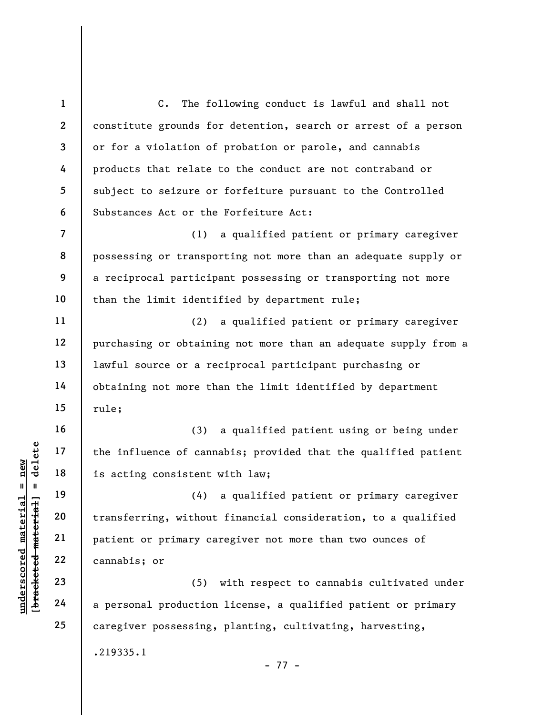understand material material states of cannot and the influence of cannot start is acting consistent (4)<br>
is acting consistent (4)<br>
deleted transferring, without<br>
patient or primary cannotis; or<br>
23<br>
deleted 22<br>
24 a perso 1 2 3 4 5 6 7 8 9 10 11 12 13 14 15 16 17 18 19 20 21 22 23 24 25 C. The following conduct is lawful and shall not constitute grounds for detention, search or arrest of a person or for a violation of probation or parole, and cannabis products that relate to the conduct are not contraband or subject to seizure or forfeiture pursuant to the Controlled Substances Act or the Forfeiture Act: (1) a qualified patient or primary caregiver possessing or transporting not more than an adequate supply or a reciprocal participant possessing or transporting not more than the limit identified by department rule; (2) a qualified patient or primary caregiver purchasing or obtaining not more than an adequate supply from a lawful source or a reciprocal participant purchasing or obtaining not more than the limit identified by department rule; (3) a qualified patient using or being under the influence of cannabis; provided that the qualified patient is acting consistent with law; (4) a qualified patient or primary caregiver transferring, without financial consideration, to a qualified patient or primary caregiver not more than two ounces of cannabis; or (5) with respect to cannabis cultivated under a personal production license, a qualified patient or primary caregiver possessing, planting, cultivating, harvesting, .219335.1

- 77 -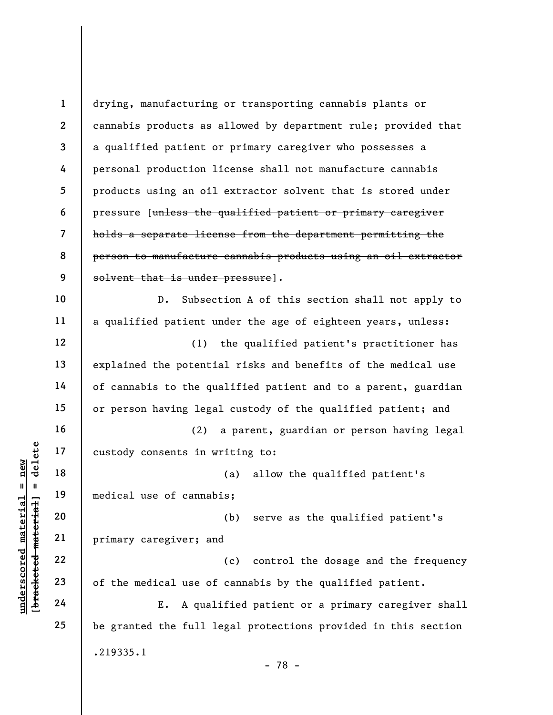understand material material experience in the medical use of cannab<br>
wedget that all medical use of cannab<br>
wedget material primary caregiver; an<br>
22<br>
understand 22<br>
23<br>
24<br>
24<br>
E. A qual 1 2 3 4 5 6 7 8 9 10 11 12 13 14 15 16 17 18 19 20 21 22 23 24 25 drying, manufacturing or transporting cannabis plants or cannabis products as allowed by department rule; provided that a qualified patient or primary caregiver who possesses a personal production license shall not manufacture cannabis products using an oil extractor solvent that is stored under pressure [unless the qualified patient or primary caregiver holds a separate license from the department permitting the person to manufacture cannabis products using an oil extractor solvent that is under pressure]. D. Subsection A of this section shall not apply to a qualified patient under the age of eighteen years, unless: (1) the qualified patient's practitioner has explained the potential risks and benefits of the medical use of cannabis to the qualified patient and to a parent, guardian or person having legal custody of the qualified patient; and (2) a parent, guardian or person having legal custody consents in writing to: (a) allow the qualified patient's medical use of cannabis; (b) serve as the qualified patient's primary caregiver; and (c) control the dosage and the frequency of the medical use of cannabis by the qualified patient. E. A qualified patient or a primary caregiver shall be granted the full legal protections provided in this section .219335.1 - 78 -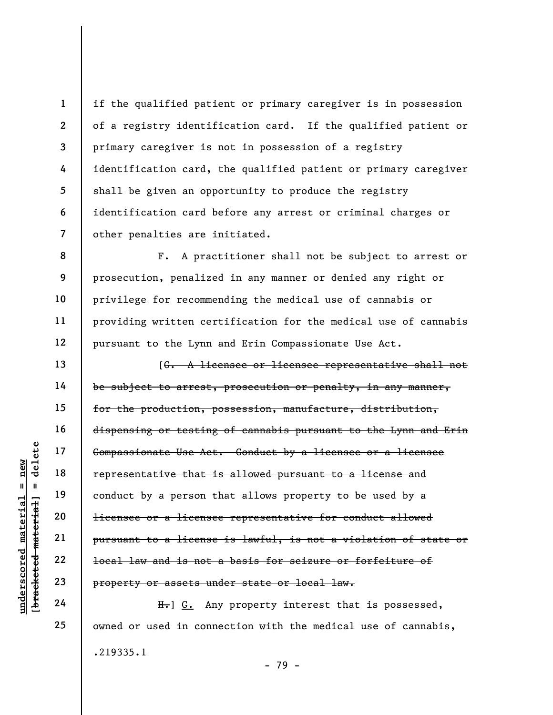if the qualified patient or primary caregiver is in possession of a registry identification card. If the qualified patient or primary caregiver is not in possession of a registry identification card, the qualified patient or primary caregiver shall be given an opportunity to produce the registry identification card before any arrest or criminal charges or other penalties are initiated.

F. A practitioner shall not be subject to arrest or prosecution, penalized in any manner or denied any right or privilege for recommending the medical use of cannabis or providing written certification for the medical use of cannabis pursuant to the Lynn and Erin Compassionate Use Act.

understative that<br>  $\begin{array}{c|c|c|c} \text{u} & \text{u} & \text{u} & \text{u} & \text{u} & \text{u} & \text{u} & \text{u} & \text{u} & \text{u} & \text{u} & \text{u} & \text{u} & \text{u} & \text{u} & \text{u} & \text{u} & \text{u} & \text{u} & \text{u} & \text{u} & \text{u} & \text{u} & \text{u} & \text{u} & \text{u} & \text{u} & \text{u} & \text{u} & \text{u} & \text{u} & \text{$ [G. A licensee or licensee representative shall not be subject to arrest, prosecution or penalty, in any manner, for the production, possession, manufacture, distribution, dispensing or testing of cannabis pursuant to the Lynn and Erin Compassionate Use Act. Conduct by a licensee or a licensee representative that is allowed pursuant to a license and conduct by a person that allows property to be used by a licensee or a licensee representative for conduct allowed pursuant to a license is lawful, is not a violation of state or local law and is not a basis for seizure or forfeiture of property or assets under state or local law.

H. G. Any property interest that is possessed, owned or used in connection with the medical use of cannabis, .219335.1 - 79 -

1

2

3

4

5

6

7

8

9

10

11

12

13

14

15

16

17

18

19

20

21

22

23

24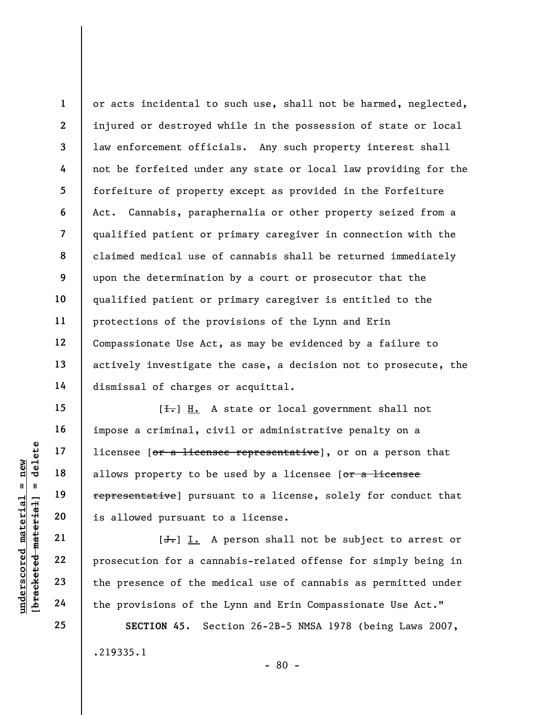1 2 3 4 5 6 7 8 9 10 11 12 13 14 or acts incidental to such use, shall not be harmed, neglected, injured or destroyed while in the possession of state or local law enforcement officials. Any such property interest shall not be forfeited under any state or local law providing for the forfeiture of property except as provided in the Forfeiture Act. Cannabis, paraphernalia or other property seized from a qualified patient or primary caregiver in connection with the claimed medical use of cannabis shall be returned immediately upon the determination by a court or prosecutor that the qualified patient or primary caregiver is entitled to the protections of the provisions of the Lynn and Erin Compassionate Use Act, as may be evidenced by a failure to actively investigate the case, a decision not to prosecute, the dismissal of charges or acquittal.

understand material material process of the material pair of the provisions of the<br>diagonal material pair is allowed pursuant to be<br>diagonal material pair is allowed pursuant to idea the prosecution for a can<br>diagonal mate  $[\frac{1}{\sqrt{1}}]$  H. A state or local government shall not impose a criminal, civil or administrative penalty on a licensee [or a licensee representative], or on a person that allows property to be used by a licensee [or a licensee representative] pursuant to a license, solely for conduct that is allowed pursuant to a license.

 $[\frac{1}{\sqrt{1}}]$  I. A person shall not be subject to arrest or prosecution for a cannabis-related offense for simply being in the presence of the medical use of cannabis as permitted under the provisions of the Lynn and Erin Compassionate Use Act."

SECTION 45. Section 26-2B-5 NMSA 1978 (being Laws 2007, .219335.1 - 80 -

15

16

17

18

19

20

21

22

23

24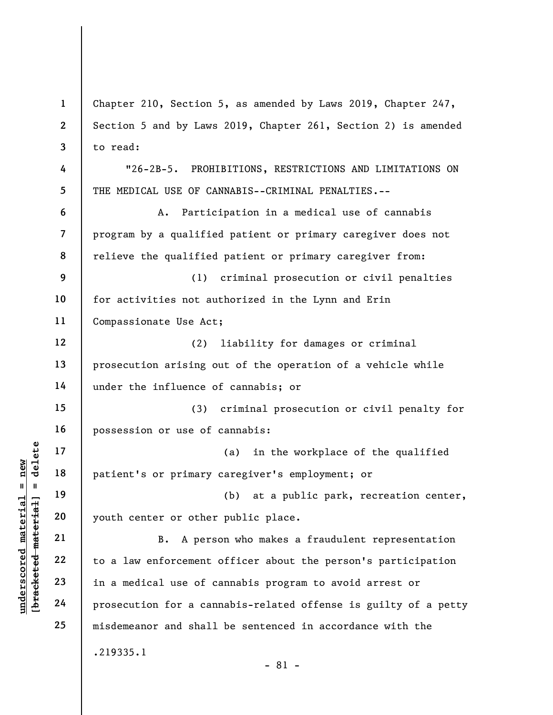|                                                           | $\mathbf{1}$             | Chapter 210, Section 5, as amended by Laws 2019, Chapter 247,   |
|-----------------------------------------------------------|--------------------------|-----------------------------------------------------------------|
|                                                           | $\mathbf{2}$             | Section 5 and by Laws 2019, Chapter 261, Section 2) is amended  |
|                                                           | 3                        | to read:                                                        |
|                                                           | 4                        | "26-2B-5. PROHIBITIONS, RESTRICTIONS AND LIMITATIONS ON         |
|                                                           | 5                        | THE MEDICAL USE OF CANNABIS--CRIMINAL PENALTIES.--              |
|                                                           | 6                        | Participation in a medical use of cannabis<br>Α.                |
|                                                           | $\overline{\mathcal{L}}$ | program by a qualified patient or primary caregiver does not    |
|                                                           | 8                        | relieve the qualified patient or primary caregiver from:        |
|                                                           | 9                        | criminal prosecution or civil penalties<br>(1)                  |
|                                                           | 10                       | for activities not authorized in the Lynn and Erin              |
|                                                           | 11                       | Compassionate Use Act;                                          |
|                                                           | 12                       | liability for damages or criminal<br>(2)                        |
|                                                           | 13                       | prosecution arising out of the operation of a vehicle while     |
|                                                           | 14                       | under the influence of cannabis; or                             |
|                                                           | 15                       | (3)<br>criminal prosecution or civil penalty for                |
|                                                           | 16                       | possession or use of cannabis:                                  |
| delete                                                    | 17                       | in the workplace of the qualified<br>(a)                        |
| nev<br>Ш<br>- 11                                          | 18                       | patient's or primary caregiver's employment; or                 |
|                                                           | 19                       | (b) at a public park, recreation center,                        |
|                                                           | 20                       | youth center or other public place.                             |
| underscored material<br>[ <del>bracketed material</del> ] | 21                       | A person who makes a fraudulent representation<br>B.            |
|                                                           | 22                       | to a law enforcement officer about the person's participation   |
|                                                           | 23                       | in a medical use of cannabis program to avoid arrest or         |
|                                                           | 24                       | prosecution for a cannabis-related offense is guilty of a petty |
|                                                           | 25                       | misdemeanor and shall be sentenced in accordance with the       |
|                                                           |                          | .219335.1<br>$-81 -$                                            |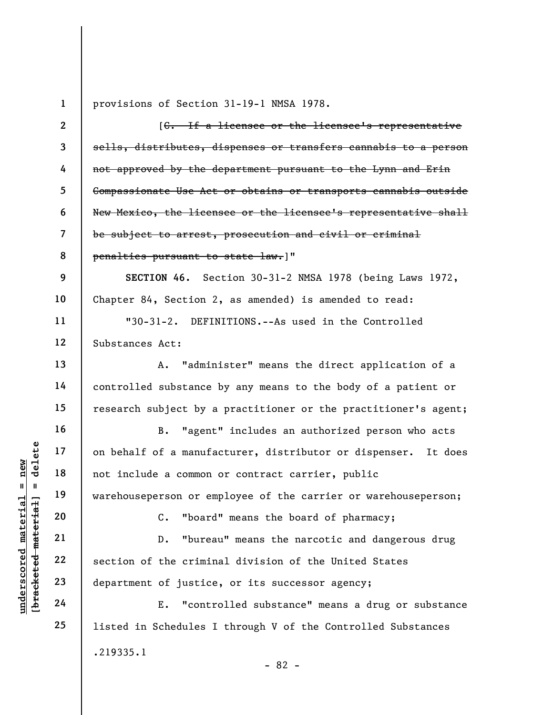|                                             | $\mathbf{1}$             | provisions of Section 31-19-1 NMSA 1978.                          |
|---------------------------------------------|--------------------------|-------------------------------------------------------------------|
|                                             | $\overline{2}$           | [C. If a licensee or the licensee's representative                |
|                                             | $\overline{\mathbf{3}}$  | sells, distributes, dispenses or transfers cannabis to a person   |
|                                             | 4                        | not approved by the department pursuant to the Lynn and Erin      |
|                                             | 5                        | Compassionate Use Act or obtains or transports cannabis outside   |
|                                             | 6                        | New Mexico, the licensee or the licensee's representative shall   |
|                                             | $\overline{\mathcal{L}}$ | be subject to arrest, prosecution and civil or criminal           |
|                                             | 8                        | penalties pursuant to state law.]"                                |
|                                             | 9                        | SECTION 46. Section 30-31-2 NMSA 1978 (being Laws 1972,           |
|                                             | 10                       | Chapter 84, Section 2, as amended) is amended to read:            |
|                                             | 11                       | "30-31-2. DEFINITIONS.--As used in the Controlled                 |
|                                             | 12                       | Substances Act:                                                   |
|                                             | 13                       | "administer" means the direct application of a<br>Α.              |
|                                             | 14                       | controlled substance by any means to the body of a patient or     |
|                                             | 15                       | research subject by a practitioner or the practitioner's agent;   |
|                                             | 16                       | B.<br>"agent" includes an authorized person who acts              |
| delete                                      | 17                       | on behalf of a manufacturer, distributor or dispenser.<br>It does |
| new                                         | 18                       | not include a common or contract carrier, public                  |
| Ш<br>H                                      | 19                       | warehouseperson or employee of the carrier or warehouseperson;    |
|                                             | 20                       | "board" means the board of pharmacy;<br>$\mathsf{C}$ .            |
| underscored material<br>[bracketed material | 21                       | "bureau" means the narcotic and dangerous drug<br>$D$ .           |
|                                             | 22                       | section of the criminal division of the United States             |
|                                             | 23                       | department of justice, or its successor agency;                   |
|                                             | 24                       | "controlled substance" means a drug or substance<br>Ε.            |
|                                             | 25                       | listed in Schedules I through V of the Controlled Substances      |
|                                             |                          | .219335.1                                                         |
|                                             |                          | $-82 -$                                                           |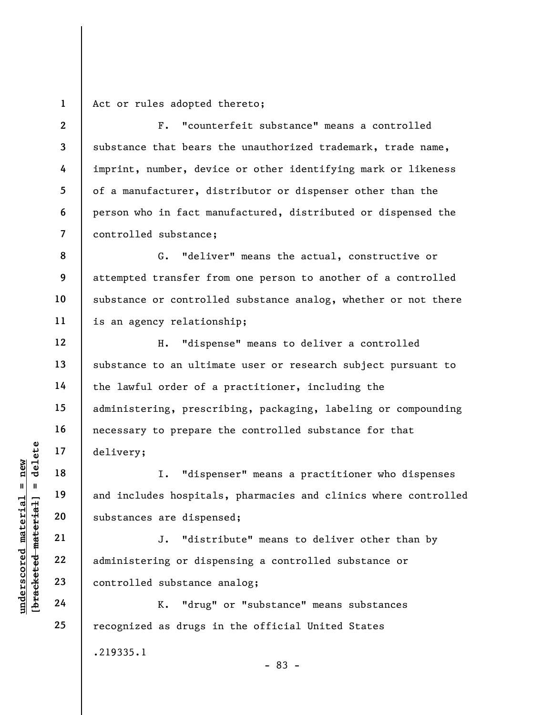1 Act or rules adopted thereto;

2

4

5

6

7

12

13

14

15

16

17

18

19

20

21

22

23

24

25

3 F. "counterfeit substance" means a controlled substance that bears the unauthorized trademark, trade name, imprint, number, device or other identifying mark or likeness of a manufacturer, distributor or dispenser other than the person who in fact manufactured, distributed or dispensed the controlled substance;

8 9 10 11 G. "deliver" means the actual, constructive or attempted transfer from one person to another of a controlled substance or controlled substance analog, whether or not there is an agency relationship;

H. "dispense" means to deliver a controlled substance to an ultimate user or research subject pursuant to the lawful order of a practitioner, including the administering, prescribing, packaging, labeling or compounding necessary to prepare the controlled substance for that delivery;

understand material material entity:<br>  $\begin{array}{c|c|c|c} \n\text{ucl } u & \text{ucl } u & \text{ucl } u & \text{ucl } u & \text{ucl } u & \text{ucl } u & \text{ucl } u & \text{ucl } u & \text{ucl } u & \text{ucl } u & \text{ucl } u & \text{ucl } u & \text{ucl } u & \text{ucl } u & \text{ucl } u & \text{ucl } u & \text{ucl } u & \text{ucl } u & \text{ucl } u & \text{ucl } u & \text{ucl } u &$ I. "dispenser" means a practitioner who dispenses and includes hospitals, pharmacies and clinics where controlled substances are dispensed;

J. "distribute" means to deliver other than by administering or dispensing a controlled substance or controlled substance analog;

K. "drug" or "substance" means substances recognized as drugs in the official United States .219335.1 - 83 -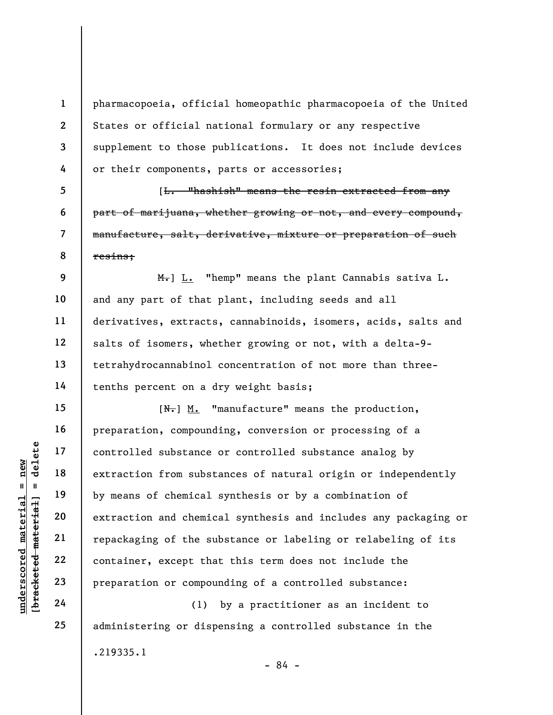pharmacopoeia, official homeopathic pharmacopoeia of the United States or official national formulary or any respective supplement to those publications. It does not include devices or their components, parts or accessories;

[L. "hashish" means the resin extracted from any part of marijuana, whether growing or not, and every compound, manufacture, salt, derivative, mixture or preparation of such resins;

12  $H_{\bullet}$ ] L. "hemp" means the plant Cannabis sativa L. and any part of that plant, including seeds and all derivatives, extracts, cannabinoids, isomers, acids, salts and salts of isomers, whether growing or not, with a delta-9 tetrahydrocannabinol concentration of not more than threetenths percent on a dry weight basis;

understand material extraction from substance<br>  $\begin{array}{c|c|c} \n\text{u} & \text{u} & \text{u} & \text{u} & \text{u} & \text{u} & \text{u} & \text{u} & \text{u} & \text{u} & \text{u} & \text{u} & \text{u} & \text{u} & \text{u} & \text{u} & \text{u} & \text{u} & \text{u} & \text{u} & \text{u} & \text{u} & \text{u} & \text{u} & \text{u} & \text{u} & \text{u}$  $[N<sub>1</sub>]$  M. "manufacture" means the production, preparation, compounding, conversion or processing of a controlled substance or controlled substance analog by extraction from substances of natural origin or independently by means of chemical synthesis or by a combination of extraction and chemical synthesis and includes any packaging or repackaging of the substance or labeling or relabeling of its container, except that this term does not include the preparation or compounding of a controlled substance:

(1) by a practitioner as an incident to administering or dispensing a controlled substance in the .219335.1 - 84 -

1

2

3

4

5

6

7

8

9

10

11

13

14

15

16

17

18

19

20

21

22

23

24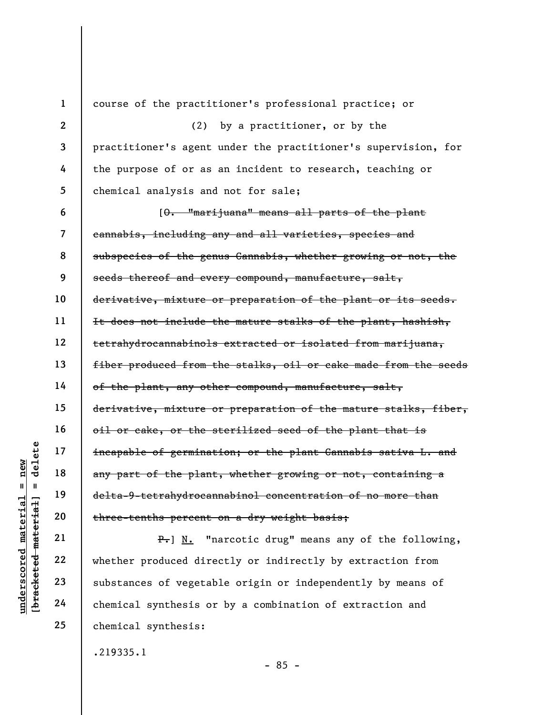|                |            | $\mathbf{1}$             | course of the practitioner's professional practice; or            |
|----------------|------------|--------------------------|-------------------------------------------------------------------|
|                |            | $\mathbf{2}$             | (2) by a practitioner, or by the                                  |
|                |            | 3                        | practitioner's agent under the practitioner's supervision, for    |
|                |            | 4                        | the purpose of or as an incident to research, teaching or         |
|                |            | 5                        | chemical analysis and not for sale;                               |
|                |            | 6                        | [0. "marijuana" means all parts of the plant                      |
|                |            | $\overline{\mathcal{L}}$ | cannabis, including any and all varieties, species and            |
|                |            | 8                        | subspecies of the genus Cannabis, whether growing or not, the     |
|                |            | 9                        | seeds thereof and every compound, manufacture, salt,              |
|                |            | 10                       | derivative, mixture or preparation of the plant or its seeds.     |
|                |            | 11                       | It does not include the mature stalks of the plant, hashish,      |
|                |            | 12                       | tetrahydrocannabinols extracted or isolated from marijuana,       |
|                |            | 13                       | fiber produced from the stalks, oil or cake made from the seeds   |
|                |            | 14                       | of the plant, any other compound, manufacture, salt,              |
|                |            | 15                       | derivative, mixture or preparation of the mature stalks, fiber,   |
|                |            | 16                       | oil or cake, or the sterilized seed of the plant that is          |
|                | delete     | 17                       | incapable of germination; or the plant Cannabis sativa L. and     |
| new            |            | 18                       | any part of the plant, whether growing or not, containing a       |
| Ш<br><b>LG</b> |            | 19                       | delta-9-tetrahydrocannabinol concentration of no more than        |
| materi         | material   | 20                       | three-tenths percent on a dry weight basis;                       |
|                |            | 21                       | "narcotic drug" means any of the following,<br>$P_{\bullet}$ ] N. |
|                |            | 22                       | whether produced directly or indirectly by extraction from        |
| underscored    | [bracketed | 23                       | substances of vegetable origin or independently by means of       |
|                |            | 24                       | chemical synthesis or by a combination of extraction and          |

substances of vegetable origin or independently by means of chemical synthesis or by a combination of extraction and chemical synthesis:

.219335.1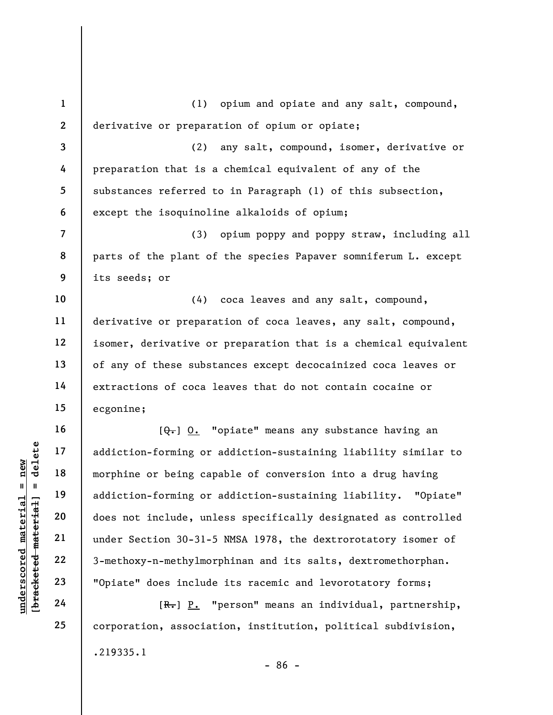under 17<br>
addiction-forming or<br>
morphine or being cap<br>
addiction-forming or<br>
addiction-forming or<br>
does not include, unl<br>
under Section 30-31-5<br>
22<br>
3-methoxy-n-methylmor<br>
23<br>
"Opiate" does include<br>
24<br>
[R.] P. 1 2 3 4 5 6 7 8 9 10 11 12 13 14 15 16 17 18 19 20 21 22 (1) opium and opiate and any salt, compound, derivative or preparation of opium or opiate; (2) any salt, compound, isomer, derivative or preparation that is a chemical equivalent of any of the substances referred to in Paragraph (1) of this subsection, except the isoquinoline alkaloids of opium; (3) opium poppy and poppy straw, including all parts of the plant of the species Papaver somniferum L. except its seeds; or (4) coca leaves and any salt, compound, derivative or preparation of coca leaves, any salt, compound, isomer, derivative or preparation that is a chemical equivalent of any of these substances except decocainized coca leaves or extractions of coca leaves that do not contain cocaine or ecgonine;  $[\theta_{\overline{\bullet}}]$  O. "opiate" means any substance having an addiction-forming or addiction-sustaining liability similar to morphine or being capable of conversion into a drug having addiction-forming or addiction-sustaining liability. "Opiate" does not include, unless specifically designated as controlled under Section 30-31-5 NMSA 1978, the dextrorotatory isomer of 3-methoxy-n-methylmorphinan and its salts, dextromethorphan.

[R.] P. "person" means an individual, partnership, corporation, association, institution, political subdivision, .219335.1 - 86 -

"Opiate" does include its racemic and levorotatory forms;

23 24 25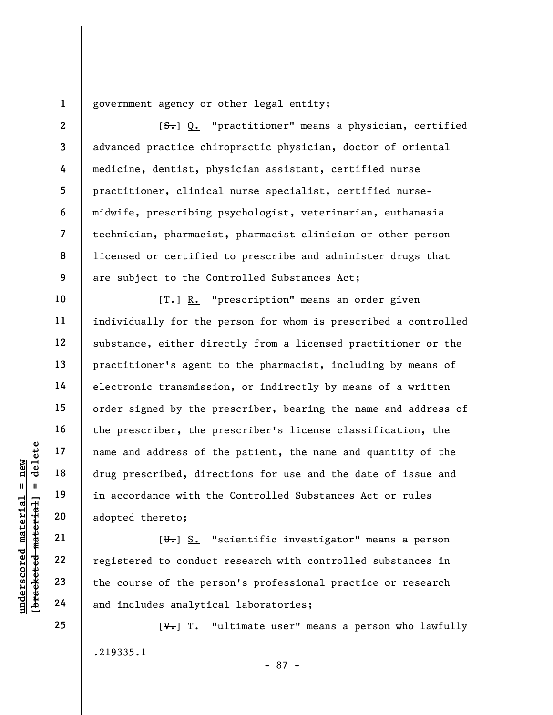1 government agency or other legal entity;

2 3 4 5 6 7 8 9 [ $S<sub>r</sub>$ ] Q. "practitioner" means a physician, certified advanced practice chiropractic physician, doctor of oriental medicine, dentist, physician assistant, certified nurse practitioner, clinical nurse specialist, certified nursemidwife, prescribing psychologist, veterinarian, euthanasia technician, pharmacist, pharmacist clinician or other person licensed or certified to prescribe and administer drugs that are subject to the Controlled Substances Act;

underscored material material material drug prescribed, directed material drug prescribed, directed material drug prescribed, directed material drug prescribed, directed material dependence with the adopted thereto;<br>adopte [<del>T.</del>] R. "prescription" means an order given individually for the person for whom is prescribed a controlled substance, either directly from a licensed practitioner or the practitioner's agent to the pharmacist, including by means of electronic transmission, or indirectly by means of a written order signed by the prescriber, bearing the name and address of the prescriber, the prescriber's license classification, the name and address of the patient, the name and quantity of the drug prescribed, directions for use and the date of issue and in accordance with the Controlled Substances Act or rules adopted thereto;

 $[\overline{\mathbf{u}}_r]$  S. "scientific investigator" means a person registered to conduct research with controlled substances in the course of the person's professional practice or research and includes analytical laboratories;

 $[\frac{V}{V}]$  T. "ultimate user" means a person who lawfully .219335.1 - 87 -

10

11

12

13

14

15

16

17

18

19

20

21

22

23

24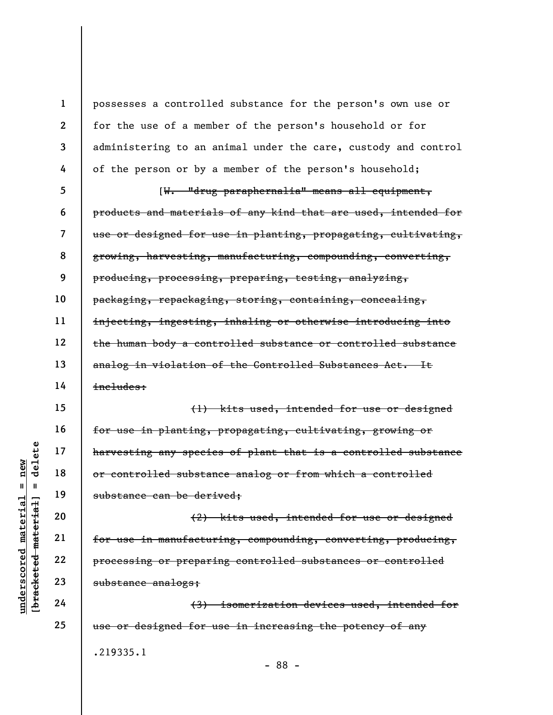underschied material engines is a material engineer of the transmission of the substance can be derived as a material of the substance can be derived when the substance can be derived when  $\begin{array}{c|l} \hline \text{real} & 19 \\ \text{real} &$ 1 2 3 4 5 6 7 8 9 10 11 12 13 14 15 16 17 18 19 20 21 22 23 24 25 possesses a controlled substance for the person's own use or for the use of a member of the person's household or for administering to an animal under the care, custody and control of the person or by a member of the person's household; [W. "drug paraphernalia" means all equipment, products and materials of any kind that are used, intended for use or designed for use in planting, propagating, cultivating, growing, harvesting, manufacturing, compounding, converting, producing, processing, preparing, testing, analyzing, packaging, repackaging, storing, containing, concealing, injecting, ingesting, inhaling or otherwise introducing into the human body a controlled substance or controlled substance analog in violation of the Controlled Substances Act. It includes: (1) kits used, intended for use or designed for use in planting, propagating, cultivating, growing or harvesting any species of plant that is a controlled substance or controlled substance analog or from which a controlled substance can be derived; (2) kits used, intended for use or designed for use in manufacturing, compounding, converting, producing, processing or preparing controlled substances or controlled substance analogs; (3) isomerization devices used, intended for use or designed for use in increasing the potency of any .219335.1

- 88 -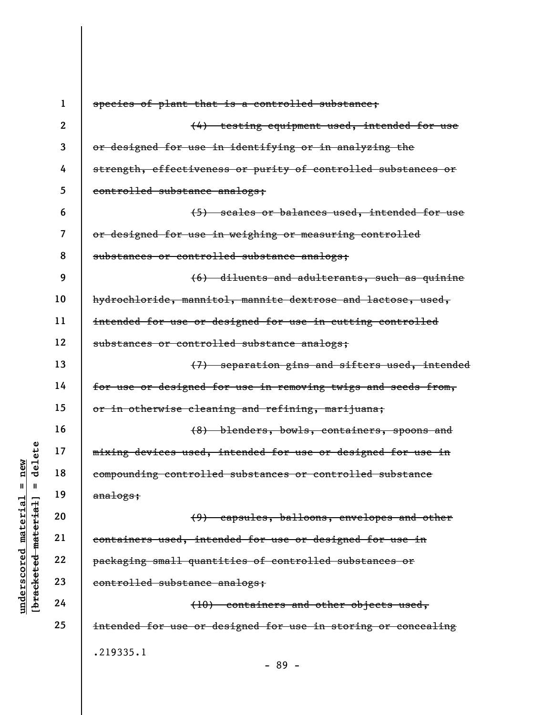|                                        | $\mathbf 1$  | species of plant that is a controlled substance;              |
|----------------------------------------|--------------|---------------------------------------------------------------|
|                                        | $\mathbf{2}$ | (4) testing equipment used, intended for use                  |
|                                        | 3            | or designed for use in identifying or in analyzing the        |
|                                        | 4            | strength, effectiveness or purity of controlled substances or |
|                                        | 5            | controlled substance analogs;                                 |
|                                        | 6            | (5) scales or balances used, intended for use                 |
|                                        | 7            | or designed for use in weighing or measuring controlled       |
|                                        | 8            | substances or controlled substance analogs;                   |
|                                        | 9            | (6) diluents and adulterants, such as quinine                 |
|                                        | 10           | hydrochloride, mannitol, mannite dextrose and lactose, used,  |
|                                        | 11           | intended for use or designed for use in cutting controlled    |
|                                        | 12           | substances or controlled substance analogs;                   |
|                                        | 13           | (7) separation gins and sifters used, intended                |
|                                        | 14           | for use or designed for use in removing twigs and seeds from, |
|                                        | 15           | or in otherwise cleaning and refining, marijuana;             |
|                                        | 16           | (8) blenders, bowls, containers, spoons and                   |
| delete                                 | 17           | mixing devices used, intended for use or designed for use in  |
| new                                    | 18           | compounding controlled substances or controlled substance     |
| Ш<br>Ш                                 | 19           | $ana\log s;$                                                  |
| material<br>material                   | 20           | (9) capsules, balloons, envelopes and other                   |
|                                        | 21           | containers used, intended for use or designed for use in      |
|                                        | 22           | packaging small quantities of controlled substances or        |
| underscored<br>[ <del>brack</del> eted | 23           | controlled substance analogs;                                 |
|                                        | 24           | (10) containers and other objects used,                       |
|                                        | 25           | intended for use or designed for use in storing or concealing |
|                                        |              | .219335.1                                                     |
|                                        |              | $-89 -$                                                       |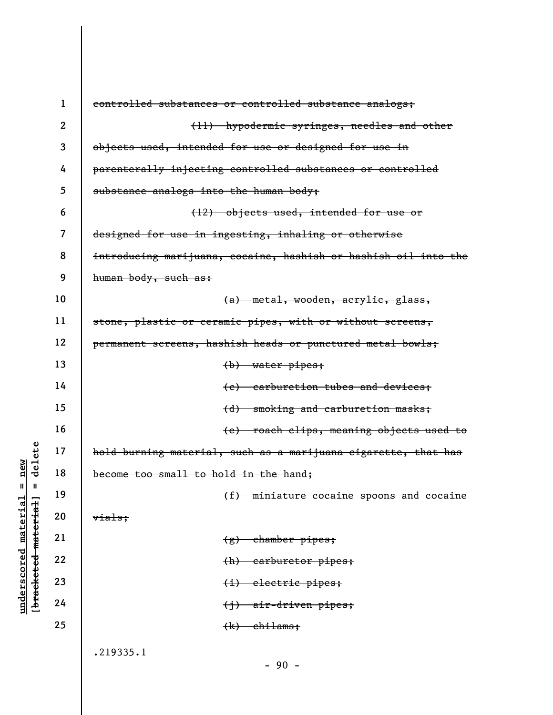|                                    | $\mathbf{1}$   | controlled substances or controlled substance analogs;          |
|------------------------------------|----------------|-----------------------------------------------------------------|
|                                    | $\mathbf{2}$   | (11) hypodermic syringes, needles and other                     |
|                                    | 3              | objects used, intended for use or designed for use in           |
|                                    | 4              | parenterally injecting controlled substances or controlled      |
|                                    | 5              | substance analogs into the human body;                          |
|                                    | 6              | (12) objects used, intended for use or                          |
|                                    | $\overline{7}$ | designed for use in ingesting, inhaling or otherwise            |
|                                    | 8              | introducing marijuana, cocaine, hashish or hashish oil into the |
|                                    | 9              | human body, such as:                                            |
|                                    | 10             | (a) metal, wooden, acrylic, glass,                              |
|                                    | 11             | stone, plastic or ceramic pipes, with or without screens,       |
|                                    | 12             | permanent screens, hashish heads or punctured metal bowls;      |
|                                    | 13             | $(b)$ water pipes;                                              |
|                                    | 14             | (e) carburetion tubes and devices;                              |
|                                    | 15             | smoking and carburetion masks;<br>(d)                           |
|                                    | 16             | (e) roach clips, meaning objects used to                        |
| delete                             | 17             | hold burning material, such as a marijuana cigarette, that has  |
| $n$ ew                             | 18             | become too small to hold in the hand;                           |
| II<br>Ш                            | 19             | (f) miniature cocaine spoons and cocaine                        |
| material                           | 20             | vials;                                                          |
|                                    | 21             | $(g)$ chamber pipes;                                            |
| [bracketed material<br>underscored | 22             | (h) carburetor pipes;                                           |
|                                    | 23             | $(i)$ electric pipes;                                           |
|                                    | 24             | $\{j\}$ air-driven pipes;                                       |
|                                    | 25             | $(k)$ chilams;                                                  |
|                                    |                | .219335.1                                                       |
|                                    |                | $-90 -$                                                         |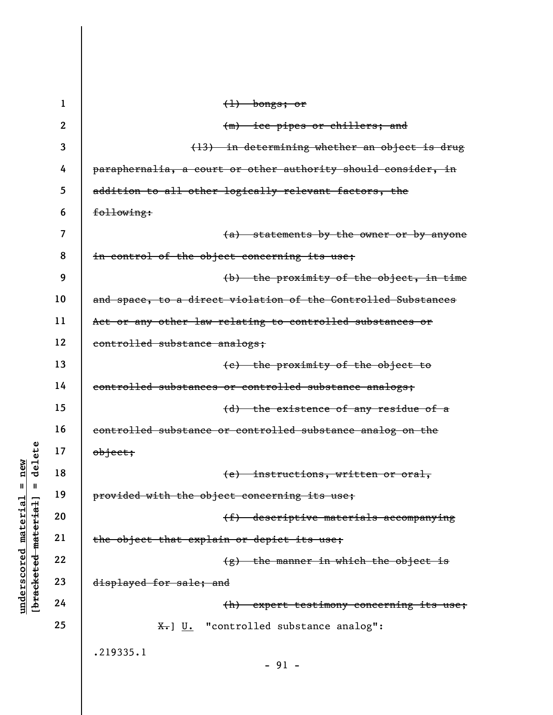|                       | $\mathbf{1}$ | $(1)$ bongs; or                                                   |
|-----------------------|--------------|-------------------------------------------------------------------|
|                       | $\mathbf{2}$ | (m) ice pipes or chillers; and                                    |
|                       | 3            | (13) in determining whether an object is drug                     |
|                       | 4            | paraphernalia, a court or other authority should consider, in     |
|                       | 5            | addition to all other logically relevant factors, the             |
|                       | 6            | following:                                                        |
|                       | 7            | (a) statements by the owner or by anyone                          |
|                       | 8            | in control of the object concerning its use;                      |
|                       | 9            | (b) the proximity of the object, in time                          |
|                       | 10           | and space, to a direct violation of the Controlled Substances     |
|                       | 11           | Act or any other law relating to controlled substances or         |
|                       | 12           | controlled substance analogs;                                     |
|                       | 13           | (e) the proximity of the object to                                |
|                       | 14           | controlled substances or controlled substance analogs;            |
|                       | 15           | (d) the existence of any residue of a                             |
|                       | 16           | controlled substance or controlled substance analog on the        |
| delete                | 17           | $\theta$ bject;                                                   |
| new                   | 18           | (e) instructions, written or oral,                                |
| II<br>Ш               | 19           | provided with the object concerning its use;                      |
| material<br>meteriet] | 20           | (f) descriptive materials accompanying                            |
|                       | 21           | the object that explain or depict its use;                        |
| underscored           | 22           | $(g)$ the manner in which the object is                           |
| [bracketed]           | 23           | displayed for sale; and                                           |
|                       | 24           | (h)<br>expert testimony concerning its use;                       |
|                       | 25           | $\overline{x}$ . $\underline{U}$ . "controlled substance analog": |
|                       |              | .219335.1                                                         |
|                       |              | $-91 -$                                                           |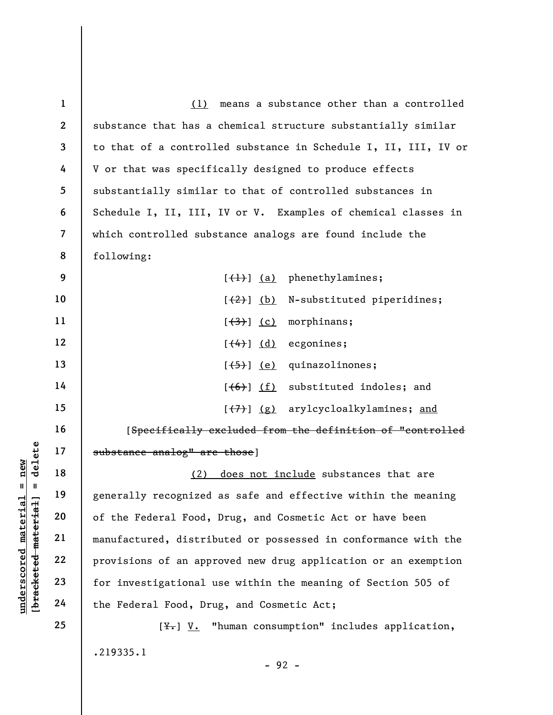|                                | $\mathbf{1}$             | means a substance other than a controlled<br>(1)                |
|--------------------------------|--------------------------|-----------------------------------------------------------------|
|                                | $\mathbf{2}$             | substance that has a chemical structure substantially similar   |
|                                | 3                        | to that of a controlled substance in Schedule I, II, III, IV or |
|                                | 4                        | V or that was specifically designed to produce effects          |
|                                | 5                        | substantially similar to that of controlled substances in       |
|                                | 6                        | Schedule I, II, III, IV or V. Examples of chemical classes in   |
|                                | $\overline{\mathcal{L}}$ | which controlled substance analogs are found include the        |
|                                | 8                        | following:                                                      |
|                                | 9                        | $[\left(\frac{1}{1}\right)]$ (a) phenethylamines;               |
|                                | 10                       | [(2)] (b) N-substituted piperidines;                            |
|                                | 11                       | morphinans;<br>$[\frac{(3)}{3}]$ (c)                            |
|                                | 12                       | ecgonines;<br>$(\leftarrow +)$ (d)                              |
|                                | 13                       | quinazolinones;<br>[ <del>(5)</del> ] <u>(e)</u>                |
|                                | 14                       | $[ (6) ] (f)$ substituted indoles; and                          |
|                                | 15                       | [(7)] (g) arylcycloalkylamines; and                             |
|                                | 16                       | [Specifically excluded from the definition of "controlled       |
| delete                         | 17                       | substance analog" are those]                                    |
| new<br>II                      | 18                       | does not include substances that are<br>(2)                     |
|                                | 19                       | generally recognized as safe and effective within the meaning   |
| materia<br>[bracketed material | 20                       | of the Federal Food, Drug, and Cosmetic Act or have been        |
|                                | 21                       | manufactured, distributed or possessed in conformance with the  |
| underscored                    | 22                       | provisions of an approved new drug application or an exemption  |
|                                | 23                       | for investigational use within the meaning of Section 505 of    |
|                                | 24                       | the Federal Food, Drug, and Cosmetic Act;                       |
|                                | 25                       | $[\frac{y}{x}]$ V. "human consumption" includes application,    |
|                                |                          | .219335.1                                                       |

- 92 -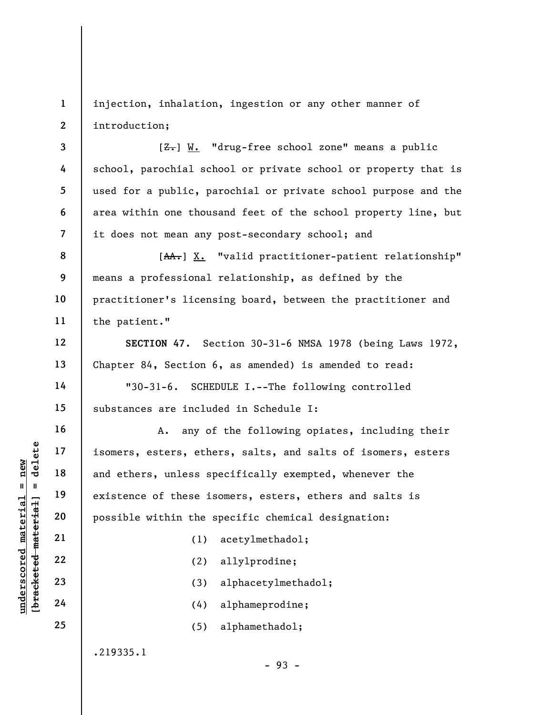1 2 injection, inhalation, ingestion or any other manner of introduction;

 $[**Z**]<sub>+</sub>$ ] W. "drug-free school zone" means a public school, parochial school or private school or property that is used for a public, parochial or private school purpose and the area within one thousand feet of the school property line, but it does not mean any post-secondary school; and

8 9 10 11 [AA.] X. "valid practitioner-patient relationship" means a professional relationship, as defined by the practitioner's licensing board, between the practitioner and the patient."

SECTION 47. Section 30-31-6 NMSA 1978 (being Laws 1972, Chapter 84, Section 6, as amended) is amended to read:

"30-31-6. SCHEDULE I.--The following controlled substances are included in Schedule I:

underscores areas, ethe<br>
under 17<br>
and ethers, unless sp<br>
existence of these is<br>
possible within the s<br>
possible within the s<br>
(1)<br>
22<br>
23<br>
24<br>
24<br>
(4) A. any of the following opiates, including their isomers, esters, ethers, salts, and salts of isomers, esters and ethers, unless specifically exempted, whenever the existence of these isomers, esters, ethers and salts is possible within the specific chemical designation:

(1) acetylmethadol;

(2) allylprodine;

(3) alphacetylmethadol;

(4) alphameprodine;

(5) alphamethadol;

.219335.1

- 93 -

3

4

5

6

7

12

13

14

15

16

17

18

19

20

21

22

23

24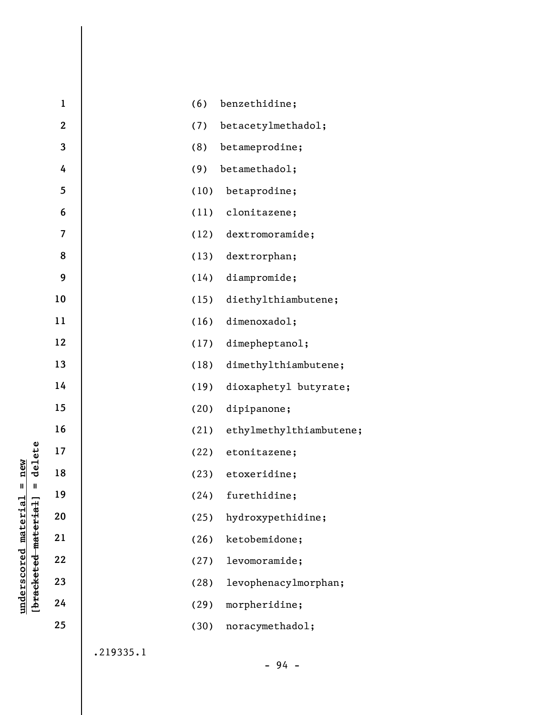|                      |                                 | $\mathbf{1}$   |           | (6)  | benzethidine;           |
|----------------------|---------------------------------|----------------|-----------|------|-------------------------|
|                      |                                 | $\overline{2}$ |           | (7)  | betacetylmethadol;      |
|                      |                                 | 3              |           | (8)  | betameprodine;          |
|                      |                                 | 4              |           | (9)  | betamethadol;           |
|                      |                                 | 5              |           | (10) | betaprodine;            |
|                      |                                 | 6              |           | (11) | clonitazene;            |
|                      |                                 | 7              |           | (12) | dextromoramide;         |
|                      |                                 | 8              |           | (13) | dextrorphan;            |
|                      |                                 | 9              |           | (14) | diampromide;            |
|                      |                                 | 10             |           | (15) | diethylthiambutene;     |
|                      |                                 | 11             |           | (16) | dimenoxadol;            |
|                      |                                 | 12             |           | (17) | dimepheptanol;          |
| new<br>Ш             |                                 | 13             |           | (18) | dimethylthiambutene;    |
|                      |                                 | 14             |           | (19) | dioxaphetyl butyrate;   |
|                      |                                 | 15             |           | (20) | dipipanone;             |
|                      |                                 | 16             |           | (21) | ethylmethylthiambutene; |
|                      | delete                          | 17             |           | (22) | etonitazene;            |
|                      |                                 | 18             |           | (23) | etoxeridine;            |
|                      | $\sf II$                        | 19             |           | (24) | furethidine;            |
|                      | [ <del>bracketed material</del> | 20             |           | (25) | hydroxypethidine;       |
|                      |                                 | 21             |           | (26) | ketobemidone;           |
|                      |                                 | 22             |           | (27) | levomoramide;           |
|                      |                                 | 23             |           | (28) | levophenacylmorphan;    |
| underscored material |                                 | 24             |           | (29) | morpheridine;           |
|                      |                                 | 25             |           | (30) | noracymethadol;         |
|                      |                                 |                | .219335.1 |      |                         |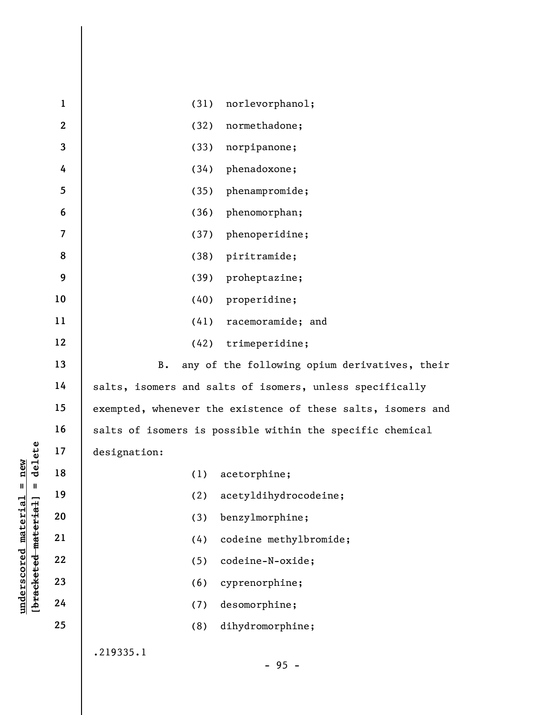|                      | $\mathbf{1}$     | (31)<br>norlevorphanol;                                      |
|----------------------|------------------|--------------------------------------------------------------|
|                      | $\boldsymbol{2}$ | (32)<br>normethadone;                                        |
|                      | 3                | (33)<br>norpipanone;                                         |
|                      | 4                | phenadoxone;<br>(34)                                         |
|                      | 5                | phenampromide;<br>(35)                                       |
|                      | 6                | (36)<br>phenomorphan;                                        |
|                      | $\overline{7}$   | phenoperidine;<br>(37)                                       |
|                      | 8                | (38)<br>piritramide;                                         |
|                      | 9                | (39)<br>proheptazine;                                        |
|                      | 10               | (40)<br>properidine;                                         |
|                      | 11               | (41)<br>racemoramide; and                                    |
|                      | 12               | trimeperidine;<br>(42)                                       |
|                      | 13               | any of the following opium derivatives, their<br>B.          |
|                      | 14               | salts, isomers and salts of isomers, unless specifically     |
|                      | 15               | exempted, whenever the existence of these salts, isomers and |
|                      | 16               | salts of isomers is possible within the specific chemical    |
| delete               | 17               | designation:                                                 |
| new                  | 18               | (1)<br>acetorphine;                                          |
| Ш<br>Ш               | 19               | acetyldihydrocodeine;<br>(2)                                 |
| material<br>material | 20               | benzylmorphine;<br>(3)                                       |
|                      | 21               | codeine methylbromide;<br>(4)                                |
| underscored          | 22               | codeine-N-oxide;<br>(5)                                      |
| [bracketed           | 23               | cyprenorphine;<br>(6)                                        |
|                      | 24               | desomorphine;<br>(7)                                         |
|                      | 25               | dihydromorphine;<br>(8)                                      |
|                      |                  | .219335.1                                                    |
|                      |                  | ΩF                                                           |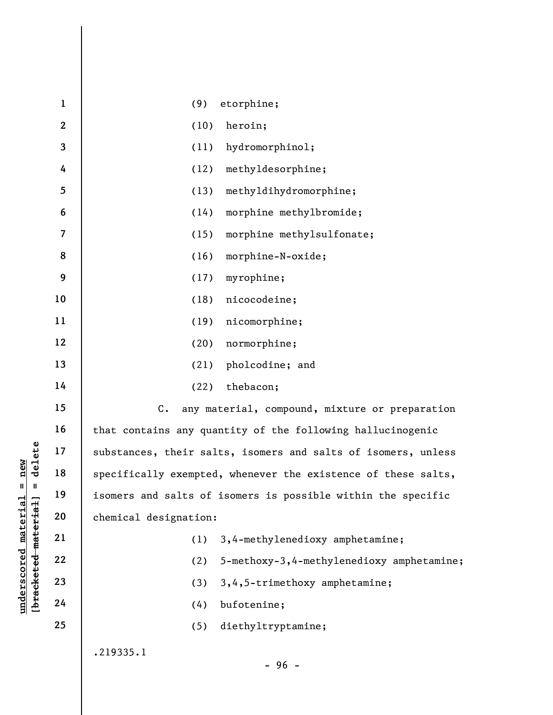|                                             | $\mathbf{1}$     | (9)<br>etorphine;                                             |
|---------------------------------------------|------------------|---------------------------------------------------------------|
|                                             | $\boldsymbol{2}$ | (10)<br>heroin;                                               |
|                                             | $\mathbf{3}$     | (11)<br>hydromorphinol;                                       |
|                                             | 4                | methyldesorphine;<br>(12)                                     |
|                                             | 5                | (13)<br>methyldihydromorphine;                                |
|                                             | 6                | morphine methylbromide;<br>(14)                               |
|                                             | $\overline{7}$   | morphine methylsulfonate;<br>(15)                             |
|                                             | 8                | (16)<br>morphine-N-oxide;                                     |
|                                             | 9                | myrophine;<br>(17)                                            |
|                                             | $10\,$           | (18)<br>nicocodeine;                                          |
|                                             | 11               | (19)<br>nicomorphine;                                         |
|                                             | 12               | (20)<br>normorphine;                                          |
|                                             | 13               | pholcodine; and<br>(21)                                       |
|                                             | 14               | thebacon;<br>(22)                                             |
|                                             | 15               | $C$ .<br>any material, compound, mixture or preparation       |
|                                             | 16               | that contains any quantity of the following hallucinogenic    |
| delete                                      | 17               | substances, their salts, isomers and salts of isomers, unless |
| new                                         | 18               | specifically exempted, whenever the existence of these salts, |
| Ш<br>Ш                                      | 19               | isomers and salts of isomers is possible within the specific  |
|                                             | 20               | chemical designation:                                         |
| underscored material<br>[bracketed material | 21               | 3,4-methylenedioxy amphetamine;<br>(1)                        |
|                                             | 22               | 5-methoxy-3,4-methylenedioxy amphetamine;<br>(2)              |
|                                             | 23               | 3, 4, 5-trimethoxy amphetamine;<br>(3)                        |
|                                             | 24               | bufotenine;<br>(4)                                            |
|                                             | 25               | diethyltryptamine;<br>(5)                                     |
|                                             |                  | .219335.1                                                     |
|                                             |                  | $-96 -$                                                       |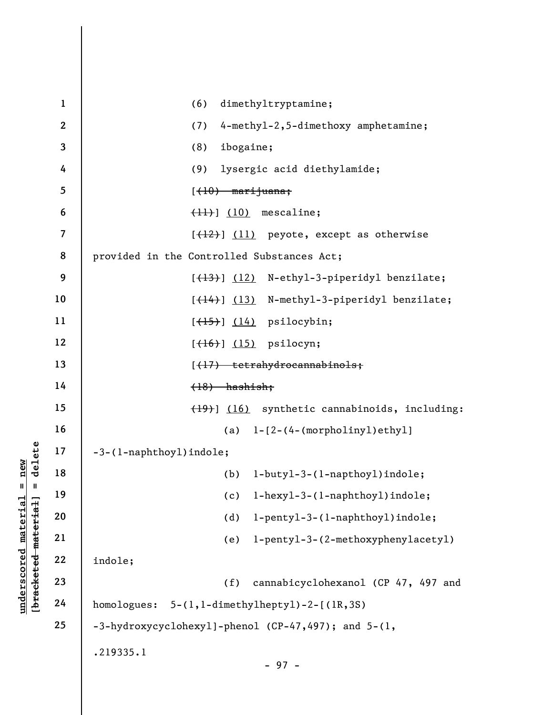|                                             | $\mathbf{1}$   | dimethyltryptamine;<br>(6)                          |
|---------------------------------------------|----------------|-----------------------------------------------------|
|                                             | $\mathbf{2}$   | 4-methyl-2,5-dimethoxy amphetamine;<br>(7)          |
|                                             | 3              | ibogaine;<br>(8)                                    |
|                                             | 4              | lysergic acid diethylamide;<br>(9)                  |
|                                             | 5              | $(10)$ marijuana;                                   |
|                                             | 6              | $(11)$ $(10)$ mescaline;                            |
|                                             | $\overline{7}$ | $[\frac{12}{12}]$ (11) peyote, except as otherwise  |
|                                             | 8              | provided in the Controlled Substances Act;          |
|                                             | 9              | [(13)] (12) N-ethyl-3-piperidyl benzilate;          |
|                                             | 10             | [(14)] (13) N-methyl-3-piperidyl benzilate;         |
|                                             | 11             | $[\left(\frac{15}{15}\right)]$ (14) psilocybin;     |
|                                             | 12             | $[\left(16\right)]$ (15) psilocyn;                  |
|                                             | 13             | [(17) tetrahydrocannabinols;                        |
|                                             | 14             | $(18)$ hashish;                                     |
|                                             | 15             | (19) (16) synthetic cannabinoids, including:        |
|                                             | 16             | $(a)$ $l - [2 - (4 - (morpholiny1)ethyl)]$          |
| delete                                      | 17             | -3-(1-naphthoyl)indole;                             |
| new                                         | 18             | (b)<br>$l$ -buty $l$ -3-( $l$ -napthoy $l$ )indole; |
| $\mathbf{II}$<br>Ш                          | 19             | l-hexyl-3-(l-naphthoyl)indole;<br>(c)               |
|                                             | 20             | l-pentyl-3-(l-naphthoyl)indole;<br>(d)              |
|                                             | 21             | l-pentyl-3-(2-methoxyphenylacetyl)<br>(e)           |
|                                             | 22             | indole;                                             |
| underscored material<br>[bracketed material | 23             | cannabicyclohexanol (CP 47, 497 and<br>(f)          |
|                                             | 24             | homologues: 5-(1,1-dimethylheptyl)-2-[(lR,3S)       |
|                                             | 25             | -3-hydroxycyclohexyl]-phenol (CP-47,497); and 5-(1, |
|                                             |                | .219335.1<br>$-97 -$                                |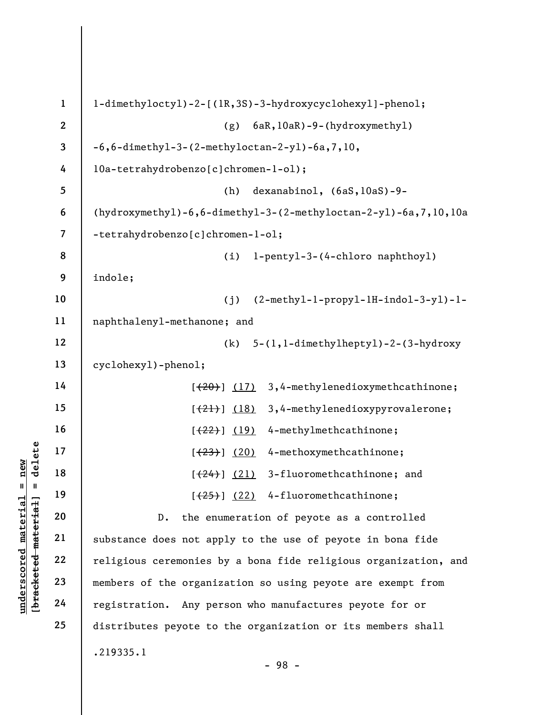|                                 | $\mathbf{1}$   | l-dimethyloctyl)-2-[(lR,3S)-3-hydroxycyclohexyl]-phenol;        |
|---------------------------------|----------------|-----------------------------------------------------------------|
|                                 | $\mathbf{2}$   | 6aR, 10aR) -9-(hydroxymethyl)<br>(g)                            |
|                                 | $\mathbf 3$    | $-6, 6$ -dimethyl-3-(2-methyloctan-2-yl)-6a,7,10,               |
|                                 | 4              | l0a-tetrahydrobenzo[c]chromen-l-ol);                            |
|                                 | 5              | dexanabinol, (6aS, 10aS)-9-<br>(h)                              |
|                                 | 6              | (hydroxymethyl)-6,6-dimethyl-3-(2-methyloctan-2-yl)-6a,7,10,10a |
|                                 | $\overline{7}$ | -tetrahydrobenzo[c]chromen-1-o1;                                |
|                                 | 8              | l-pentyl-3-(4-chloro naphthoyl)<br>(i)                          |
|                                 | 9              | indole;                                                         |
|                                 | 10             | $(2-methyl-1-propy1-lH-indol-3-y1)-l-$<br>(j)                   |
|                                 | 11             | naphthalenyl-methanone; and                                     |
|                                 | 12             | 5-(1,1-dimethylheptyl)-2-(3-hydroxy<br>(k)                      |
|                                 | 13             | cyclohexy1)-pheno1;                                             |
|                                 | 14             | 3,4-methylenedioxymethcathinone;<br>$[ (20) ]$ (17)             |
|                                 | 15             | 3,4-methylenedioxypyrovalerone;<br>$[\frac{(21)}{2}]$ (18)      |
|                                 | 16             | 4-methylmethcathinone;<br>$[\frac{(22)}{2}]$ (19)               |
| delete                          | 17             | 4-methoxymethcathinone;<br>[ (23) ] (20)                        |
| new<br>Ш<br>$\mathbf{I}$        | 18             | 3-fluoromethcathinone; and<br>[ (24) ] (21)                     |
|                                 | 19             | $[25]$ $(22)$ 4-fluoromethcathinone;                            |
| material<br>[bracketed material | 20             | the enumeration of peyote as a controlled<br>$D$ .              |
|                                 | 21             | substance does not apply to the use of peyote in bona fide      |
| $underscore$                    | 22             | religious ceremonies by a bona fide religious organization, and |
|                                 | 23             | members of the organization so using peyote are exempt from     |
|                                 | 24             | registration. Any person who manufactures peyote for or         |
|                                 | 25             | distributes peyote to the organization or its members shall     |
|                                 |                | .219335.1<br>$-98 -$                                            |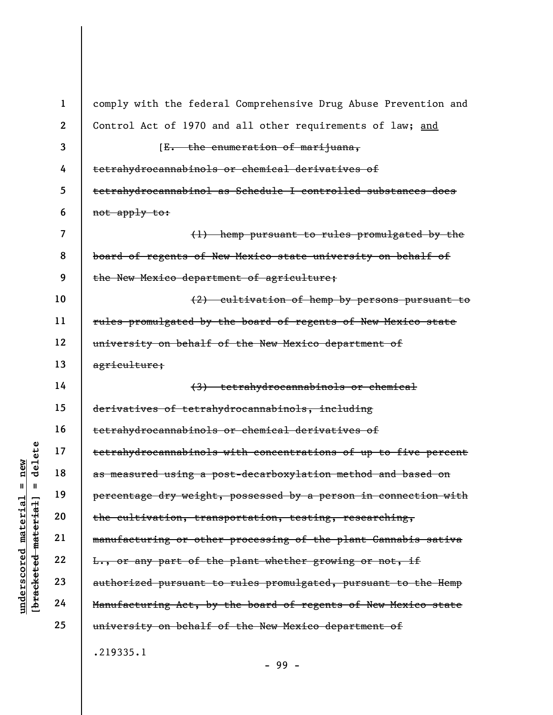|                                        | $\mathbf{1}$   | comply with the federal Comprehensive Drug Abuse Prevention and |
|----------------------------------------|----------------|-----------------------------------------------------------------|
|                                        | $\overline{2}$ | Control Act of 1970 and all other requirements of law; and      |
|                                        | 3              | [E. the enumeration of marijuana,                               |
|                                        | 4              | tetrahydrocannabinols or chemical derivatives of                |
|                                        | 5              | tetrahydrocannabinol as Schedule I controlled substances does   |
|                                        | 6              | not apply to:                                                   |
|                                        | $\overline{7}$ | (1) hemp pursuant to rules promulgated by the                   |
|                                        | 8              | board of regents of New Mexico state university on behalf of    |
|                                        | 9              | the New Mexico department of agriculture;                       |
|                                        | 10             | (2) cultivation of hemp by persons pursuant to                  |
|                                        | 11             | rules promulgated by the board of regents of New Mexico state   |
|                                        | 12             | university on behalf of the New Mexico department of            |
|                                        | 13             | agriculture;                                                    |
|                                        | 14             | (3) tetrahydrocannabinols or chemical                           |
|                                        | 15             | derivatives of tetrahydrocannabinols, including                 |
|                                        | 16             | tetrahydrocannabinols or chemical derivatives of                |
| delete                                 | 17             | tetrahydrocannabinols with concentrations of up to five percent |
| $n$ ew                                 | 18             | as measured using a post-decarboxylation method and based on    |
| Ш<br>Ш                                 | 19             | percentage dry weight, possessed by a person in connection with |
| material<br>material                   | 20             | the cultivation, transportation, testing, researching,          |
|                                        | 21             | manufacturing or other processing of the plant Cannabis sativa  |
|                                        | 22             | L., or any part of the plant whether growing or not, if         |
| underscored<br>[ <del>brack</del> eted | 23             | authorized pursuant to rules promulgated, pursuant to the Hemp  |
|                                        | 24             | Manufacturing Act, by the board of regents of New Mexico state  |
|                                        | 25             | university on behalf of the New Mexico department of            |
|                                        |                | .219335.1                                                       |

- 99 -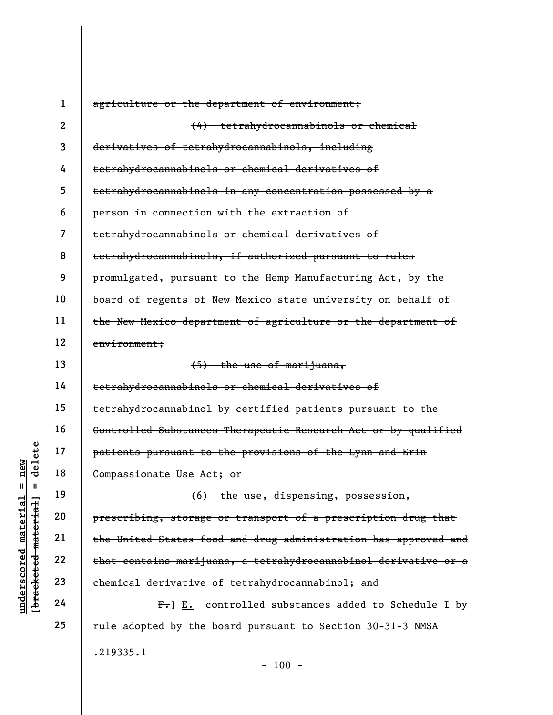|                                            | $\mathbf 1$    | agriculture or the department of environment;                   |
|--------------------------------------------|----------------|-----------------------------------------------------------------|
|                                            | $\overline{2}$ | (4) tetrahydrocannabinols or chemical                           |
|                                            | 3              | derivatives of tetrahydrocannabinols, including                 |
|                                            | 4              | tetrahydrocannabinols or chemical derivatives of                |
|                                            | 5              | tetrahydrocannabinols in any concentration possessed by a       |
|                                            | 6              | person in connection with the extraction of                     |
|                                            | $\overline{7}$ | tetrahydrocannabinols or chemical derivatives of                |
|                                            | 8              | tetrahydrocannabinols, if authorized pursuant to rules          |
|                                            | 9              | promulgated, pursuant to the Hemp Manufacturing Act, by the     |
|                                            | 10             | board of regents of New Mexico state university on behalf of    |
|                                            | 11             | the New Mexico department of agriculture or the department of   |
|                                            | 12             | envitromment;                                                   |
|                                            | 13             | (5) the use of marijuana,                                       |
|                                            | 14             | tetrahydrocannabinols or chemical derivatives of                |
|                                            | 15             | tetrahydrocannabinol by certified patients pursuant to the      |
|                                            | 16             | Controlled Substances Therapeutic Research Act or by qualified  |
| elete                                      | 17             | patients pursuant to the provisions of the Lynn and Erin        |
| new<br>ರ                                   | 18             | Compassionate Use Act; or                                       |
| Ш<br>Ш                                     | 19             | (6) the use, dispensing, possession,                            |
|                                            | 20             | prescribing, storage or transport of a prescription drug that   |
|                                            | 21             | the United States food and drug administration has approved and |
|                                            | 22             | that contains marijuana, a tetrahydrocannabinol derivative or a |
| underscored material<br>bracketed material | 23             | chemical derivative of tetrahydrocannabinol; and                |
|                                            | 24             | $F_{\bullet}$ ] E. controlled substances added to Schedule I by |
|                                            | 25             | rule adopted by the board pursuant to Section 30-31-3 NMSA      |
|                                            |                | .219335.1                                                       |

 $- 100 -$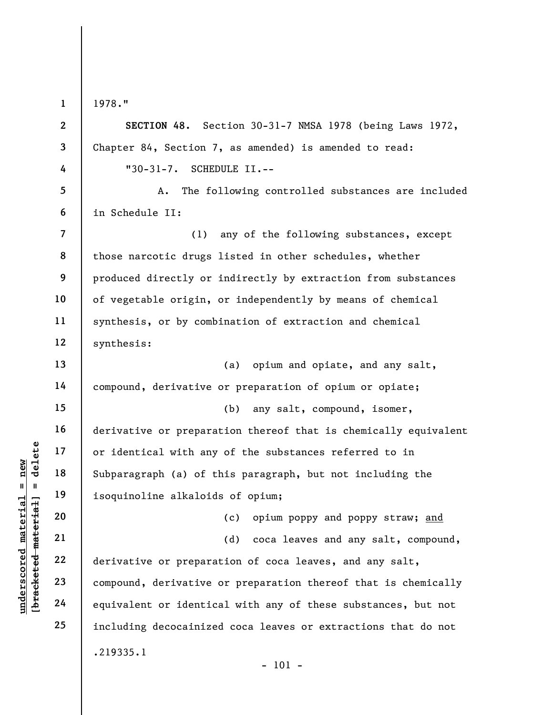1

1978."

underscored material = new [bracketed material] = delete 2 3 4 5 6 7 8 9 10 11 12 13 14 15 16 17 18 19 20 21 22 23 24 25 SECTION 48. Section 30-31-7 NMSA 1978 (being Laws 1972, Chapter 84, Section 7, as amended) is amended to read: "30-31-7. SCHEDULE II.-- A. The following controlled substances are included in Schedule II: (1) any of the following substances, except those narcotic drugs listed in other schedules, whether produced directly or indirectly by extraction from substances of vegetable origin, or independently by means of chemical synthesis, or by combination of extraction and chemical synthesis: (a) opium and opiate, and any salt, compound, derivative or preparation of opium or opiate; (b) any salt, compound, isomer, derivative or preparation thereof that is chemically equivalent or identical with any of the substances referred to in Subparagraph (a) of this paragraph, but not including the isoquinoline alkaloids of opium; (c) opium poppy and poppy straw; and (d) coca leaves and any salt, compound, derivative or preparation of coca leaves, and any salt, compound, derivative or preparation thereof that is chemically equivalent or identical with any of these substances, but not including decocainized coca leaves or extractions that do not .219335.1 - 101 -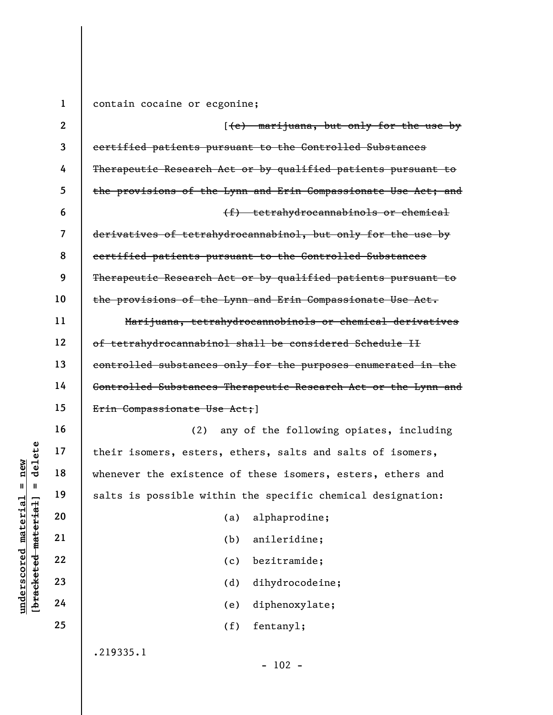under 17<br>
under 18<br>
under the existence<br>
whenever the existence<br>
salts is possible wit<br>
salts is possible wit<br>
20<br>
22<br>
22<br>
22<br>
22<br>
24<br>
24 1 2 3 4 5 6 7 8 9 10 11 12 13 14 15 16 17 18 19 20 21 22 23 24 25 contain cocaine or ecgonine; [(e) marijuana, but only for the use by certified patients pursuant to the Controlled Substances Therapeutic Research Act or by qualified patients pursuant to the provisions of the Lynn and Erin Compassionate Use Act; and (f) tetrahydrocannabinols or chemical derivatives of tetrahydrocannabinol, but only for the use by certified patients pursuant to the Controlled Substances Therapeutic Research Act or by qualified patients pursuant to the provisions of the Lynn and Erin Compassionate Use Act. Marijuana, tetrahydrocannobinols or chemical derivatives of tetrahydrocannabinol shall be considered Schedule II controlled substances only for the purposes enumerated in the Controlled Substances Therapeutic Research Act or the Lynn and Erin Compassionate Use Act; 1 (2) any of the following opiates, including their isomers, esters, ethers, salts and salts of isomers, whenever the existence of these isomers, esters, ethers and salts is possible within the specific chemical designation: (a) alphaprodine; (b) anileridine; (c) bezitramide; (d) dihydrocodeine; (e) diphenoxylate; (f) fentanyl; .219335.1

 $- 102 -$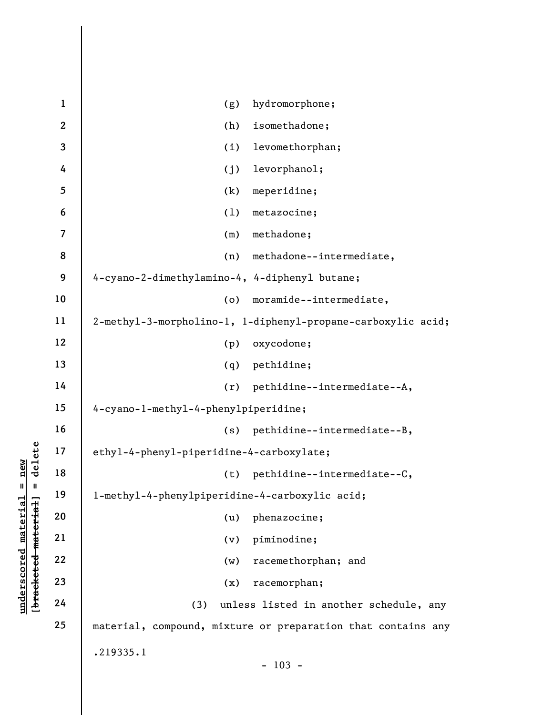|                        | $\mathbf{1}$             | hydromorphone;<br>(g)                                        |
|------------------------|--------------------------|--------------------------------------------------------------|
|                        | $\boldsymbol{2}$         | isomethadone;<br>(h)                                         |
|                        | 3                        | levomethorphan;<br>(i)                                       |
|                        | 4                        | levorphanol;<br>(j)                                          |
|                        | 5                        | (k)<br>meperidine;                                           |
|                        | 6                        | (1)<br>metazocine;                                           |
|                        | $\overline{\mathcal{L}}$ | methadone;<br>(m)                                            |
|                        | 8                        | methadone--intermediate,<br>(n)                              |
|                        | 9                        | 4-cyano-2-dimethylamino-4, 4-diphenyl butane;                |
|                        | 10                       | moramide--intermediate,<br>(o)                               |
|                        | 11                       | 2-methyl-3-morpholino-1, 1-diphenyl-propane-carboxylic acid; |
|                        | 12                       | oxycodone;<br>(p)                                            |
|                        | 13                       | (q)<br>pethidine;                                            |
|                        | 14                       | pethidine--intermediate--A,<br>(r)                           |
|                        | 15                       | 4-cyano-l-methyl-4-phenylpiperidine;                         |
|                        | 16                       | pethidine--intermediate--B,<br>(s)                           |
| delete                 | $17\,$                   | ethyl-4-phenyl-piperidine-4-carboxylate;                     |
| new                    | 18                       | pethidine--intermediate--C,<br>(t)                           |
| Ш<br>Ш                 | 19                       | l-methyl-4-phenylpiperidine-4-carboxylic acid;               |
| material<br>material   | 20                       | phenazocine;<br>(u)                                          |
|                        | 21                       | piminodine;<br>(v)                                           |
| underscored            | 22                       | racemethorphan; and<br>(w)                                   |
| [ <del>bracketed</del> | 23                       | racemorphan;<br>(x)                                          |
|                        | 24                       | unless listed in another schedule, any<br>(3)                |
|                        | 25                       | material, compound, mixture or preparation that contains any |
|                        |                          | .219335.1                                                    |
|                        |                          | $-103 -$                                                     |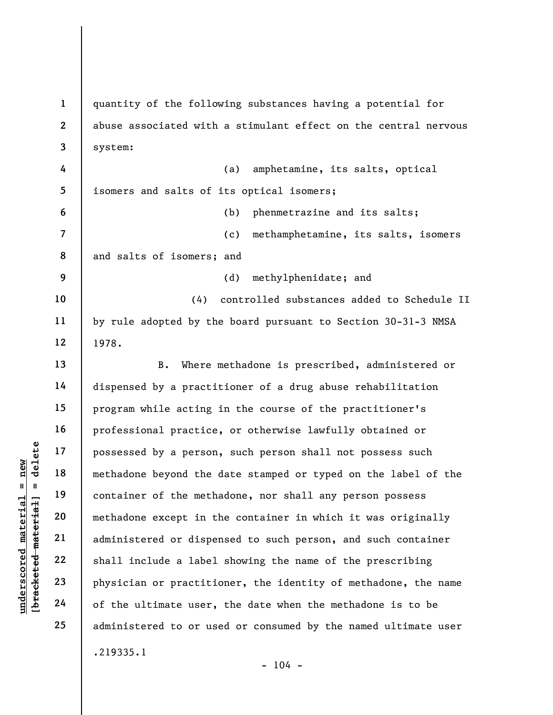underscored material = new [bracketed material] = delete 1 2 3 4 5 6 7 8 9 10 11 12 13 14 15 16 17 18 19 20 21 22 23 24 25 quantity of the following substances having a potential for abuse associated with a stimulant effect on the central nervous system: (a) amphetamine, its salts, optical isomers and salts of its optical isomers; (b) phenmetrazine and its salts; (c) methamphetamine, its salts, isomers and salts of isomers; and (d) methylphenidate; and (4) controlled substances added to Schedule II by rule adopted by the board pursuant to Section 30-31-3 NMSA 1978. B. Where methadone is prescribed, administered or dispensed by a practitioner of a drug abuse rehabilitation program while acting in the course of the practitioner's professional practice, or otherwise lawfully obtained or possessed by a person, such person shall not possess such methadone beyond the date stamped or typed on the label of the container of the methadone, nor shall any person possess methadone except in the container in which it was originally administered or dispensed to such person, and such container shall include a label showing the name of the prescribing physician or practitioner, the identity of methadone, the name of the ultimate user, the date when the methadone is to be administered to or used or consumed by the named ultimate user .219335.1

 $- 104 -$